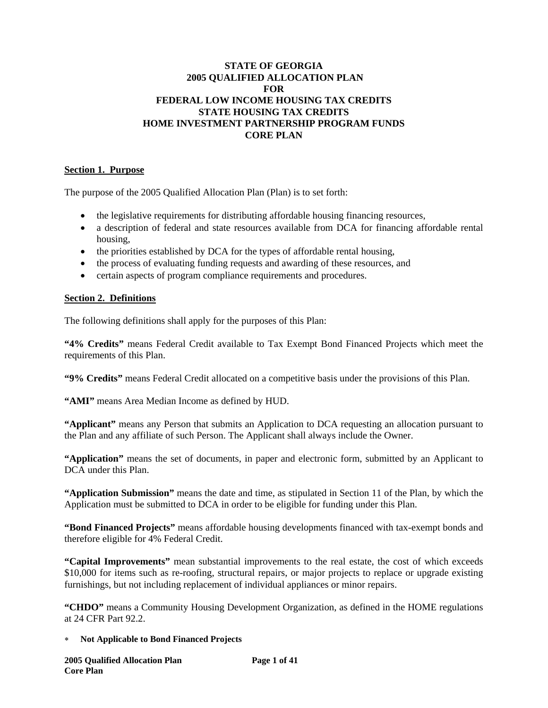# **STATE OF GEORGIA 2005 QUALIFIED ALLOCATION PLAN FOR FEDERAL LOW INCOME HOUSING TAX CREDITS STATE HOUSING TAX CREDITS HOME INVESTMENT PARTNERSHIP PROGRAM FUNDS CORE PLAN**

## **Section 1. Purpose**

The purpose of the 2005 Qualified Allocation Plan (Plan) is to set forth:

- the legislative requirements for distributing affordable housing financing resources,
- a description of federal and state resources available from DCA for financing affordable rental housing,
- the priorities established by DCA for the types of affordable rental housing,
- the process of evaluating funding requests and awarding of these resources, and
- certain aspects of program compliance requirements and procedures.

### **Section 2. Definitions**

The following definitions shall apply for the purposes of this Plan:

**"4% Credits"** means Federal Credit available to Tax Exempt Bond Financed Projects which meet the requirements of this Plan.

**"9% Credits"** means Federal Credit allocated on a competitive basis under the provisions of this Plan.

**"AMI"** means Area Median Income as defined by HUD.

**"Applicant"** means any Person that submits an Application to DCA requesting an allocation pursuant to the Plan and any affiliate of such Person. The Applicant shall always include the Owner.

**"Application"** means the set of documents, in paper and electronic form, submitted by an Applicant to DCA under this Plan.

**"Application Submission"** means the date and time, as stipulated in Section 11 of the Plan, by which the Application must be submitted to DCA in order to be eligible for funding under this Plan.

**"Bond Financed Projects"** means affordable housing developments financed with tax-exempt bonds and therefore eligible for 4% Federal Credit.

**"Capital Improvements"** mean substantial improvements to the real estate, the cost of which exceeds \$10,000 for items such as re-roofing, structural repairs, or major projects to replace or upgrade existing furnishings, but not including replacement of individual appliances or minor repairs.

**"CHDO"** means a Community Housing Development Organization, as defined in the HOME regulations at 24 CFR Part 92.2.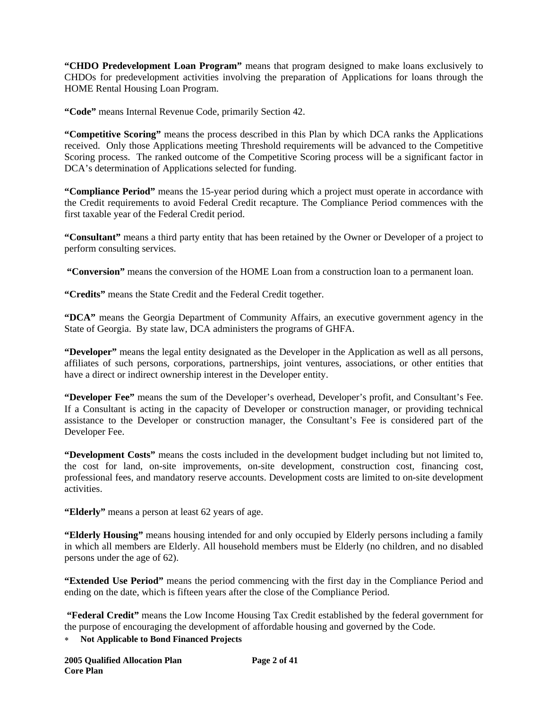**"CHDO Predevelopment Loan Program"** means that program designed to make loans exclusively to CHDOs for predevelopment activities involving the preparation of Applications for loans through the HOME Rental Housing Loan Program.

**"Code"** means Internal Revenue Code, primarily Section 42.

**"Competitive Scoring"** means the process described in this Plan by which DCA ranks the Applications received. Only those Applications meeting Threshold requirements will be advanced to the Competitive Scoring process. The ranked outcome of the Competitive Scoring process will be a significant factor in DCA's determination of Applications selected for funding.

**"Compliance Period"** means the 15-year period during which a project must operate in accordance with the Credit requirements to avoid Federal Credit recapture. The Compliance Period commences with the first taxable year of the Federal Credit period.

**"Consultant"** means a third party entity that has been retained by the Owner or Developer of a project to perform consulting services.

**"Conversion"** means the conversion of the HOME Loan from a construction loan to a permanent loan.

**"Credits"** means the State Credit and the Federal Credit together.

**"DCA"** means the Georgia Department of Community Affairs, an executive government agency in the State of Georgia. By state law, DCA administers the programs of GHFA.

**"Developer"** means the legal entity designated as the Developer in the Application as well as all persons, affiliates of such persons, corporations, partnerships, joint ventures, associations, or other entities that have a direct or indirect ownership interest in the Developer entity.

**"Developer Fee"** means the sum of the Developer's overhead, Developer's profit, and Consultant's Fee. If a Consultant is acting in the capacity of Developer or construction manager, or providing technical assistance to the Developer or construction manager, the Consultant's Fee is considered part of the Developer Fee.

**"Development Costs"** means the costs included in the development budget including but not limited to, the cost for land, on-site improvements, on-site development, construction cost, financing cost, professional fees, and mandatory reserve accounts. Development costs are limited to on-site development activities.

**"Elderly"** means a person at least 62 years of age.

**"Elderly Housing"** means housing intended for and only occupied by Elderly persons including a family in which all members are Elderly. All household members must be Elderly (no children, and no disabled persons under the age of 62).

**"Extended Use Period"** means the period commencing with the first day in the Compliance Period and ending on the date, which is fifteen years after the close of the Compliance Period.

 **"Federal Credit"** means the Low Income Housing Tax Credit established by the federal government for the purpose of encouraging the development of affordable housing and governed by the Code.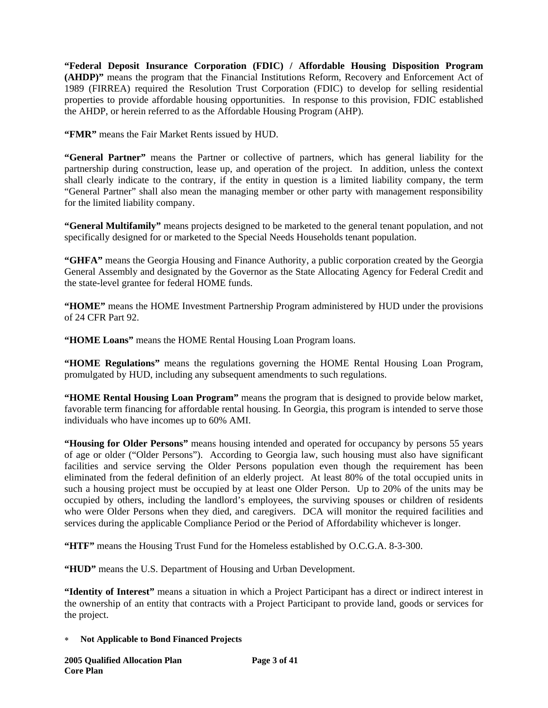**"Federal Deposit Insurance Corporation (FDIC) / Affordable Housing Disposition Program (AHDP)"** means the program that the Financial Institutions Reform, Recovery and Enforcement Act of 1989 (FIRREA) required the Resolution Trust Corporation (FDIC) to develop for selling residential properties to provide affordable housing opportunities. In response to this provision, FDIC established the AHDP, or herein referred to as the Affordable Housing Program (AHP).

**"FMR"** means the Fair Market Rents issued by HUD.

**"General Partner"** means the Partner or collective of partners, which has general liability for the partnership during construction, lease up, and operation of the project. In addition, unless the context shall clearly indicate to the contrary, if the entity in question is a limited liability company, the term "General Partner" shall also mean the managing member or other party with management responsibility for the limited liability company.

**"General Multifamily"** means projects designed to be marketed to the general tenant population, and not specifically designed for or marketed to the Special Needs Households tenant population.

**"GHFA"** means the Georgia Housing and Finance Authority, a public corporation created by the Georgia General Assembly and designated by the Governor as the State Allocating Agency for Federal Credit and the state-level grantee for federal HOME funds.

**"HOME"** means the HOME Investment Partnership Program administered by HUD under the provisions of 24 CFR Part 92.

**"HOME Loans"** means the HOME Rental Housing Loan Program loans.

**"HOME Regulations"** means the regulations governing the HOME Rental Housing Loan Program, promulgated by HUD, including any subsequent amendments to such regulations.

**"HOME Rental Housing Loan Program"** means the program that is designed to provide below market, favorable term financing for affordable rental housing. In Georgia, this program is intended to serve those individuals who have incomes up to 60% AMI.

**"Housing for Older Persons"** means housing intended and operated for occupancy by persons 55 years of age or older ("Older Persons"). According to Georgia law, such housing must also have significant facilities and service serving the Older Persons population even though the requirement has been eliminated from the federal definition of an elderly project. At least 80% of the total occupied units in such a housing project must be occupied by at least one Older Person. Up to 20% of the units may be occupied by others, including the landlord's employees, the surviving spouses or children of residents who were Older Persons when they died, and caregivers. DCA will monitor the required facilities and services during the applicable Compliance Period or the Period of Affordability whichever is longer.

**"HTF"** means the Housing Trust Fund for the Homeless established by O.C.G.A. 8-3-300.

**"HUD"** means the U.S. Department of Housing and Urban Development.

**"Identity of Interest"** means a situation in which a Project Participant has a direct or indirect interest in the ownership of an entity that contracts with a Project Participant to provide land, goods or services for the project.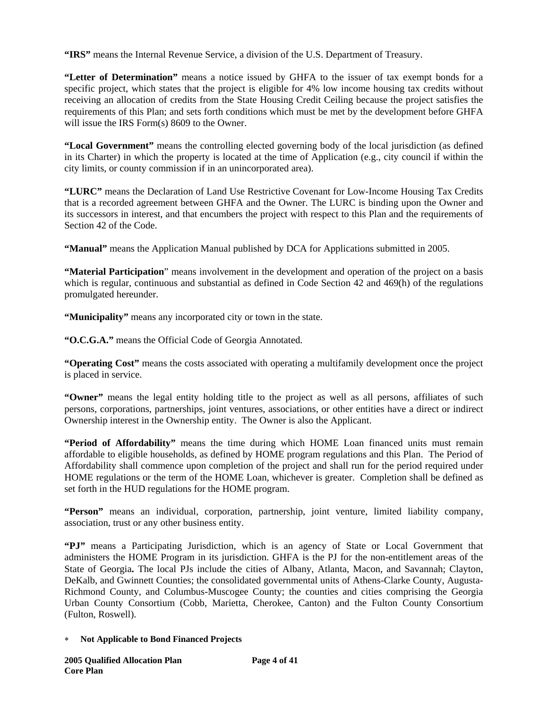**"IRS"** means the Internal Revenue Service, a division of the U.S. Department of Treasury.

**"Letter of Determination"** means a notice issued by GHFA to the issuer of tax exempt bonds for a specific project, which states that the project is eligible for 4% low income housing tax credits without receiving an allocation of credits from the State Housing Credit Ceiling because the project satisfies the requirements of this Plan; and sets forth conditions which must be met by the development before GHFA will issue the IRS Form(s) 8609 to the Owner.

**"Local Government"** means the controlling elected governing body of the local jurisdiction (as defined in its Charter) in which the property is located at the time of Application (e.g., city council if within the city limits, or county commission if in an unincorporated area).

**"LURC"** means the Declaration of Land Use Restrictive Covenant for Low-Income Housing Tax Credits that is a recorded agreement between GHFA and the Owner. The LURC is binding upon the Owner and its successors in interest, and that encumbers the project with respect to this Plan and the requirements of Section 42 of the Code.

**"Manual"** means the Application Manual published by DCA for Applications submitted in 2005.

**"Material Participation**" means involvement in the development and operation of the project on a basis which is regular, continuous and substantial as defined in Code Section 42 and 469(h) of the regulations promulgated hereunder.

**"Municipality"** means any incorporated city or town in the state.

**"O.C.G.A."** means the Official Code of Georgia Annotated.

**"Operating Cost"** means the costs associated with operating a multifamily development once the project is placed in service.

**"Owner"** means the legal entity holding title to the project as well as all persons, affiliates of such persons, corporations, partnerships, joint ventures, associations, or other entities have a direct or indirect Ownership interest in the Ownership entity. The Owner is also the Applicant.

**"Period of Affordability"** means the time during which HOME Loan financed units must remain affordable to eligible households, as defined by HOME program regulations and this Plan. The Period of Affordability shall commence upon completion of the project and shall run for the period required under HOME regulations or the term of the HOME Loan, whichever is greater. Completion shall be defined as set forth in the HUD regulations for the HOME program.

**"Person"** means an individual, corporation, partnership, joint venture, limited liability company, association, trust or any other business entity.

**"PJ"** means a Participating Jurisdiction, which is an agency of State or Local Government that administers the HOME Program in its jurisdiction. GHFA is the PJ for the non-entitlement areas of the State of Georgia**.** The local PJs include the cities of Albany, Atlanta, Macon, and Savannah; Clayton, DeKalb, and Gwinnett Counties; the consolidated governmental units of Athens-Clarke County, Augusta-Richmond County, and Columbus-Muscogee County; the counties and cities comprising the Georgia Urban County Consortium (Cobb, Marietta, Cherokee, Canton) and the Fulton County Consortium (Fulton, Roswell).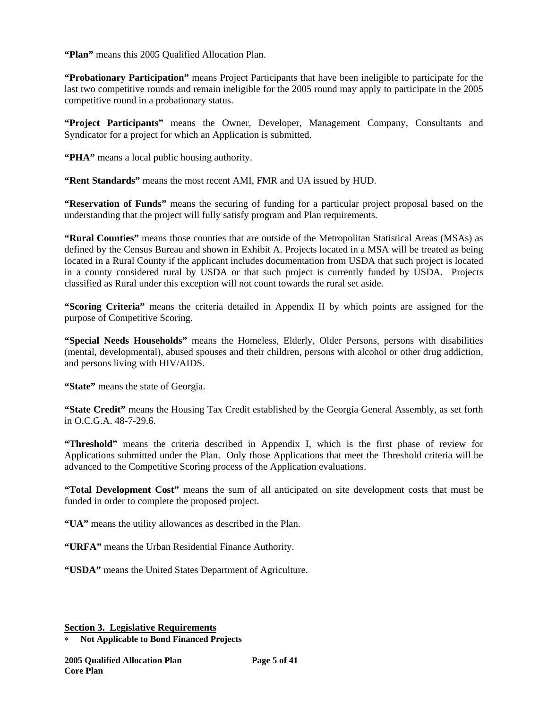**"Plan"** means this 2005 Qualified Allocation Plan.

**"Probationary Participation"** means Project Participants that have been ineligible to participate for the last two competitive rounds and remain ineligible for the 2005 round may apply to participate in the 2005 competitive round in a probationary status.

**"Project Participants"** means the Owner, Developer, Management Company, Consultants and Syndicator for a project for which an Application is submitted.

**"PHA"** means a local public housing authority.

**"Rent Standards"** means the most recent AMI, FMR and UA issued by HUD.

**"Reservation of Funds"** means the securing of funding for a particular project proposal based on the understanding that the project will fully satisfy program and Plan requirements.

**"Rural Counties"** means those counties that are outside of the Metropolitan Statistical Areas (MSAs) as defined by the Census Bureau and shown in Exhibit A. Projects located in a MSA will be treated as being located in a Rural County if the applicant includes documentation from USDA that such project is located in a county considered rural by USDA or that such project is currently funded by USDA. Projects classified as Rural under this exception will not count towards the rural set aside.

**"Scoring Criteria"** means the criteria detailed in Appendix II by which points are assigned for the purpose of Competitive Scoring.

**"Special Needs Households"** means the Homeless, Elderly, Older Persons, persons with disabilities (mental, developmental), abused spouses and their children, persons with alcohol or other drug addiction, and persons living with HIV/AIDS.

**"State"** means the state of Georgia.

**"State Credit"** means the Housing Tax Credit established by the Georgia General Assembly, as set forth in O.C.G.A. 48-7-29.6.

**"Threshold"** means the criteria described in Appendix I, which is the first phase of review for Applications submitted under the Plan. Only those Applications that meet the Threshold criteria will be advanced to the Competitive Scoring process of the Application evaluations.

**"Total Development Cost"** means the sum of all anticipated on site development costs that must be funded in order to complete the proposed project.

**"UA"** means the utility allowances as described in the Plan.

**"URFA"** means the Urban Residential Finance Authority.

**"USDA"** means the United States Department of Agriculture.

**Section 3. Legislative Requirements**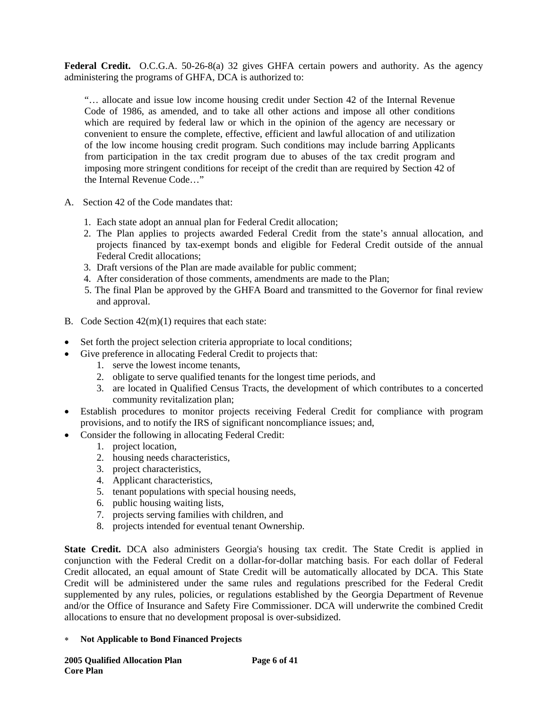**Federal Credit.** O.C.G.A. 50-26-8(a) 32 gives GHFA certain powers and authority. As the agency administering the programs of GHFA, DCA is authorized to:

"… allocate and issue low income housing credit under Section 42 of the Internal Revenue Code of 1986, as amended, and to take all other actions and impose all other conditions which are required by federal law or which in the opinion of the agency are necessary or convenient to ensure the complete, effective, efficient and lawful allocation of and utilization of the low income housing credit program. Such conditions may include barring Applicants from participation in the tax credit program due to abuses of the tax credit program and imposing more stringent conditions for receipt of the credit than are required by Section 42 of the Internal Revenue Code…"

- A. Section 42 of the Code mandates that:
	- 1. Each state adopt an annual plan for Federal Credit allocation;
	- 2. The Plan applies to projects awarded Federal Credit from the state's annual allocation, and projects financed by tax-exempt bonds and eligible for Federal Credit outside of the annual Federal Credit allocations;
	- 3. Draft versions of the Plan are made available for public comment;
	- 4. After consideration of those comments, amendments are made to the Plan;
	- 5. The final Plan be approved by the GHFA Board and transmitted to the Governor for final review and approval.
- B. Code Section 42(m)(1) requires that each state:
- Set forth the project selection criteria appropriate to local conditions;
- Give preference in allocating Federal Credit to projects that:
	- 1. serve the lowest income tenants,
	- 2. obligate to serve qualified tenants for the longest time periods, and
	- 3. are located in Qualified Census Tracts, the development of which contributes to a concerted community revitalization plan;
- Establish procedures to monitor projects receiving Federal Credit for compliance with program provisions, and to notify the IRS of significant noncompliance issues; and,
- Consider the following in allocating Federal Credit:
	- 1. project location,
	- 2. housing needs characteristics,
	- 3. project characteristics,
	- 4. Applicant characteristics,
	- 5. tenant populations with special housing needs,
	- 6. public housing waiting lists,
	- 7. projects serving families with children, and
	- 8. projects intended for eventual tenant Ownership.

**State Credit.** DCA also administers Georgia's housing tax credit. The State Credit is applied in conjunction with the Federal Credit on a dollar-for-dollar matching basis. For each dollar of Federal Credit allocated, an equal amount of State Credit will be automatically allocated by DCA. This State Credit will be administered under the same rules and regulations prescribed for the Federal Credit supplemented by any rules, policies, or regulations established by the Georgia Department of Revenue and/or the Office of Insurance and Safety Fire Commissioner. DCA will underwrite the combined Credit allocations to ensure that no development proposal is over-subsidized.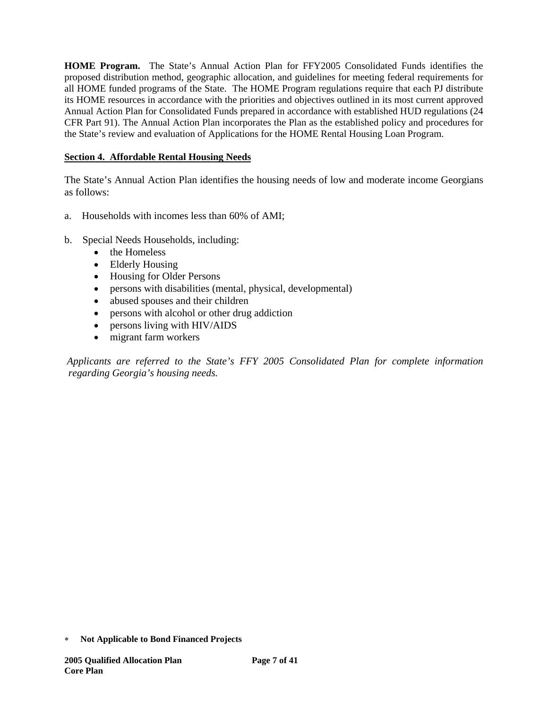**HOME Program.** The State's Annual Action Plan for FFY2005 Consolidated Funds identifies the proposed distribution method, geographic allocation, and guidelines for meeting federal requirements for all HOME funded programs of the State. The HOME Program regulations require that each PJ distribute its HOME resources in accordance with the priorities and objectives outlined in its most current approved Annual Action Plan for Consolidated Funds prepared in accordance with established HUD regulations (24 CFR Part 91). The Annual Action Plan incorporates the Plan as the established policy and procedures for the State's review and evaluation of Applications for the HOME Rental Housing Loan Program.

# **Section 4. Affordable Rental Housing Needs**

The State's Annual Action Plan identifies the housing needs of low and moderate income Georgians as follows:

- a. Households with incomes less than 60% of AMI;
- b. Special Needs Households, including:
	- the Homeless
	- Elderly Housing
	- Housing for Older Persons
	- persons with disabilities (mental, physical, developmental)
	- abused spouses and their children
	- persons with alcohol or other drug addiction
	- persons living with HIV/AIDS
	- migrant farm workers

 *Applicants are referred to the State's FFY 2005 Consolidated Plan for complete information regarding Georgia's housing needs.* 

<sup>∗</sup> **Not Applicable to Bond Financed Projects**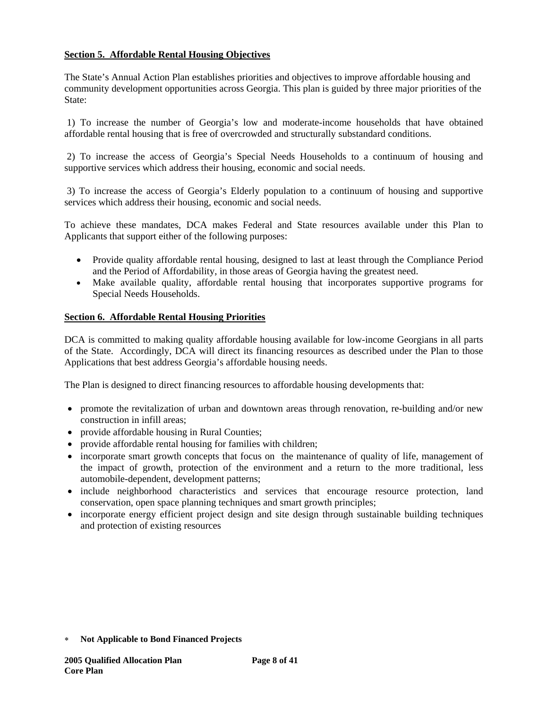# **Section 5. Affordable Rental Housing Objectives**

The State's Annual Action Plan establishes priorities and objectives to improve affordable housing and community development opportunities across Georgia. This plan is guided by three major priorities of the State:

 1) To increase the number of Georgia's low and moderate-income households that have obtained affordable rental housing that is free of overcrowded and structurally substandard conditions.

 2) To increase the access of Georgia's Special Needs Households to a continuum of housing and supportive services which address their housing, economic and social needs.

 3) To increase the access of Georgia's Elderly population to a continuum of housing and supportive services which address their housing, economic and social needs.

To achieve these mandates, DCA makes Federal and State resources available under this Plan to Applicants that support either of the following purposes:

- Provide quality affordable rental housing, designed to last at least through the Compliance Period and the Period of Affordability, in those areas of Georgia having the greatest need.
- Make available quality, affordable rental housing that incorporates supportive programs for Special Needs Households.

## **Section 6. Affordable Rental Housing Priorities**

DCA is committed to making quality affordable housing available for low-income Georgians in all parts of the State. Accordingly, DCA will direct its financing resources as described under the Plan to those Applications that best address Georgia's affordable housing needs.

The Plan is designed to direct financing resources to affordable housing developments that:

- promote the revitalization of urban and downtown areas through renovation, re-building and/or new construction in infill areas;
- provide affordable housing in Rural Counties;
- provide affordable rental housing for families with children;
- incorporate smart growth concepts that focus on the maintenance of quality of life, management of the impact of growth, protection of the environment and a return to the more traditional, less automobile-dependent, development patterns;
- include neighborhood characteristics and services that encourage resource protection, land conservation, open space planning techniques and smart growth principles;
- incorporate energy efficient project design and site design through sustainable building techniques and protection of existing resources

<sup>∗</sup> **Not Applicable to Bond Financed Projects**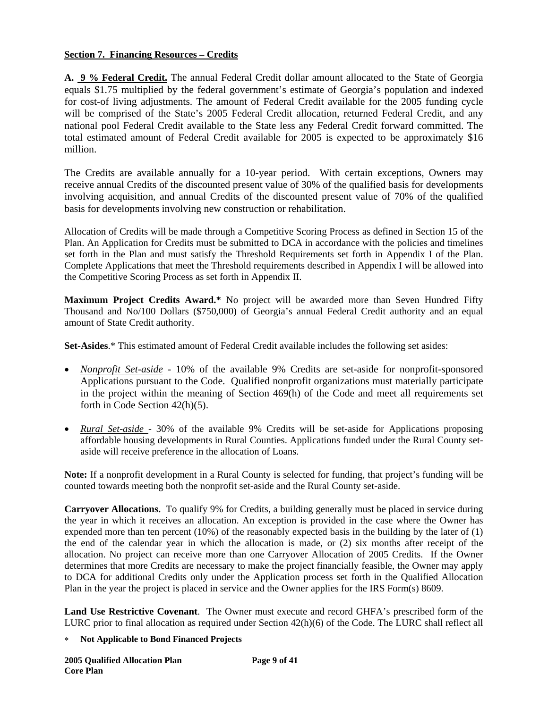# **Section 7. Financing Resources – Credits**

**A. 9 % Federal Credit.** The annual Federal Credit dollar amount allocated to the State of Georgia equals \$1.75 multiplied by the federal government's estimate of Georgia's population and indexed for cost-of living adjustments. The amount of Federal Credit available for the 2005 funding cycle will be comprised of the State's 2005 Federal Credit allocation, returned Federal Credit, and any national pool Federal Credit available to the State less any Federal Credit forward committed. The total estimated amount of Federal Credit available for 2005 is expected to be approximately \$16 million.

The Credits are available annually for a 10-year period. With certain exceptions, Owners may receive annual Credits of the discounted present value of 30% of the qualified basis for developments involving acquisition, and annual Credits of the discounted present value of 70% of the qualified basis for developments involving new construction or rehabilitation.

Allocation of Credits will be made through a Competitive Scoring Process as defined in Section 15 of the Plan. An Application for Credits must be submitted to DCA in accordance with the policies and timelines set forth in the Plan and must satisfy the Threshold Requirements set forth in Appendix I of the Plan. Complete Applications that meet the Threshold requirements described in Appendix I will be allowed into the Competitive Scoring Process as set forth in Appendix II.

**Maximum Project Credits Award.\*** No project will be awarded more than Seven Hundred Fifty Thousand and No/100 Dollars (\$750,000) of Georgia's annual Federal Credit authority and an equal amount of State Credit authority.

**Set-Asides**.\* This estimated amount of Federal Credit available includes the following set asides:

- *Nonprofit Set-aside* 10% of the available 9% Credits are set-aside for nonprofit-sponsored Applications pursuant to the Code. Qualified nonprofit organizations must materially participate in the project within the meaning of Section 469(h) of the Code and meet all requirements set forth in Code Section 42(h)(5).
- *Rural Set-aside*  30% of the available 9% Credits will be set-aside for Applications proposing affordable housing developments in Rural Counties. Applications funded under the Rural County setaside will receive preference in the allocation of Loans.

**Note:** If a nonprofit development in a Rural County is selected for funding, that project's funding will be counted towards meeting both the nonprofit set-aside and the Rural County set-aside.

**Carryover Allocations.** To qualify 9% for Credits, a building generally must be placed in service during the year in which it receives an allocation. An exception is provided in the case where the Owner has expended more than ten percent (10%) of the reasonably expected basis in the building by the later of (1) the end of the calendar year in which the allocation is made, or (2) six months after receipt of the allocation. No project can receive more than one Carryover Allocation of 2005 Credits. If the Owner determines that more Credits are necessary to make the project financially feasible, the Owner may apply to DCA for additional Credits only under the Application process set forth in the Qualified Allocation Plan in the year the project is placed in service and the Owner applies for the IRS Form(s) 8609.

**Land Use Restrictive Covenant**. The Owner must execute and record GHFA's prescribed form of the LURC prior to final allocation as required under Section 42(h)(6) of the Code. The LURC shall reflect all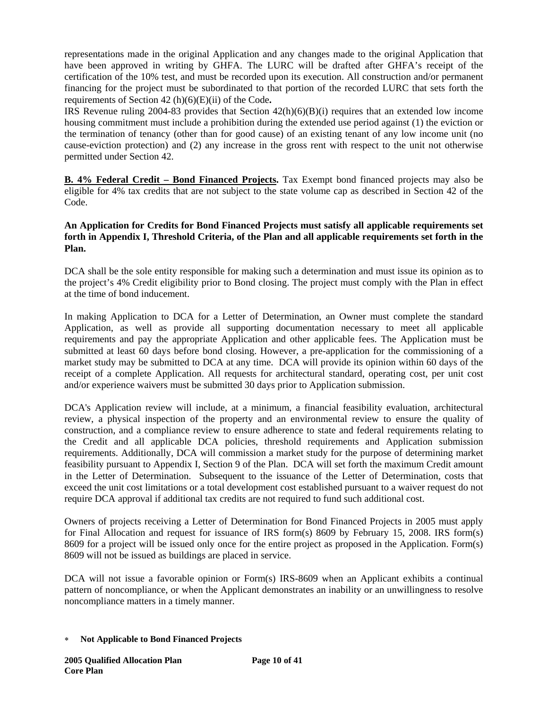representations made in the original Application and any changes made to the original Application that have been approved in writing by GHFA. The LURC will be drafted after GHFA's receipt of the certification of the 10% test, and must be recorded upon its execution. All construction and/or permanent financing for the project must be subordinated to that portion of the recorded LURC that sets forth the requirements of Section 42 (h)(6)(E)(ii) of the Code**.** 

IRS Revenue ruling 2004-83 provides that Section  $42(h)(6)(B)(i)$  requires that an extended low income housing commitment must include a prohibition during the extended use period against (1) the eviction or the termination of tenancy (other than for good cause) of an existing tenant of any low income unit (no cause-eviction protection) and (2) any increase in the gross rent with respect to the unit not otherwise permitted under Section 42.

**B. 4% Federal Credit – Bond Financed Projects.** Tax Exempt bond financed projects may also be eligible for 4% tax credits that are not subject to the state volume cap as described in Section 42 of the Code.

# **An Application for Credits for Bond Financed Projects must satisfy all applicable requirements set forth in Appendix I, Threshold Criteria, of the Plan and all applicable requirements set forth in the Plan.**

DCA shall be the sole entity responsible for making such a determination and must issue its opinion as to the project's 4% Credit eligibility prior to Bond closing. The project must comply with the Plan in effect at the time of bond inducement.

In making Application to DCA for a Letter of Determination, an Owner must complete the standard Application, as well as provide all supporting documentation necessary to meet all applicable requirements and pay the appropriate Application and other applicable fees. The Application must be submitted at least 60 days before bond closing. However, a pre-application for the commissioning of a market study may be submitted to DCA at any time. DCA will provide its opinion within 60 days of the receipt of a complete Application. All requests for architectural standard, operating cost, per unit cost and/or experience waivers must be submitted 30 days prior to Application submission.

DCA's Application review will include, at a minimum, a financial feasibility evaluation, architectural review, a physical inspection of the property and an environmental review to ensure the quality of construction, and a compliance review to ensure adherence to state and federal requirements relating to the Credit and all applicable DCA policies, threshold requirements and Application submission requirements. Additionally, DCA will commission a market study for the purpose of determining market feasibility pursuant to Appendix I, Section 9 of the Plan. DCA will set forth the maximum Credit amount in the Letter of Determination. Subsequent to the issuance of the Letter of Determination, costs that exceed the unit cost limitations or a total development cost established pursuant to a waiver request do not require DCA approval if additional tax credits are not required to fund such additional cost.

Owners of projects receiving a Letter of Determination for Bond Financed Projects in 2005 must apply for Final Allocation and request for issuance of IRS form(s) 8609 by February 15, 2008. IRS form(s) 8609 for a project will be issued only once for the entire project as proposed in the Application. Form(s) 8609 will not be issued as buildings are placed in service.

DCA will not issue a favorable opinion or Form(s) IRS-8609 when an Applicant exhibits a continual pattern of noncompliance, or when the Applicant demonstrates an inability or an unwillingness to resolve noncompliance matters in a timely manner.

<sup>∗</sup> **Not Applicable to Bond Financed Projects**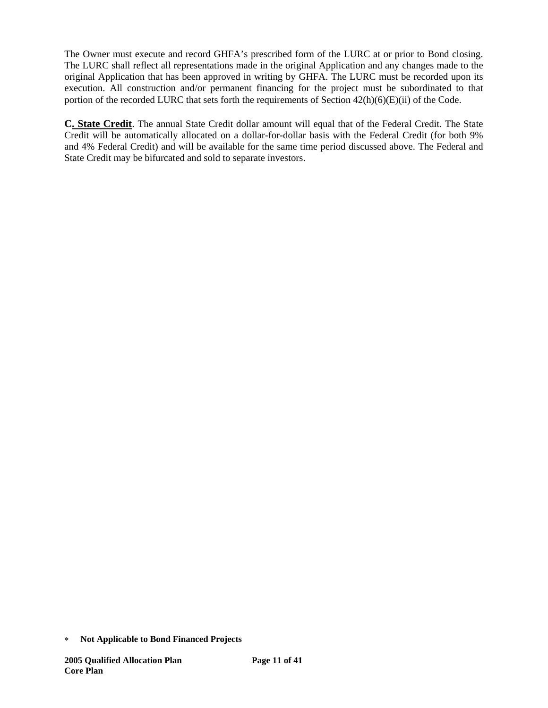The Owner must execute and record GHFA's prescribed form of the LURC at or prior to Bond closing. The LURC shall reflect all representations made in the original Application and any changes made to the original Application that has been approved in writing by GHFA. The LURC must be recorded upon its execution. All construction and/or permanent financing for the project must be subordinated to that portion of the recorded LURC that sets forth the requirements of Section  $42(h)(6)(E)(ii)$  of the Code.

**C. State Credit**. The annual State Credit dollar amount will equal that of the Federal Credit. The State Credit will be automatically allocated on a dollar-for-dollar basis with the Federal Credit (for both 9% and 4% Federal Credit) and will be available for the same time period discussed above. The Federal and State Credit may be bifurcated and sold to separate investors.

<sup>∗</sup> **Not Applicable to Bond Financed Projects**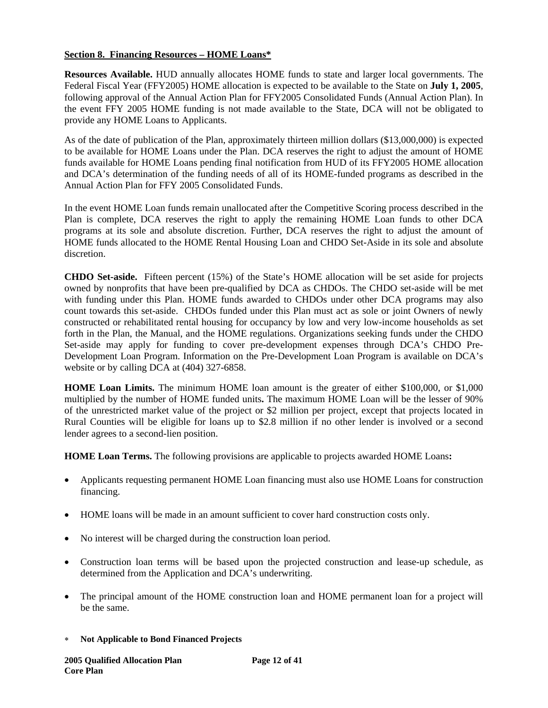# **Section 8. Financing Resources – HOME Loans\***

**Resources Available.** HUD annually allocates HOME funds to state and larger local governments. The Federal Fiscal Year (FFY2005) HOME allocation is expected to be available to the State on **July 1, 2005**, following approval of the Annual Action Plan for FFY2005 Consolidated Funds (Annual Action Plan). In the event FFY 2005 HOME funding is not made available to the State, DCA will not be obligated to provide any HOME Loans to Applicants.

As of the date of publication of the Plan, approximately thirteen million dollars (\$13,000,000) is expected to be available for HOME Loans under the Plan. DCA reserves the right to adjust the amount of HOME funds available for HOME Loans pending final notification from HUD of its FFY2005 HOME allocation and DCA's determination of the funding needs of all of its HOME-funded programs as described in the Annual Action Plan for FFY 2005 Consolidated Funds.

In the event HOME Loan funds remain unallocated after the Competitive Scoring process described in the Plan is complete, DCA reserves the right to apply the remaining HOME Loan funds to other DCA programs at its sole and absolute discretion. Further, DCA reserves the right to adjust the amount of HOME funds allocated to the HOME Rental Housing Loan and CHDO Set-Aside in its sole and absolute discretion.

**CHDO Set-aside.** Fifteen percent (15%) of the State's HOME allocation will be set aside for projects owned by nonprofits that have been pre-qualified by DCA as CHDOs. The CHDO set-aside will be met with funding under this Plan. HOME funds awarded to CHDOs under other DCA programs may also count towards this set-aside. CHDOs funded under this Plan must act as sole or joint Owners of newly constructed or rehabilitated rental housing for occupancy by low and very low-income households as set forth in the Plan, the Manual, and the HOME regulations. Organizations seeking funds under the CHDO Set-aside may apply for funding to cover pre-development expenses through DCA's CHDO Pre-Development Loan Program. Information on the Pre-Development Loan Program is available on DCA's website or by calling DCA at (404) 327-6858.

**HOME Loan Limits.** The minimum HOME loan amount is the greater of either \$100,000, or \$1,000 multiplied by the number of HOME funded units**.** The maximum HOME Loan will be the lesser of 90% of the unrestricted market value of the project or \$2 million per project, except that projects located in Rural Counties will be eligible for loans up to \$2.8 million if no other lender is involved or a second lender agrees to a second-lien position.

**HOME Loan Terms.** The following provisions are applicable to projects awarded HOME Loans**:** 

- Applicants requesting permanent HOME Loan financing must also use HOME Loans for construction financing.
- HOME loans will be made in an amount sufficient to cover hard construction costs only.
- No interest will be charged during the construction loan period.
- Construction loan terms will be based upon the projected construction and lease-up schedule, as determined from the Application and DCA's underwriting.
- The principal amount of the HOME construction loan and HOME permanent loan for a project will be the same.
- ∗ **Not Applicable to Bond Financed Projects**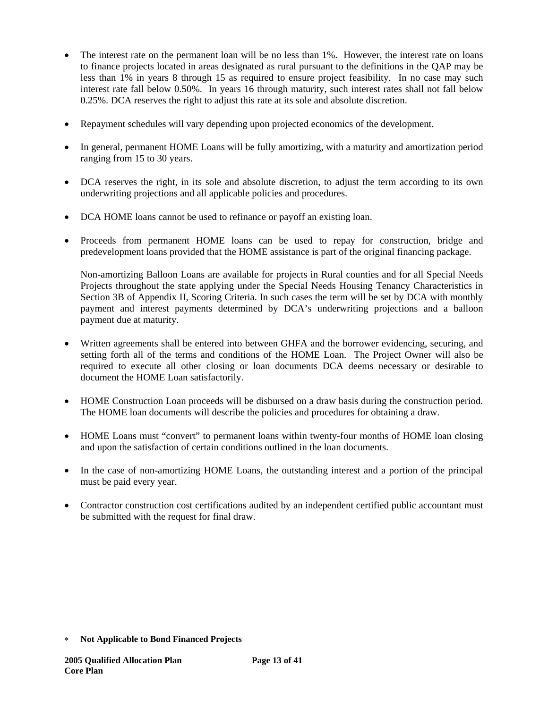- The interest rate on the permanent loan will be no less than 1%. However, the interest rate on loans to finance projects located in areas designated as rural pursuant to the definitions in the QAP may be less than 1% in years 8 through 15 as required to ensure project feasibility. In no case may such interest rate fall below 0.50%. In years 16 through maturity, such interest rates shall not fall below 0.25%. DCA reserves the right to adjust this rate at its sole and absolute discretion.
- Repayment schedules will vary depending upon projected economics of the development.
- In general, permanent HOME Loans will be fully amortizing, with a maturity and amortization period ranging from 15 to 30 years.
- DCA reserves the right, in its sole and absolute discretion, to adjust the term according to its own underwriting projections and all applicable policies and procedures.
- DCA HOME loans cannot be used to refinance or payoff an existing loan.
- Proceeds from permanent HOME loans can be used to repay for construction, bridge and predevelopment loans provided that the HOME assistance is part of the original financing package.

Non-amortizing Balloon Loans are available for projects in Rural counties and for all Special Needs Projects throughout the state applying under the Special Needs Housing Tenancy Characteristics in Section 3B of Appendix II, Scoring Criteria. In such cases the term will be set by DCA with monthly payment and interest payments determined by DCA's underwriting projections and a balloon payment due at maturity.

- Written agreements shall be entered into between GHFA and the borrower evidencing, securing, and setting forth all of the terms and conditions of the HOME Loan. The Project Owner will also be required to execute all other closing or loan documents DCA deems necessary or desirable to document the HOME Loan satisfactorily.
- HOME Construction Loan proceeds will be disbursed on a draw basis during the construction period. The HOME loan documents will describe the policies and procedures for obtaining a draw.
- HOME Loans must "convert" to permanent loans within twenty-four months of HOME loan closing and upon the satisfaction of certain conditions outlined in the loan documents.
- In the case of non-amortizing HOME Loans, the outstanding interest and a portion of the principal must be paid every year.
- Contractor construction cost certifications audited by an independent certified public accountant must be submitted with the request for final draw.

<sup>∗</sup> **Not Applicable to Bond Financed Projects**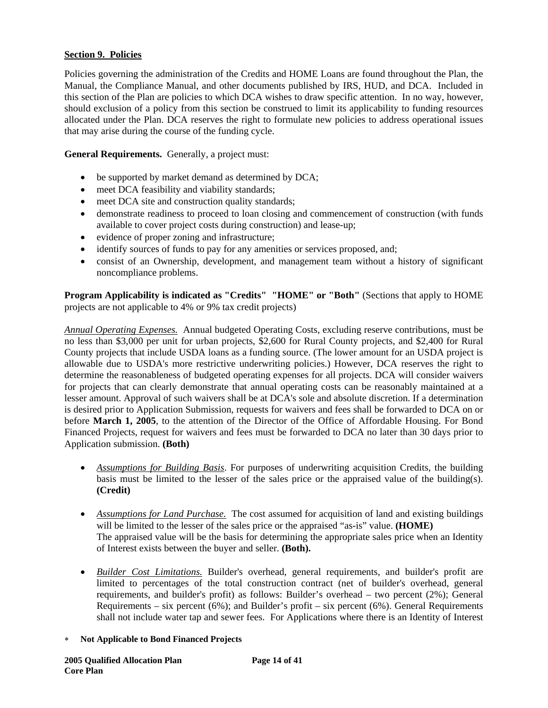# **Section 9. Policies**

Policies governing the administration of the Credits and HOME Loans are found throughout the Plan, the Manual, the Compliance Manual, and other documents published by IRS, HUD, and DCA. Included in this section of the Plan are policies to which DCA wishes to draw specific attention. In no way, however, should exclusion of a policy from this section be construed to limit its applicability to funding resources allocated under the Plan. DCA reserves the right to formulate new policies to address operational issues that may arise during the course of the funding cycle.

**General Requirements.** Generally, a project must:

- be supported by market demand as determined by DCA;
- meet DCA feasibility and viability standards;
- meet DCA site and construction quality standards;
- demonstrate readiness to proceed to loan closing and commencement of construction (with funds available to cover project costs during construction) and lease-up;
- evidence of proper zoning and infrastructure;
- identify sources of funds to pay for any amenities or services proposed, and;
- consist of an Ownership, development, and management team without a history of significant noncompliance problems.

**Program Applicability is indicated as "Credits" "HOME" or "Both"** (Sections that apply to HOME projects are not applicable to 4% or 9% tax credit projects)

*Annual Operating Expenses.* Annual budgeted Operating Costs, excluding reserve contributions, must be no less than \$3,000 per unit for urban projects, \$2,600 for Rural County projects, and \$2,400 for Rural County projects that include USDA loans as a funding source. (The lower amount for an USDA project is allowable due to USDA's more restrictive underwriting policies.) However, DCA reserves the right to determine the reasonableness of budgeted operating expenses for all projects. DCA will consider waivers for projects that can clearly demonstrate that annual operating costs can be reasonably maintained at a lesser amount. Approval of such waivers shall be at DCA's sole and absolute discretion. If a determination is desired prior to Application Submission, requests for waivers and fees shall be forwarded to DCA on or before **March 1, 2005**, to the attention of the Director of the Office of Affordable Housing. For Bond Financed Projects, request for waivers and fees must be forwarded to DCA no later than 30 days prior to Application submission. **(Both)**

- *Assumptions for Building Basis*. For purposes of underwriting acquisition Credits, the building basis must be limited to the lesser of the sales price or the appraised value of the building(s). **(Credit)**
- *Assumptions for Land Purchase*. The cost assumed for acquisition of land and existing buildings will be limited to the lesser of the sales price or the appraised "as-is" value. **(HOME)**  The appraised value will be the basis for determining the appropriate sales price when an Identity of Interest exists between the buyer and seller. **(Both).**
- *Builder Cost Limitations.* Builder's overhead, general requirements, and builder's profit are limited to percentages of the total construction contract (net of builder's overhead, general requirements, and builder's profit) as follows: Builder's overhead – two percent (2%); General Requirements – six percent (6%); and Builder's profit – six percent (6%). General Requirements shall not include water tap and sewer fees. For Applications where there is an Identity of Interest
- ∗ **Not Applicable to Bond Financed Projects**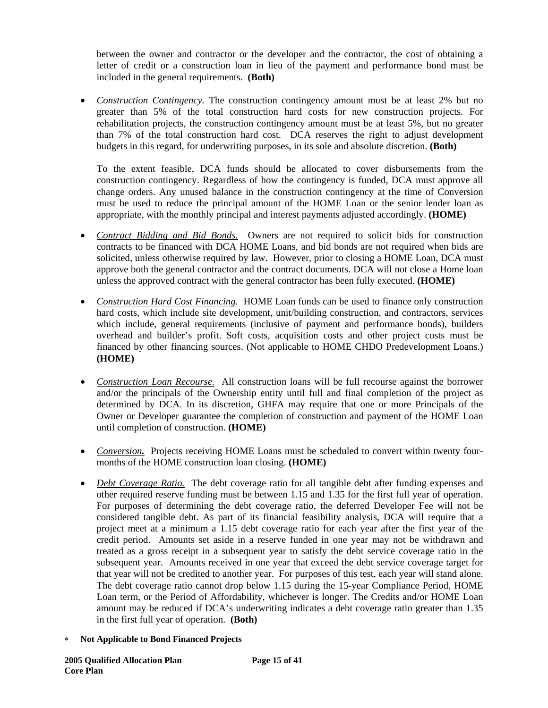between the owner and contractor or the developer and the contractor, the cost of obtaining a letter of credit or a construction loan in lieu of the payment and performance bond must be included in the general requirements. **(Both)** 

• *Construction Contingency*. The construction contingency amount must be at least 2% but no greater than 5% of the total construction hard costs for new construction projects. For rehabilitation projects, the construction contingency amount must be at least 5%, but no greater than 7% of the total construction hard cost. DCA reserves the right to adjust development budgets in this regard, for underwriting purposes, in its sole and absolute discretion. **(Both)**

To the extent feasible, DCA funds should be allocated to cover disbursements from the construction contingency. Regardless of how the contingency is funded, DCA must approve all change orders. Any unused balance in the construction contingency at the time of Conversion must be used to reduce the principal amount of the HOME Loan or the senior lender loan as appropriate, with the monthly principal and interest payments adjusted accordingly. **(HOME)**

- *Contract Bidding and Bid Bonds.* Owners are not required to solicit bids for construction contracts to be financed with DCA HOME Loans, and bid bonds are not required when bids are solicited, unless otherwise required by law. However, prior to closing a HOME Loan, DCA must approve both the general contractor and the contract documents. DCA will not close a Home loan unless the approved contract with the general contractor has been fully executed. **(HOME)**
- *Construction Hard Cost Financing.* HOME Loan funds can be used to finance only construction hard costs, which include site development, unit/building construction, and contractors, services which include, general requirements (inclusive of payment and performance bonds), builders overhead and builder's profit. Soft costs, acquisition costs and other project costs must be financed by other financing sources. (Not applicable to HOME CHDO Predevelopment Loans.) **(HOME)**
- *Construction Loan Recourse.* All construction loans will be full recourse against the borrower and/or the principals of the Ownership entity until full and final completion of the project as determined by DCA. In its discretion, GHFA may require that one or more Principals of the Owner or Developer guarantee the completion of construction and payment of the HOME Loan until completion of construction. **(HOME)**
- *Conversion*. Projects receiving HOME Loans must be scheduled to convert within twenty fourmonths of the HOME construction loan closing. **(HOME)**
- *Debt Coverage Ratio.* The debt coverage ratio for all tangible debt after funding expenses and other required reserve funding must be between 1.15 and 1.35 for the first full year of operation. For purposes of determining the debt coverage ratio, the deferred Developer Fee will not be considered tangible debt. As part of its financial feasibility analysis, DCA will require that a project meet at a minimum a 1.15 debt coverage ratio for each year after the first year of the credit period. Amounts set aside in a reserve funded in one year may not be withdrawn and treated as a gross receipt in a subsequent year to satisfy the debt service coverage ratio in the subsequent year. Amounts received in one year that exceed the debt service coverage target for that year will not be credited to another year. For purposes of this test, each year will stand alone. The debt coverage ratio cannot drop below 1.15 during the 15-year Compliance Period, HOME Loan term, or the Period of Affordability, whichever is longer. The Credits and/or HOME Loan amount may be reduced if DCA's underwriting indicates a debt coverage ratio greater than 1.35 in the first full year of operation. **(Both)**
- ∗ **Not Applicable to Bond Financed Projects**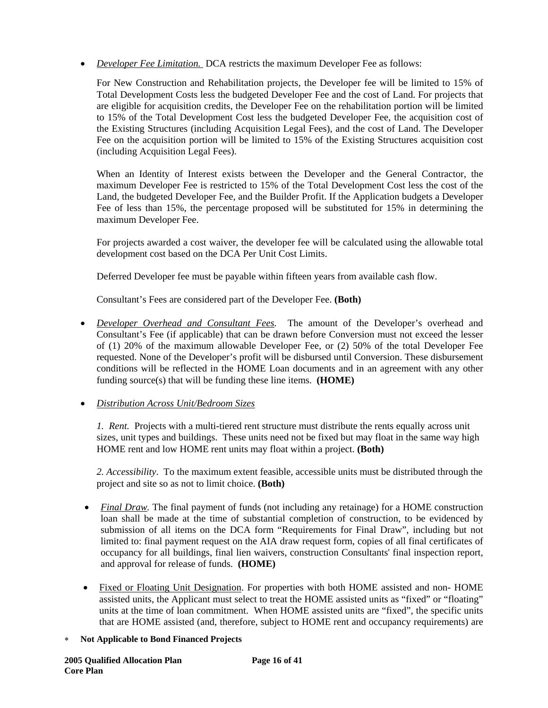• *Developer Fee Limitation.* DCA restricts the maximum Developer Fee as follows:

For New Construction and Rehabilitation projects, the Developer fee will be limited to 15% of Total Development Costs less the budgeted Developer Fee and the cost of Land. For projects that are eligible for acquisition credits, the Developer Fee on the rehabilitation portion will be limited to 15% of the Total Development Cost less the budgeted Developer Fee, the acquisition cost of the Existing Structures (including Acquisition Legal Fees), and the cost of Land. The Developer Fee on the acquisition portion will be limited to 15% of the Existing Structures acquisition cost (including Acquisition Legal Fees).

When an Identity of Interest exists between the Developer and the General Contractor, the maximum Developer Fee is restricted to 15% of the Total Development Cost less the cost of the Land, the budgeted Developer Fee, and the Builder Profit. If the Application budgets a Developer Fee of less than 15%, the percentage proposed will be substituted for 15% in determining the maximum Developer Fee.

For projects awarded a cost waiver, the developer fee will be calculated using the allowable total development cost based on the DCA Per Unit Cost Limits.

Deferred Developer fee must be payable within fifteen years from available cash flow.

Consultant's Fees are considered part of the Developer Fee. **(Both)** 

• *Developer Overhead and Consultant Fees.*The amount of the Developer's overhead and Consultant's Fee (if applicable) that can be drawn before Conversion must not exceed the lesser of (1) 20% of the maximum allowable Developer Fee, or (2) 50% of the total Developer Fee requested. None of the Developer's profit will be disbursed until Conversion. These disbursement conditions will be reflected in the HOME Loan documents and in an agreement with any other funding source(s) that will be funding these line items. **(HOME)** 

# • *Distribution Across Unit/Bedroom Sizes*

*1. Rent.* Projects with a multi-tiered rent structure must distribute the rents equally across unit sizes, unit types and buildings. These units need not be fixed but may float in the same way high HOME rent and low HOME rent units may float within a project. **(Both)**

*2. Accessibility*. To the maximum extent feasible, accessible units must be distributed through the project and site so as not to limit choice. **(Both)** 

- *Final Draw.* The final payment of funds (not including any retainage) for a HOME construction loan shall be made at the time of substantial completion of construction, to be evidenced by submission of all items on the DCA form "Requirements for Final Draw", including but not limited to: final payment request on the AIA draw request form, copies of all final certificates of occupancy for all buildings, final lien waivers, construction Consultants' final inspection report, and approval for release of funds. **(HOME)**
- Fixed or Floating Unit Designation. For properties with both HOME assisted and non-HOME assisted units, the Applicant must select to treat the HOME assisted units as "fixed" or "floating" units at the time of loan commitment. When HOME assisted units are "fixed", the specific units that are HOME assisted (and, therefore, subject to HOME rent and occupancy requirements) are
- ∗ **Not Applicable to Bond Financed Projects**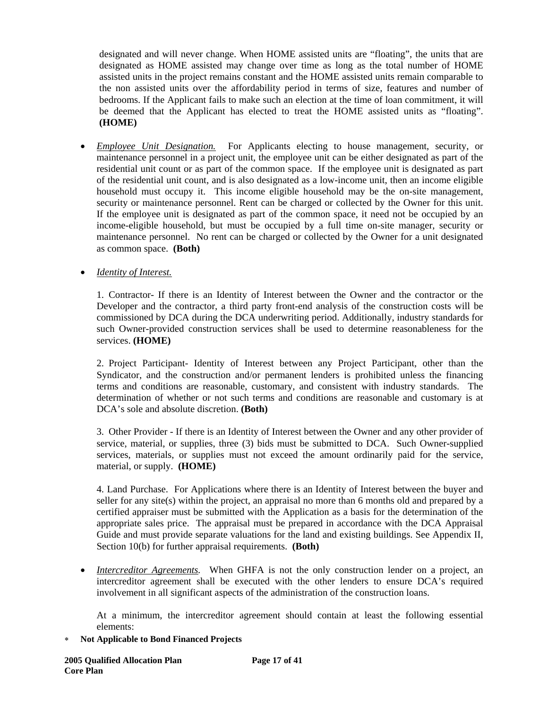designated and will never change. When HOME assisted units are "floating", the units that are designated as HOME assisted may change over time as long as the total number of HOME assisted units in the project remains constant and the HOME assisted units remain comparable to the non assisted units over the affordability period in terms of size, features and number of bedrooms. If the Applicant fails to make such an election at the time of loan commitment, it will be deemed that the Applicant has elected to treat the HOME assisted units as "floating". **(HOME)** 

• *Employee Unit Designation.* For Applicants electing to house management, security, or maintenance personnel in a project unit, the employee unit can be either designated as part of the residential unit count or as part of the common space. If the employee unit is designated as part of the residential unit count, and is also designated as a low-income unit, then an income eligible household must occupy it. This income eligible household may be the on-site management, security or maintenance personnel. Rent can be charged or collected by the Owner for this unit. If the employee unit is designated as part of the common space, it need not be occupied by an income-eligible household, but must be occupied by a full time on-site manager, security or maintenance personnel. No rent can be charged or collected by the Owner for a unit designated as common space. **(Both)** 

• *Identity of Interest.*

1. Contractor- If there is an Identity of Interest between the Owner and the contractor or the Developer and the contractor, a third party front-end analysis of the construction costs will be commissioned by DCA during the DCA underwriting period. Additionally, industry standards for such Owner-provided construction services shall be used to determine reasonableness for the services. **(HOME)** 

2. Project Participant- Identity of Interest between any Project Participant, other than the Syndicator, and the construction and/or permanent lenders is prohibited unless the financing terms and conditions are reasonable, customary, and consistent with industry standards. The determination of whether or not such terms and conditions are reasonable and customary is at DCA's sole and absolute discretion. **(Both)** 

3. Other Provider - If there is an Identity of Interest between the Owner and any other provider of service, material, or supplies, three (3) bids must be submitted to DCA. Such Owner-supplied services, materials, or supplies must not exceed the amount ordinarily paid for the service, material, or supply. **(HOME)** 

4. Land Purchase. For Applications where there is an Identity of Interest between the buyer and seller for any site(s) within the project, an appraisal no more than 6 months old and prepared by a certified appraiser must be submitted with the Application as a basis for the determination of the appropriate sales price. The appraisal must be prepared in accordance with the DCA Appraisal Guide and must provide separate valuations for the land and existing buildings. See Appendix II, Section 10(b) for further appraisal requirements. **(Both)** 

• *Intercreditor Agreements*. When GHFA is not the only construction lender on a project, an intercreditor agreement shall be executed with the other lenders to ensure DCA's required involvement in all significant aspects of the administration of the construction loans.

At a minimum, the intercreditor agreement should contain at least the following essential elements: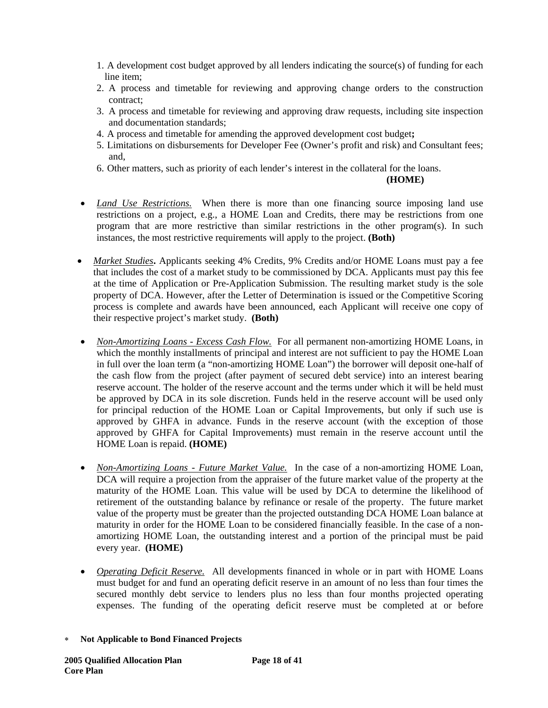- 1. A development cost budget approved by all lenders indicating the source(s) of funding for each line item;
- 2. A process and timetable for reviewing and approving change orders to the construction contract;
- 3. A process and timetable for reviewing and approving draw requests, including site inspection and documentation standards;
- 4. A process and timetable for amending the approved development cost budget**;**
- 5. Limitations on disbursements for Developer Fee (Owner's profit and risk) and Consultant fees; and,
- 6. Other matters, such as priority of each lender's interest in the collateral for the loans.

### **(HOME)**

- *Land Use Restrictions*. When there is more than one financing source imposing land use restrictions on a project, e.g., a HOME Loan and Credits, there may be restrictions from one program that are more restrictive than similar restrictions in the other program(s). In such instances, the most restrictive requirements will apply to the project. **(Both)**
- *Market Studies***.** Applicants seeking 4% Credits, 9% Credits and/or HOME Loans must pay a fee that includes the cost of a market study to be commissioned by DCA. Applicants must pay this fee at the time of Application or Pre-Application Submission. The resulting market study is the sole property of DCA. However, after the Letter of Determination is issued or the Competitive Scoring process is complete and awards have been announced, each Applicant will receive one copy of their respective project's market study. **(Both)**
- *Non-Amortizing Loans Excess Cash Flow.* For all permanent non-amortizing HOME Loans, in which the monthly installments of principal and interest are not sufficient to pay the HOME Loan in full over the loan term (a "non-amortizing HOME Loan") the borrower will deposit one-half of the cash flow from the project (after payment of secured debt service) into an interest bearing reserve account. The holder of the reserve account and the terms under which it will be held must be approved by DCA in its sole discretion. Funds held in the reserve account will be used only for principal reduction of the HOME Loan or Capital Improvements, but only if such use is approved by GHFA in advance. Funds in the reserve account (with the exception of those approved by GHFA for Capital Improvements) must remain in the reserve account until the HOME Loan is repaid. **(HOME)**
- *Non-Amortizing Loans Future Market Value.* In the case of a non-amortizing HOME Loan, DCA will require a projection from the appraiser of the future market value of the property at the maturity of the HOME Loan. This value will be used by DCA to determine the likelihood of retirement of the outstanding balance by refinance or resale of the property. The future market value of the property must be greater than the projected outstanding DCA HOME Loan balance at maturity in order for the HOME Loan to be considered financially feasible. In the case of a nonamortizing HOME Loan, the outstanding interest and a portion of the principal must be paid every year. **(HOME)**
- *Operating Deficit Reserve.* All developments financed in whole or in part with HOME Loans must budget for and fund an operating deficit reserve in an amount of no less than four times the secured monthly debt service to lenders plus no less than four months projected operating expenses. The funding of the operating deficit reserve must be completed at or before
- ∗ **Not Applicable to Bond Financed Projects**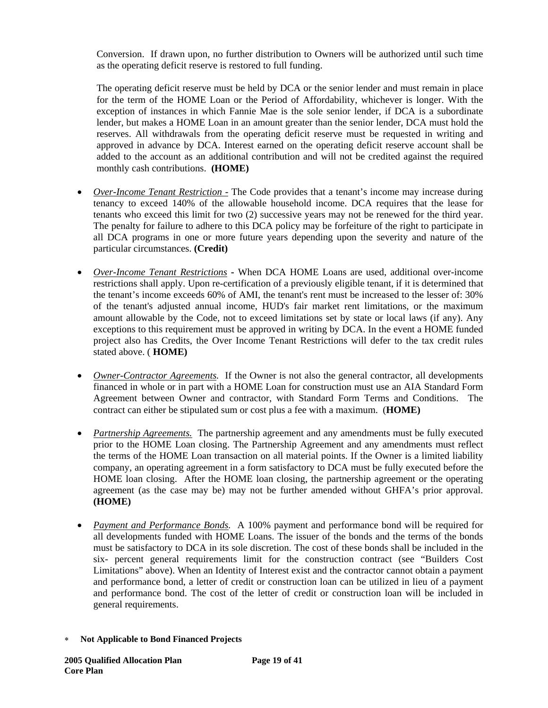Conversion. If drawn upon, no further distribution to Owners will be authorized until such time as the operating deficit reserve is restored to full funding.

The operating deficit reserve must be held by DCA or the senior lender and must remain in place for the term of the HOME Loan or the Period of Affordability, whichever is longer. With the exception of instances in which Fannie Mae is the sole senior lender, if DCA is a subordinate lender, but makes a HOME Loan in an amount greater than the senior lender, DCA must hold the reserves. All withdrawals from the operating deficit reserve must be requested in writing and approved in advance by DCA. Interest earned on the operating deficit reserve account shall be added to the account as an additional contribution and will not be credited against the required monthly cash contributions. **(HOME)** 

- *Over-Income Tenant Restriction -* The Code provides that a tenant's income may increase during tenancy to exceed 140% of the allowable household income. DCA requires that the lease for tenants who exceed this limit for two (2) successive years may not be renewed for the third year. The penalty for failure to adhere to this DCA policy may be forfeiture of the right to participate in all DCA programs in one or more future years depending upon the severity and nature of the particular circumstances. **(Credit)**
- *Over-Income Tenant Restrictions*When DCA HOME Loans are used, additional over-income restrictions shall apply. Upon re-certification of a previously eligible tenant, if it is determined that the tenant's income exceeds 60% of AMI, the tenant's rent must be increased to the lesser of: 30% of the tenant's adjusted annual income, HUD's fair market rent limitations, or the maximum amount allowable by the Code, not to exceed limitations set by state or local laws (if any). Any exceptions to this requirement must be approved in writing by DCA. In the event a HOME funded project also has Credits, the Over Income Tenant Restrictions will defer to the tax credit rules stated above. ( **HOME)**
- *Owner-Contractor Agreements.* If the Owner is not also the general contractor, all developments financed in whole or in part with a HOME Loan for construction must use an AIA Standard Form Agreement between Owner and contractor, with Standard Form Terms and Conditions. The contract can either be stipulated sum or cost plus a fee with a maximum. (**HOME)**
- *Partnership Agreements*. The partnership agreement and any amendments must be fully executed prior to the HOME Loan closing. The Partnership Agreement and any amendments must reflect the terms of the HOME Loan transaction on all material points. If the Owner is a limited liability company, an operating agreement in a form satisfactory to DCA must be fully executed before the HOME loan closing. After the HOME loan closing, the partnership agreement or the operating agreement (as the case may be) may not be further amended without GHFA's prior approval. **(HOME)**
- *Payment and Performance Bonds.*A 100% payment and performance bond will be required for all developments funded with HOME Loans. The issuer of the bonds and the terms of the bonds must be satisfactory to DCA in its sole discretion. The cost of these bonds shall be included in the six- percent general requirements limit for the construction contract (see "Builders Cost Limitations" above). When an Identity of Interest exist and the contractor cannot obtain a payment and performance bond, a letter of credit or construction loan can be utilized in lieu of a payment and performance bond. The cost of the letter of credit or construction loan will be included in general requirements.
- ∗ **Not Applicable to Bond Financed Projects**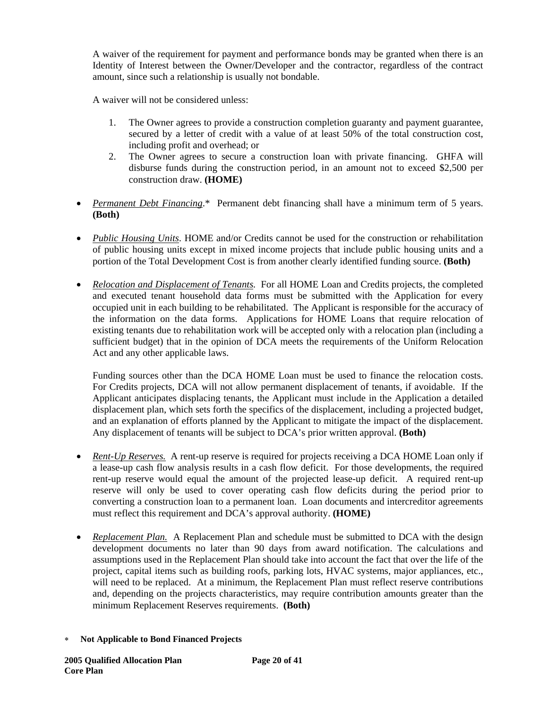A waiver of the requirement for payment and performance bonds may be granted when there is an Identity of Interest between the Owner/Developer and the contractor, regardless of the contract amount, since such a relationship is usually not bondable.

A waiver will not be considered unless:

- 1. The Owner agrees to provide a construction completion guaranty and payment guarantee, secured by a letter of credit with a value of at least 50% of the total construction cost, including profit and overhead; or
- 2. The Owner agrees to secure a construction loan with private financing. GHFA will disburse funds during the construction period, in an amount not to exceed \$2,500 per construction draw. **(HOME)**
- *Permanent Debt Financing*.\* Permanent debt financing shall have a minimum term of 5 years. **(Both)**
- *Public Housing Units*. HOME and/or Credits cannot be used for the construction or rehabilitation of public housing units except in mixed income projects that include public housing units and a portion of the Total Development Cost is from another clearly identified funding source. **(Both)**
- *Relocation and Displacement of Tenants.* For all HOME Loan and Credits projects, the completed and executed tenant household data forms must be submitted with the Application for every occupied unit in each building to be rehabilitated. The Applicant is responsible for the accuracy of the information on the data forms. Applications for HOME Loans that require relocation of existing tenants due to rehabilitation work will be accepted only with a relocation plan (including a sufficient budget) that in the opinion of DCA meets the requirements of the Uniform Relocation Act and any other applicable laws.

Funding sources other than the DCA HOME Loan must be used to finance the relocation costs. For Credits projects, DCA will not allow permanent displacement of tenants, if avoidable. If the Applicant anticipates displacing tenants, the Applicant must include in the Application a detailed displacement plan, which sets forth the specifics of the displacement, including a projected budget, and an explanation of efforts planned by the Applicant to mitigate the impact of the displacement. Any displacement of tenants will be subject to DCA's prior written approval. **(Both)** 

- *Rent-Up Reserves.* A rent-up reserve is required for projects receiving a DCA HOME Loan only if a lease-up cash flow analysis results in a cash flow deficit. For those developments, the required rent-up reserve would equal the amount of the projected lease-up deficit. A required rent-up reserve will only be used to cover operating cash flow deficits during the period prior to converting a construction loan to a permanent loan. Loan documents and intercreditor agreements must reflect this requirement and DCA's approval authority. **(HOME)**
- *Replacement Plan.* A Replacement Plan and schedule must be submitted to DCA with the design development documents no later than 90 days from award notification. The calculations and assumptions used in the Replacement Plan should take into account the fact that over the life of the project, capital items such as building roofs, parking lots, HVAC systems, major appliances, etc., will need to be replaced. At a minimum, the Replacement Plan must reflect reserve contributions and, depending on the projects characteristics, may require contribution amounts greater than the minimum Replacement Reserves requirements. **(Both)**
- ∗ **Not Applicable to Bond Financed Projects**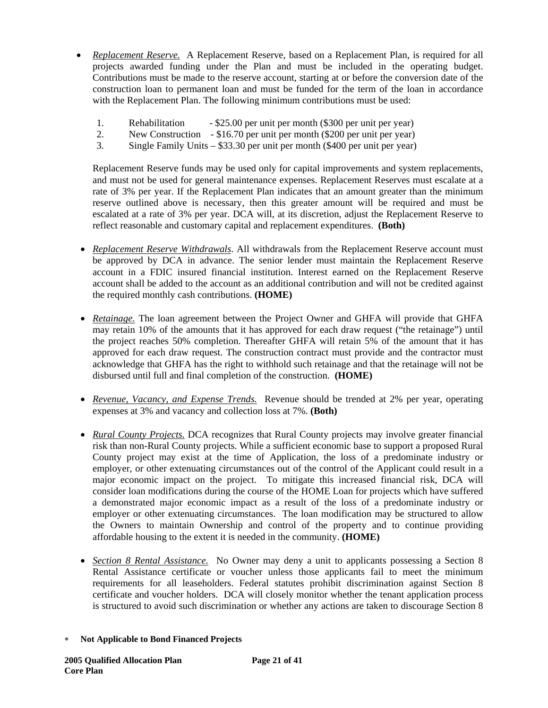- *Replacement Reserve.* A Replacement Reserve, based on a Replacement Plan, is required for all projects awarded funding under the Plan and must be included in the operating budget. Contributions must be made to the reserve account, starting at or before the conversion date of the construction loan to permanent loan and must be funded for the term of the loan in accordance with the Replacement Plan. The following minimum contributions must be used:
	- 1. Rehabilitation \$25.00 per unit per month (\$300 per unit per year)
	- 2. New Construction \$16.70 per unit per month (\$200 per unit per year)
	- 3. Single Family Units \$33.30 per unit per month (\$400 per unit per year)

Replacement Reserve funds may be used only for capital improvements and system replacements, and must not be used for general maintenance expenses. Replacement Reserves must escalate at a rate of 3% per year. If the Replacement Plan indicates that an amount greater than the minimum reserve outlined above is necessary, then this greater amount will be required and must be escalated at a rate of 3% per year. DCA will, at its discretion, adjust the Replacement Reserve to reflect reasonable and customary capital and replacement expenditures. **(Both)** 

- *Replacement Reserve Withdrawals*. All withdrawals from the Replacement Reserve account must be approved by DCA in advance. The senior lender must maintain the Replacement Reserve account in a FDIC insured financial institution. Interest earned on the Replacement Reserve account shall be added to the account as an additional contribution and will not be credited against the required monthly cash contributions. **(HOME)**
- *Retainage*. The loan agreement between the Project Owner and GHFA will provide that GHFA may retain 10% of the amounts that it has approved for each draw request ("the retainage") until the project reaches 50% completion. Thereafter GHFA will retain 5% of the amount that it has approved for each draw request. The construction contract must provide and the contractor must acknowledge that GHFA has the right to withhold such retainage and that the retainage will not be disbursed until full and final completion of the construction. **(HOME)**
- *Revenue, Vacancy, and Expense Trends.* Revenue should be trended at 2% per year, operating expenses at 3% and vacancy and collection loss at 7%. **(Both)**
- *Rural County Projects.* DCA recognizes that Rural County projects may involve greater financial risk than non-Rural County projects. While a sufficient economic base to support a proposed Rural County project may exist at the time of Application, the loss of a predominate industry or employer, or other extenuating circumstances out of the control of the Applicant could result in a major economic impact on the project. To mitigate this increased financial risk, DCA will consider loan modifications during the course of the HOME Loan for projects which have suffered a demonstrated major economic impact as a result of the loss of a predominate industry or employer or other extenuating circumstances. The loan modification may be structured to allow the Owners to maintain Ownership and control of the property and to continue providing affordable housing to the extent it is needed in the community. **(HOME)**
- *Section 8 Rental Assistance.* No Owner may deny a unit to applicants possessing a Section 8 Rental Assistance certificate or voucher unless those applicants fail to meet the minimum requirements for all leaseholders. Federal statutes prohibit discrimination against Section 8 certificate and voucher holders. DCA will closely monitor whether the tenant application process is structured to avoid such discrimination or whether any actions are taken to discourage Section 8

<sup>∗</sup> **Not Applicable to Bond Financed Projects**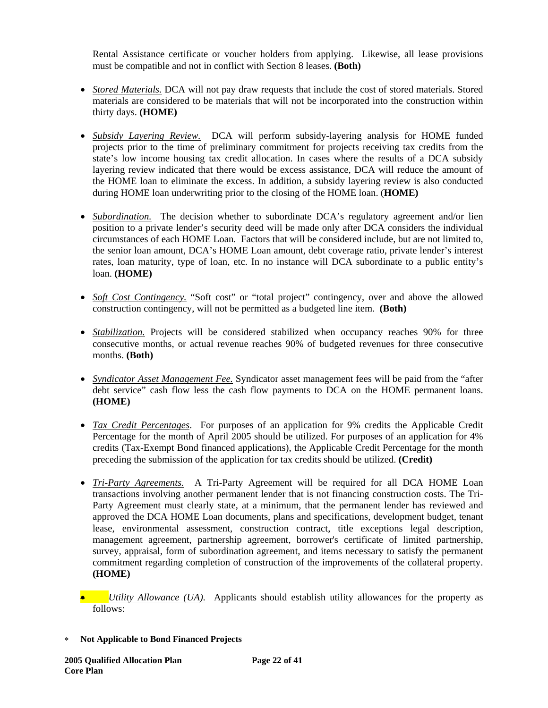Rental Assistance certificate or voucher holders from applying. Likewise, all lease provisions must be compatible and not in conflict with Section 8 leases. **(Both)**

- *Stored Materials.* DCA will not pay draw requests that include the cost of stored materials. Stored materials are considered to be materials that will not be incorporated into the construction within thirty days. **(HOME)**
- *Subsidy Layering Review.* DCA will perform subsidy-layering analysis for HOME funded projects prior to the time of preliminary commitment for projects receiving tax credits from the state's low income housing tax credit allocation. In cases where the results of a DCA subsidy layering review indicated that there would be excess assistance, DCA will reduce the amount of the HOME loan to eliminate the excess. In addition, a subsidy layering review is also conducted during HOME loan underwriting prior to the closing of the HOME loan. (**HOME)**
- *Subordination*. The decision whether to subordinate DCA's regulatory agreement and/or lien position to a private lender's security deed will be made only after DCA considers the individual circumstances of each HOME Loan. Factors that will be considered include, but are not limited to, the senior loan amount, DCA's HOME Loan amount, debt coverage ratio, private lender's interest rates, loan maturity, type of loan, etc. In no instance will DCA subordinate to a public entity's loan. **(HOME)**
- *Soft Cost Contingency*. "Soft cost" or "total project" contingency, over and above the allowed construction contingency, will not be permitted as a budgeted line item. **(Both)**
- *Stabilization.* Projects will be considered stabilized when occupancy reaches 90% for three consecutive months, or actual revenue reaches 90% of budgeted revenues for three consecutive months. **(Both)**
- *Syndicator Asset Management Fee.* Syndicator asset management fees will be paid from the "after debt service" cash flow less the cash flow payments to DCA on the HOME permanent loans. **(HOME)**
- *Tax Credit Percentages*. For purposes of an application for 9% credits the Applicable Credit Percentage for the month of April 2005 should be utilized. For purposes of an application for 4% credits (Tax-Exempt Bond financed applications), the Applicable Credit Percentage for the month preceding the submission of the application for tax credits should be utilized. **(Credit)**
- *Tri-Party Agreements.* A Tri-Party Agreement will be required for all DCA HOME Loan transactions involving another permanent lender that is not financing construction costs. The Tri-Party Agreement must clearly state, at a minimum, that the permanent lender has reviewed and approved the DCA HOME Loan documents, plans and specifications, development budget, tenant lease, environmental assessment, construction contract, title exceptions legal description, management agreement, partnership agreement, borrower's certificate of limited partnership, survey, appraisal, form of subordination agreement, and items necessary to satisfy the permanent commitment regarding completion of construction of the improvements of the collateral property. **(HOME)**
- *Utility Allowance (UA).* Applicants should establish utility allowances for the property as follows:
- ∗ **Not Applicable to Bond Financed Projects**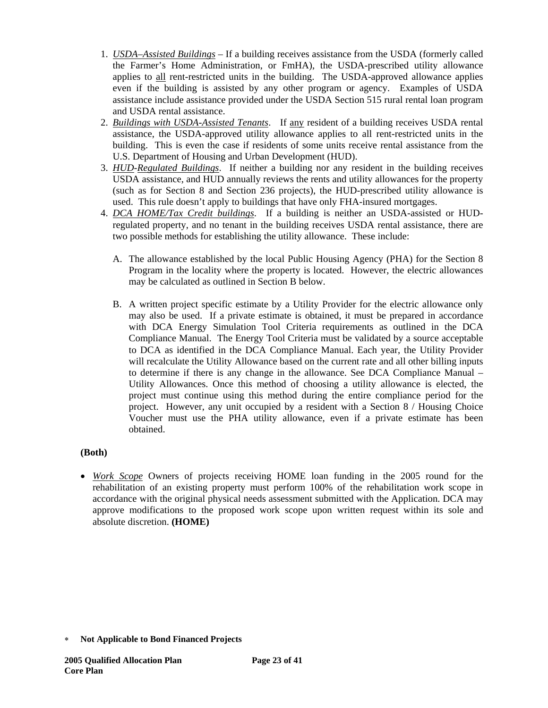- 1. *USDA–Assisted Buildings* If a building receives assistance from the USDA (formerly called the Farmer's Home Administration, or FmHA), the USDA-prescribed utility allowance applies to all rent-restricted units in the building. The USDA-approved allowance applies even if the building is assisted by any other program or agency. Examples of USDA assistance include assistance provided under the USDA Section 515 rural rental loan program and USDA rental assistance.
- 2. *Buildings with USDA-Assisted Tenants*. If any resident of a building receives USDA rental assistance, the USDA-approved utility allowance applies to all rent-restricted units in the building. This is even the case if residents of some units receive rental assistance from the U.S. Department of Housing and Urban Development (HUD).
- 3. *HUD-Regulated Buildings*. If neither a building nor any resident in the building receives USDA assistance, and HUD annually reviews the rents and utility allowances for the property (such as for Section 8 and Section 236 projects), the HUD-prescribed utility allowance is used. This rule doesn't apply to buildings that have only FHA-insured mortgages.
- 4. *DCA HOME/Tax Credit buildings*. If a building is neither an USDA-assisted or HUDregulated property, and no tenant in the building receives USDA rental assistance, there are two possible methods for establishing the utility allowance. These include:
	- A. The allowance established by the local Public Housing Agency (PHA) for the Section 8 Program in the locality where the property is located. However, the electric allowances may be calculated as outlined in Section B below.
	- B. A written project specific estimate by a Utility Provider for the electric allowance only may also be used. If a private estimate is obtained, it must be prepared in accordance with DCA Energy Simulation Tool Criteria requirements as outlined in the DCA Compliance Manual. The Energy Tool Criteria must be validated by a source acceptable to DCA as identified in the DCA Compliance Manual. Each year, the Utility Provider will recalculate the Utility Allowance based on the current rate and all other billing inputs to determine if there is any change in the allowance. See DCA Compliance Manual – Utility Allowances. Once this method of choosing a utility allowance is elected, the project must continue using this method during the entire compliance period for the project.However, any unit occupied by a resident with a Section 8 / Housing Choice Voucher must use the PHA utility allowance, even if a private estimate has been obtained.

# **(Both)**

• *Work Scope* Owners of projects receiving HOME loan funding in the 2005 round for the rehabilitation of an existing property must perform 100% of the rehabilitation work scope in accordance with the original physical needs assessment submitted with the Application. DCA may approve modifications to the proposed work scope upon written request within its sole and absolute discretion. **(HOME)**

<sup>∗</sup> **Not Applicable to Bond Financed Projects**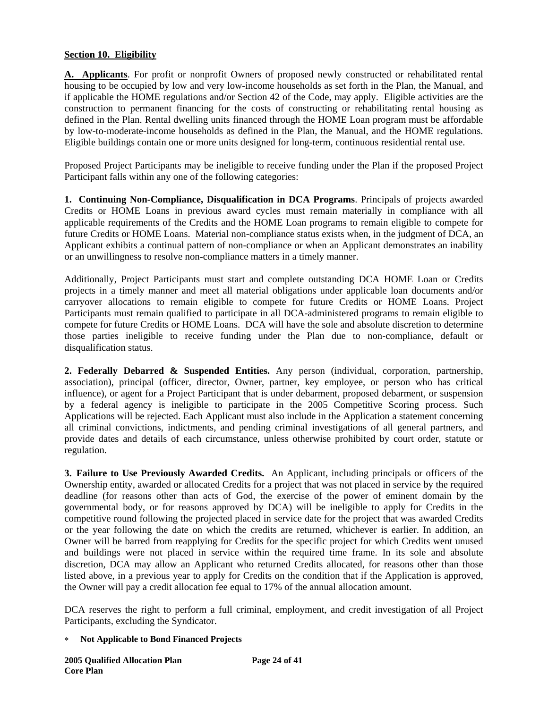# **Section 10. Eligibility**

**A. Applicants**. For profit or nonprofit Owners of proposed newly constructed or rehabilitated rental housing to be occupied by low and very low-income households as set forth in the Plan, the Manual, and if applicable the HOME regulations and/or Section 42 of the Code, may apply. Eligible activities are the construction to permanent financing for the costs of constructing or rehabilitating rental housing as defined in the Plan. Rental dwelling units financed through the HOME Loan program must be affordable by low-to-moderate-income households as defined in the Plan, the Manual, and the HOME regulations. Eligible buildings contain one or more units designed for long-term, continuous residential rental use.

Proposed Project Participants may be ineligible to receive funding under the Plan if the proposed Project Participant falls within any one of the following categories:

**1. Continuing Non-Compliance, Disqualification in DCA Programs**. Principals of projects awarded Credits or HOME Loans in previous award cycles must remain materially in compliance with all applicable requirements of the Credits and the HOME Loan programs to remain eligible to compete for future Credits or HOME Loans. Material non-compliance status exists when, in the judgment of DCA, an Applicant exhibits a continual pattern of non-compliance or when an Applicant demonstrates an inability or an unwillingness to resolve non-compliance matters in a timely manner.

Additionally, Project Participants must start and complete outstanding DCA HOME Loan or Credits projects in a timely manner and meet all material obligations under applicable loan documents and/or carryover allocations to remain eligible to compete for future Credits or HOME Loans. Project Participants must remain qualified to participate in all DCA-administered programs to remain eligible to compete for future Credits or HOME Loans. DCA will have the sole and absolute discretion to determine those parties ineligible to receive funding under the Plan due to non-compliance, default or disqualification status.

**2. Federally Debarred & Suspended Entities.** Any person (individual, corporation, partnership, association), principal (officer, director, Owner, partner, key employee, or person who has critical influence), or agent for a Project Participant that is under debarment, proposed debarment, or suspension by a federal agency is ineligible to participate in the 2005 Competitive Scoring process. Such Applications will be rejected. Each Applicant must also include in the Application a statement concerning all criminal convictions, indictments, and pending criminal investigations of all general partners, and provide dates and details of each circumstance, unless otherwise prohibited by court order, statute or regulation.

**3. Failure to Use Previously Awarded Credits.** An Applicant, including principals or officers of the Ownership entity, awarded or allocated Credits for a project that was not placed in service by the required deadline (for reasons other than acts of God, the exercise of the power of eminent domain by the governmental body, or for reasons approved by DCA) will be ineligible to apply for Credits in the competitive round following the projected placed in service date for the project that was awarded Credits or the year following the date on which the credits are returned, whichever is earlier. In addition, an Owner will be barred from reapplying for Credits for the specific project for which Credits went unused and buildings were not placed in service within the required time frame. In its sole and absolute discretion, DCA may allow an Applicant who returned Credits allocated, for reasons other than those listed above, in a previous year to apply for Credits on the condition that if the Application is approved, the Owner will pay a credit allocation fee equal to 17% of the annual allocation amount.

DCA reserves the right to perform a full criminal, employment, and credit investigation of all Project Participants, excluding the Syndicator.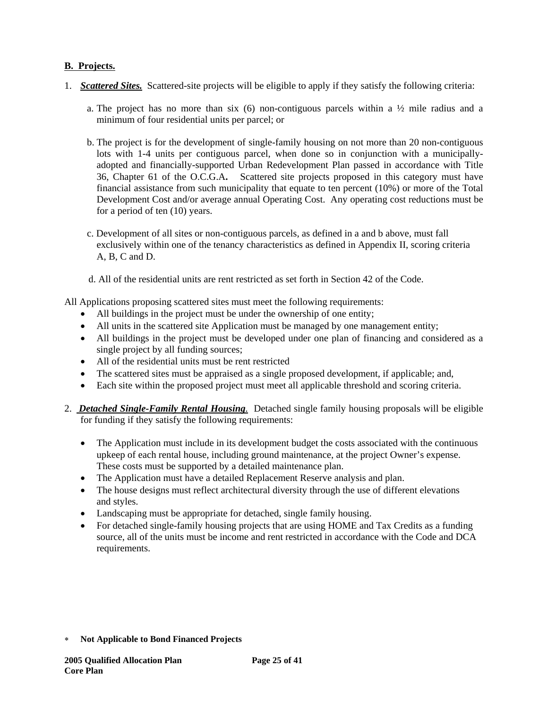# **B. Projects.**

- 1. *Scattered Sites.*Scattered-site projects will be eligible to apply if they satisfy the following criteria:
	- a. The project has no more than six  $(6)$  non-contiguous parcels within a  $\frac{1}{2}$  mile radius and a minimum of four residential units per parcel; or
	- b. The project is for the development of single-family housing on not more than 20 non-contiguous lots with 1-4 units per contiguous parcel, when done so in conjunction with a municipallyadopted and financially-supported Urban Redevelopment Plan passed in accordance with Title 36, Chapter 61 of the O.C.G.A**.** Scattered site projects proposed in this category must have financial assistance from such municipality that equate to ten percent (10%) or more of the Total Development Cost and/or average annual Operating Cost. Any operating cost reductions must be for a period of ten (10) years.
	- c. Development of all sites or non-contiguous parcels, as defined in a and b above, must fall exclusively within one of the tenancy characteristics as defined in Appendix II, scoring criteria A, B, C and D.
	- d. All of the residential units are rent restricted as set forth in Section 42 of the Code.

All Applications proposing scattered sites must meet the following requirements:

- All buildings in the project must be under the ownership of one entity;
- All units in the scattered site Application must be managed by one management entity;
- All buildings in the project must be developed under one plan of financing and considered as a single project by all funding sources;
- All of the residential units must be rent restricted
- The scattered sites must be appraised as a single proposed development, if applicable; and,
- Each site within the proposed project must meet all applicable threshold and scoring criteria.
- 2. *Detached Single-Family Rental Housing.* Detached single family housing proposals will be eligible for funding if they satisfy the following requirements:
	- The Application must include in its development budget the costs associated with the continuous upkeep of each rental house, including ground maintenance, at the project Owner's expense. These costs must be supported by a detailed maintenance plan.
	- The Application must have a detailed Replacement Reserve analysis and plan.
	- The house designs must reflect architectural diversity through the use of different elevations and styles.
	- Landscaping must be appropriate for detached, single family housing.
	- For detached single-family housing projects that are using HOME and Tax Credits as a funding source, all of the units must be income and rent restricted in accordance with the Code and DCA requirements.

<sup>∗</sup> **Not Applicable to Bond Financed Projects**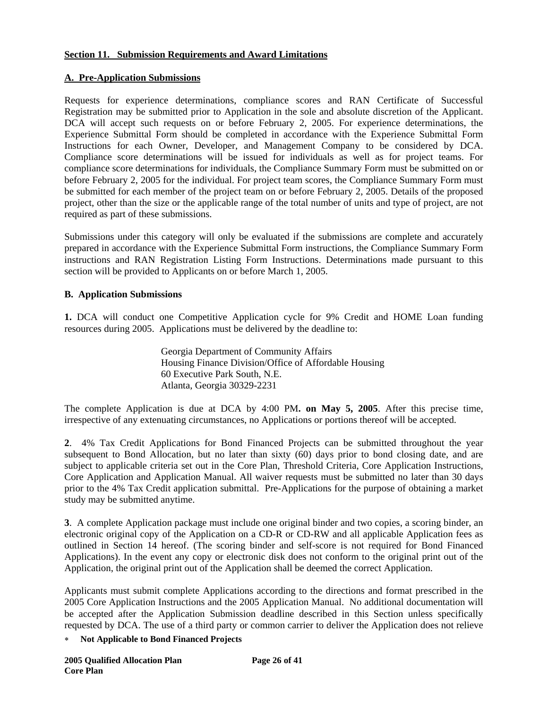## **Section 11. Submission Requirements and Award Limitations**

### **A. Pre-Application Submissions**

Requests for experience determinations, compliance scores and RAN Certificate of Successful Registration may be submitted prior to Application in the sole and absolute discretion of the Applicant. DCA will accept such requests on or before February 2, 2005. For experience determinations, the Experience Submittal Form should be completed in accordance with the Experience Submittal Form Instructions for each Owner, Developer, and Management Company to be considered by DCA. Compliance score determinations will be issued for individuals as well as for project teams. For compliance score determinations for individuals, the Compliance Summary Form must be submitted on or before February 2, 2005 for the individual. For project team scores, the Compliance Summary Form must be submitted for each member of the project team on or before February 2, 2005. Details of the proposed project, other than the size or the applicable range of the total number of units and type of project, are not required as part of these submissions.

Submissions under this category will only be evaluated if the submissions are complete and accurately prepared in accordance with the Experience Submittal Form instructions, the Compliance Summary Form instructions and RAN Registration Listing Form Instructions. Determinations made pursuant to this section will be provided to Applicants on or before March 1, 2005.

### **B. Application Submissions**

**1.** DCA will conduct one Competitive Application cycle for 9% Credit and HOME Loan funding resources during 2005. Applications must be delivered by the deadline to:

> Georgia Department of Community Affairs Housing Finance Division/Office of Affordable Housing 60 Executive Park South, N.E. Atlanta, Georgia 30329-2231

The complete Application is due at DCA by 4:00 PM**. on May 5, 2005**. After this precise time, irrespective of any extenuating circumstances, no Applications or portions thereof will be accepted.

**2**. 4% Tax Credit Applications for Bond Financed Projects can be submitted throughout the year subsequent to Bond Allocation, but no later than sixty (60) days prior to bond closing date, and are subject to applicable criteria set out in the Core Plan, Threshold Criteria, Core Application Instructions, Core Application and Application Manual. All waiver requests must be submitted no later than 30 days prior to the 4% Tax Credit application submittal. Pre-Applications for the purpose of obtaining a market study may be submitted anytime.

**3**. A complete Application package must include one original binder and two copies, a scoring binder, an electronic original copy of the Application on a CD-R or CD-RW and all applicable Application fees as outlined in Section 14 hereof. (The scoring binder and self-score is not required for Bond Financed Applications). In the event any copy or electronic disk does not conform to the original print out of the Application, the original print out of the Application shall be deemed the correct Application.

Applicants must submit complete Applications according to the directions and format prescribed in the 2005 Core Application Instructions and the 2005 Application Manual.No additional documentation will be accepted after the Application Submission deadline described in this Section unless specifically requested by DCA. The use of a third party or common carrier to deliver the Application does not relieve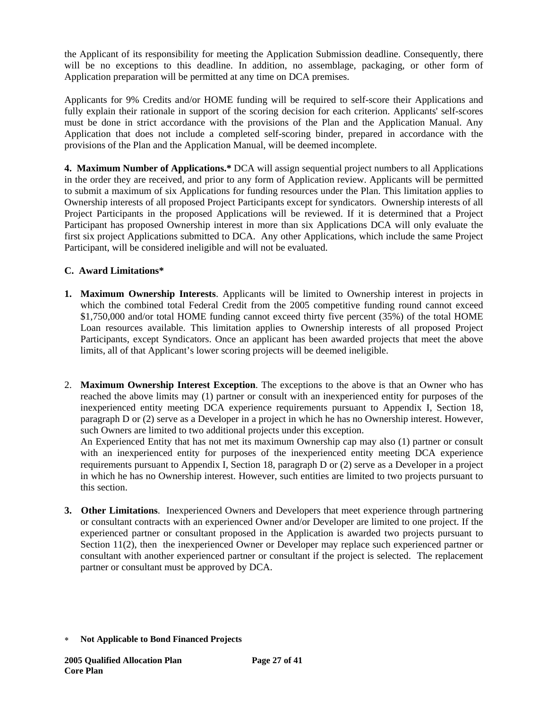the Applicant of its responsibility for meeting the Application Submission deadline. Consequently, there will be no exceptions to this deadline. In addition, no assemblage, packaging, or other form of Application preparation will be permitted at any time on DCA premises.

Applicants for 9% Credits and/or HOME funding will be required to self-score their Applications and fully explain their rationale in support of the scoring decision for each criterion. Applicants' self-scores must be done in strict accordance with the provisions of the Plan and the Application Manual. Any Application that does not include a completed self-scoring binder, prepared in accordance with the provisions of the Plan and the Application Manual, will be deemed incomplete.

**4. Maximum Number of Applications.\*** DCA will assign sequential project numbers to all Applications in the order they are received, and prior to any form of Application review. Applicants will be permitted to submit a maximum of six Applications for funding resources under the Plan. This limitation applies to Ownership interests of all proposed Project Participants except for syndicators. Ownership interests of all Project Participants in the proposed Applications will be reviewed. If it is determined that a Project Participant has proposed Ownership interest in more than six Applications DCA will only evaluate the first six project Applications submitted to DCA. Any other Applications, which include the same Project Participant, will be considered ineligible and will not be evaluated.

# **C. Award Limitations\***

- **1. Maximum Ownership Interests**. Applicants will be limited to Ownership interest in projects in which the combined total Federal Credit from the 2005 competitive funding round cannot exceed \$1,750,000 and/or total HOME funding cannot exceed thirty five percent (35%) of the total HOME Loan resources available. This limitation applies to Ownership interests of all proposed Project Participants, except Syndicators. Once an applicant has been awarded projects that meet the above limits, all of that Applicant's lower scoring projects will be deemed ineligible.
- 2. **Maximum Ownership Interest Exception**. The exceptions to the above is that an Owner who has reached the above limits may (1) partner or consult with an inexperienced entity for purposes of the inexperienced entity meeting DCA experience requirements pursuant to Appendix I, Section 18, paragraph D or (2) serve as a Developer in a project in which he has no Ownership interest. However, such Owners are limited to two additional projects under this exception.

An Experienced Entity that has not met its maximum Ownership cap may also (1) partner or consult with an inexperienced entity for purposes of the inexperienced entity meeting DCA experience requirements pursuant to Appendix I, Section 18, paragraph D or (2) serve as a Developer in a project in which he has no Ownership interest. However, such entities are limited to two projects pursuant to this section.

**3. Other Limitations**. Inexperienced Owners and Developers that meet experience through partnering or consultant contracts with an experienced Owner and/or Developer are limited to one project. If the experienced partner or consultant proposed in the Application is awarded two projects pursuant to Section 11(2), then the inexperienced Owner or Developer may replace such experienced partner or consultant with another experienced partner or consultant if the project is selected. The replacement partner or consultant must be approved by DCA.

<sup>∗</sup> **Not Applicable to Bond Financed Projects**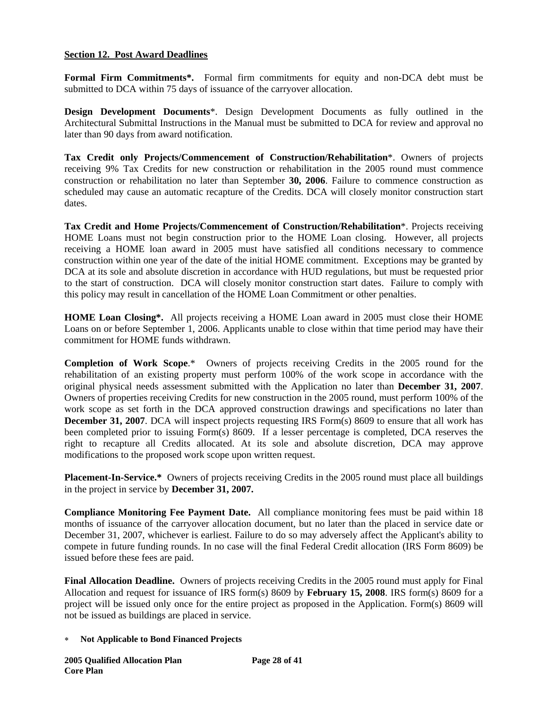## **Section 12. Post Award Deadlines**

**Formal Firm Commitments\*.** Formal firm commitments for equity and non-DCA debt must be submitted to DCA within 75 days of issuance of the carryover allocation.

**Design Development Documents**\*. Design Development Documents as fully outlined in the Architectural Submittal Instructions in the Manual must be submitted to DCA for review and approval no later than 90 days from award notification.

**Tax Credit only Projects/Commencement of Construction/Rehabilitation**\*. Owners of projects receiving 9% Tax Credits for new construction or rehabilitation in the 2005 round must commence construction or rehabilitation no later than September **30, 2006**. Failure to commence construction as scheduled may cause an automatic recapture of the Credits. DCA will closely monitor construction start dates.

**Tax Credit and Home Projects/Commencement of Construction/Rehabilitation**\*. Projects receiving HOME Loans must not begin construction prior to the HOME Loan closing. However, all projects receiving a HOME loan award in 2005 must have satisfied all conditions necessary to commence construction within one year of the date of the initial HOME commitment. Exceptions may be granted by DCA at its sole and absolute discretion in accordance with HUD regulations, but must be requested prior to the start of construction. DCA will closely monitor construction start dates. Failure to comply with this policy may result in cancellation of the HOME Loan Commitment or other penalties.

**HOME Loan Closing\*.** All projects receiving a HOME Loan award in 2005 must close their HOME Loans on or before September 1, 2006. Applicants unable to close within that time period may have their commitment for HOME funds withdrawn.

**Completion of Work Scope**.\* Owners of projects receiving Credits in the 2005 round for the rehabilitation of an existing property must perform 100% of the work scope in accordance with the original physical needs assessment submitted with the Application no later than **December 31, 2007**. Owners of properties receiving Credits for new construction in the 2005 round, must perform 100% of the work scope as set forth in the DCA approved construction drawings and specifications no later than **December 31, 2007**. DCA will inspect projects requesting IRS Form(s) 8609 to ensure that all work has been completed prior to issuing Form(s) 8609. If a lesser percentage is completed, DCA reserves the right to recapture all Credits allocated. At its sole and absolute discretion, DCA may approve modifications to the proposed work scope upon written request.

**Placement-In-Service.\*** Owners of projects receiving Credits in the 2005 round must place all buildings in the project in service by **December 31, 2007.**

**Compliance Monitoring Fee Payment Date.** All compliance monitoring fees must be paid within 18 months of issuance of the carryover allocation document, but no later than the placed in service date or December 31, 2007, whichever is earliest. Failure to do so may adversely affect the Applicant's ability to compete in future funding rounds. In no case will the final Federal Credit allocation (IRS Form 8609) be issued before these fees are paid.

**Final Allocation Deadline.** Owners of projects receiving Credits in the 2005 round must apply for Final Allocation and request for issuance of IRS form(s) 8609 by **February 15, 2008**. IRS form(s) 8609 for a project will be issued only once for the entire project as proposed in the Application. Form(s) 8609 will not be issued as buildings are placed in service.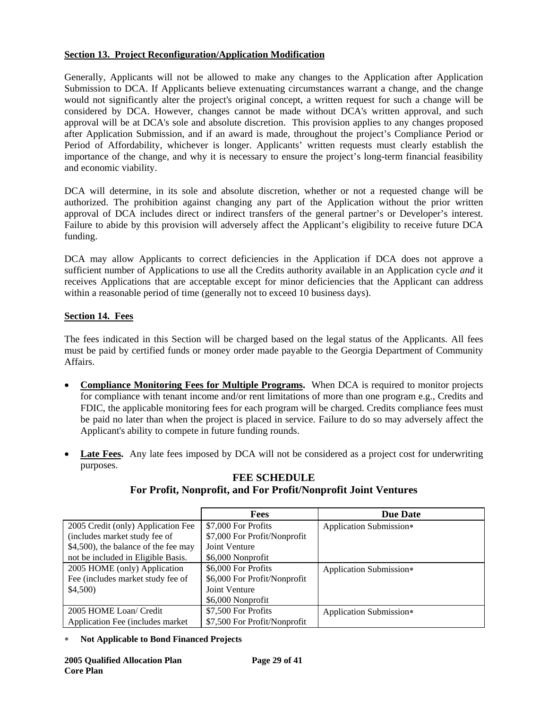# **Section 13. Project Reconfiguration/Application Modification**

Generally, Applicants will not be allowed to make any changes to the Application after Application Submission to DCA. If Applicants believe extenuating circumstances warrant a change, and the change would not significantly alter the project's original concept, a written request for such a change will be considered by DCA. However, changes cannot be made without DCA's written approval, and such approval will be at DCA's sole and absolute discretion. This provision applies to any changes proposed after Application Submission, and if an award is made, throughout the project's Compliance Period or Period of Affordability, whichever is longer. Applicants' written requests must clearly establish the importance of the change, and why it is necessary to ensure the project's long-term financial feasibility and economic viability.

DCA will determine, in its sole and absolute discretion, whether or not a requested change will be authorized. The prohibition against changing any part of the Application without the prior written approval of DCA includes direct or indirect transfers of the general partner's or Developer's interest. Failure to abide by this provision will adversely affect the Applicant's eligibility to receive future DCA funding.

DCA may allow Applicants to correct deficiencies in the Application if DCA does not approve a sufficient number of Applications to use all the Credits authority available in an Application cycle *and* it receives Applications that are acceptable except for minor deficiencies that the Applicant can address within a reasonable period of time (generally not to exceed 10 business days).

# **Section 14. Fees**

The fees indicated in this Section will be charged based on the legal status of the Applicants. All fees must be paid by certified funds or money order made payable to the Georgia Department of Community Affairs.

- **Compliance Monitoring Fees for Multiple Programs.** When DCA is required to monitor projects for compliance with tenant income and/or rent limitations of more than one program e.g., Credits and FDIC, the applicable monitoring fees for each program will be charged. Credits compliance fees must be paid no later than when the project is placed in service. Failure to do so may adversely affect the Applicant's ability to compete in future funding rounds.
- **Late Fees.** Any late fees imposed by DCA will not be considered as a project cost for underwriting purposes.

|                                      | <b>Fees</b>                  | <b>Due Date</b>         |
|--------------------------------------|------------------------------|-------------------------|
| 2005 Credit (only) Application Fee   | \$7,000 For Profits          | Application Submission* |
| (includes market study fee of        | \$7,000 For Profit/Nonprofit |                         |
| \$4,500), the balance of the fee may | Joint Venture                |                         |
| not be included in Eligible Basis.   | \$6,000 Nonprofit            |                         |
| 2005 HOME (only) Application         | \$6,000 For Profits          | Application Submission* |
| Fee (includes market study fee of    | \$6,000 For Profit/Nonprofit |                         |
| \$4,500)                             | Joint Venture                |                         |
|                                      | \$6,000 Nonprofit            |                         |
| 2005 HOME Loan/ Credit               | \$7,500 For Profits          | Application Submission* |
| Application Fee (includes market)    | \$7,500 For Profit/Nonprofit |                         |

## **FEE SCHEDULE For Profit, Nonprofit, and For Profit/Nonprofit Joint Ventures**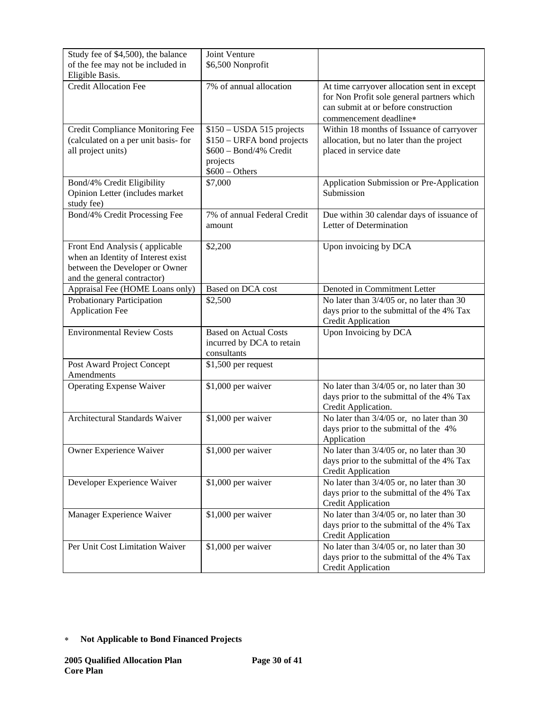| Study fee of \$4,500), the balance                                                                                                    | Joint Venture                                                                                                     |                                                                                                                                                             |
|---------------------------------------------------------------------------------------------------------------------------------------|-------------------------------------------------------------------------------------------------------------------|-------------------------------------------------------------------------------------------------------------------------------------------------------------|
| of the fee may not be included in                                                                                                     | \$6,500 Nonprofit                                                                                                 |                                                                                                                                                             |
| Eligible Basis.                                                                                                                       |                                                                                                                   |                                                                                                                                                             |
| <b>Credit Allocation Fee</b>                                                                                                          | 7% of annual allocation                                                                                           | At time carryover allocation sent in except<br>for Non Profit sole general partners which<br>can submit at or before construction<br>commencement deadline* |
| Credit Compliance Monitoring Fee<br>(calculated on a per unit basis- for<br>all project units)                                        | $$150 - USDA 515$ projects<br>\$150 – URFA bond projects<br>\$600 - Bond/4% Credit<br>projects<br>$$600 - Others$ | Within 18 months of Issuance of carryover<br>allocation, but no later than the project<br>placed in service date                                            |
| Bond/4% Credit Eligibility<br>Opinion Letter (includes market<br>study fee)                                                           | \$7,000                                                                                                           | Application Submission or Pre-Application<br>Submission                                                                                                     |
| Bond/4% Credit Processing Fee                                                                                                         | 7% of annual Federal Credit<br>amount                                                                             | Due within 30 calendar days of issuance of<br>Letter of Determination                                                                                       |
| Front End Analysis (applicable<br>when an Identity of Interest exist<br>between the Developer or Owner<br>and the general contractor) | \$2,200                                                                                                           | Upon invoicing by DCA                                                                                                                                       |
| Appraisal Fee (HOME Loans only)                                                                                                       | Based on DCA cost                                                                                                 | Denoted in Commitment Letter                                                                                                                                |
| Probationary Participation<br><b>Application Fee</b>                                                                                  | \$2,500                                                                                                           | No later than 3/4/05 or, no later than 30<br>days prior to the submittal of the 4% Tax<br><b>Credit Application</b>                                         |
| <b>Environmental Review Costs</b>                                                                                                     | <b>Based on Actual Costs</b><br>incurred by DCA to retain<br>consultants                                          | Upon Invoicing by DCA                                                                                                                                       |
| Post Award Project Concept<br>Amendments                                                                                              | \$1,500 per request                                                                                               |                                                                                                                                                             |
| <b>Operating Expense Waiver</b>                                                                                                       | \$1,000 per waiver                                                                                                | No later than $3/4/05$ or, no later than $\overline{30}$<br>days prior to the submittal of the 4% Tax<br>Credit Application.                                |
| Architectural Standards Waiver                                                                                                        | \$1,000 per waiver                                                                                                | No later than 3/4/05 or, no later than 30<br>days prior to the submittal of the 4%<br>Application                                                           |
| Owner Experience Waiver                                                                                                               | \$1,000 per waiver                                                                                                | No later than $3/4/05$ or, no later than 30<br>days prior to the submittal of the 4% Tax<br><b>Credit Application</b>                                       |
| Developer Experience Waiver                                                                                                           | \$1,000 per waiver                                                                                                | No later than 3/4/05 or, no later than 30<br>days prior to the submittal of the 4% Tax<br><b>Credit Application</b>                                         |
| Manager Experience Waiver                                                                                                             | \$1,000 per waiver                                                                                                | No later than 3/4/05 or, no later than 30<br>days prior to the submittal of the 4% Tax<br><b>Credit Application</b>                                         |
| Per Unit Cost Limitation Waiver                                                                                                       | \$1,000 per waiver                                                                                                | No later than 3/4/05 or, no later than 30<br>days prior to the submittal of the 4% Tax<br><b>Credit Application</b>                                         |

<sup>∗</sup> **Not Applicable to Bond Financed Projects**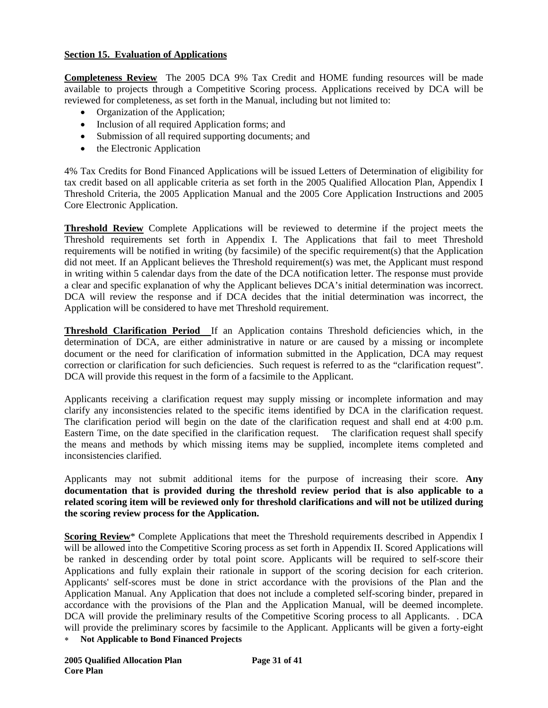### **Section 15. Evaluation of Applications**

**Completeness Review** The 2005 DCA 9% Tax Credit and HOME funding resources will be made available to projects through a Competitive Scoring process. Applications received by DCA will be reviewed for completeness, as set forth in the Manual, including but not limited to:

- Organization of the Application;
- Inclusion of all required Application forms; and
- Submission of all required supporting documents; and
- the Electronic Application

4% Tax Credits for Bond Financed Applications will be issued Letters of Determination of eligibility for tax credit based on all applicable criteria as set forth in the 2005 Qualified Allocation Plan, Appendix I Threshold Criteria, the 2005 Application Manual and the 2005 Core Application Instructions and 2005 Core Electronic Application.

**Threshold Review** Complete Applications will be reviewed to determine if the project meets the Threshold requirements set forth in Appendix I. The Applications that fail to meet Threshold requirements will be notified in writing (by facsimile) of the specific requirement(s) that the Application did not meet. If an Applicant believes the Threshold requirement(s) was met, the Applicant must respond in writing within 5 calendar days from the date of the DCA notification letter. The response must provide a clear and specific explanation of why the Applicant believes DCA's initial determination was incorrect. DCA will review the response and if DCA decides that the initial determination was incorrect, the Application will be considered to have met Threshold requirement.

**Threshold Clarification Period** If an Application contains Threshold deficiencies which, in the determination of DCA, are either administrative in nature or are caused by a missing or incomplete document or the need for clarification of information submitted in the Application, DCA may request correction or clarification for such deficiencies. Such request is referred to as the "clarification request". DCA will provide this request in the form of a facsimile to the Applicant.

Applicants receiving a clarification request may supply missing or incomplete information and may clarify any inconsistencies related to the specific items identified by DCA in the clarification request. The clarification period will begin on the date of the clarification request and shall end at 4:00 p.m. Eastern Time, on the date specified in the clarification request. The clarification request shall specify the means and methods by which missing items may be supplied, incomplete items completed and inconsistencies clarified.

Applicants may not submit additional items for the purpose of increasing their score. **Any documentation that is provided during the threshold review period that is also applicable to a related scoring item will be reviewed only for threshold clarifications and will not be utilized during the scoring review process for the Application.** 

**Scoring Review**\* Complete Applications that meet the Threshold requirements described in Appendix I will be allowed into the Competitive Scoring process as set forth in Appendix II. Scored Applications will be ranked in descending order by total point score. Applicants will be required to self-score their Applications and fully explain their rationale in support of the scoring decision for each criterion. Applicants' self-scores must be done in strict accordance with the provisions of the Plan and the Application Manual. Any Application that does not include a completed self-scoring binder, prepared in accordance with the provisions of the Plan and the Application Manual, will be deemed incomplete. DCA will provide the preliminary results of the Competitive Scoring process to all Applicants. . DCA will provide the preliminary scores by facsimile to the Applicant. Applicants will be given a forty-eight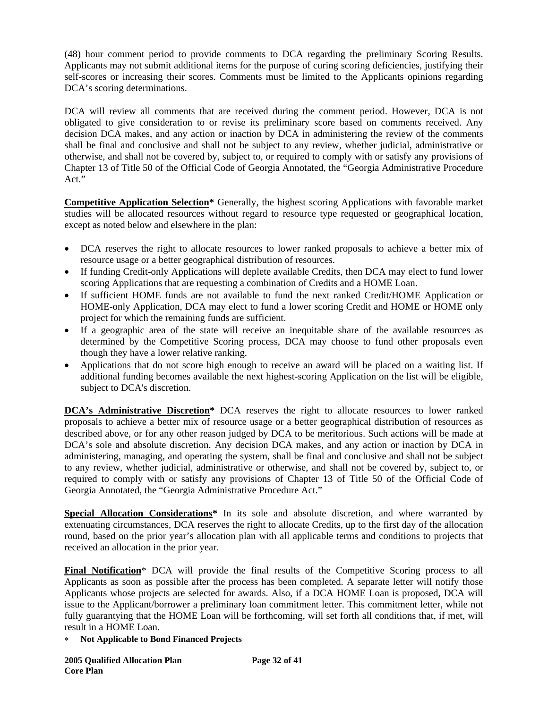(48) hour comment period to provide comments to DCA regarding the preliminary Scoring Results. Applicants may not submit additional items for the purpose of curing scoring deficiencies, justifying their self-scores or increasing their scores. Comments must be limited to the Applicants opinions regarding DCA's scoring determinations.

DCA will review all comments that are received during the comment period. However, DCA is not obligated to give consideration to or revise its preliminary score based on comments received. Any decision DCA makes, and any action or inaction by DCA in administering the review of the comments shall be final and conclusive and shall not be subject to any review, whether judicial, administrative or otherwise, and shall not be covered by, subject to, or required to comply with or satisfy any provisions of Chapter 13 of Title 50 of the Official Code of Georgia Annotated, the "Georgia Administrative Procedure Act."

**Competitive Application Selection\*** Generally, the highest scoring Applications with favorable market studies will be allocated resources without regard to resource type requested or geographical location, except as noted below and elsewhere in the plan:

- DCA reserves the right to allocate resources to lower ranked proposals to achieve a better mix of resource usage or a better geographical distribution of resources.
- If funding Credit-only Applications will deplete available Credits, then DCA may elect to fund lower scoring Applications that are requesting a combination of Credits and a HOME Loan.
- If sufficient HOME funds are not available to fund the next ranked Credit/HOME Application or HOME-only Application, DCA may elect to fund a lower scoring Credit and HOME or HOME only project for which the remaining funds are sufficient.
- If a geographic area of the state will receive an inequitable share of the available resources as determined by the Competitive Scoring process, DCA may choose to fund other proposals even though they have a lower relative ranking.
- Applications that do not score high enough to receive an award will be placed on a waiting list. If additional funding becomes available the next highest-scoring Application on the list will be eligible, subject to DCA's discretion.

**DCA's Administrative Discretion\*** DCA reserves the right to allocate resources to lower ranked proposals to achieve a better mix of resource usage or a better geographical distribution of resources as described above, or for any other reason judged by DCA to be meritorious. Such actions will be made at DCA's sole and absolute discretion. Any decision DCA makes, and any action or inaction by DCA in administering, managing, and operating the system, shall be final and conclusive and shall not be subject to any review, whether judicial, administrative or otherwise, and shall not be covered by, subject to, or required to comply with or satisfy any provisions of Chapter 13 of Title 50 of the Official Code of Georgia Annotated, the "Georgia Administrative Procedure Act."

**Special Allocation Considerations\*** In its sole and absolute discretion, and where warranted by extenuating circumstances, DCA reserves the right to allocate Credits, up to the first day of the allocation round, based on the prior year's allocation plan with all applicable terms and conditions to projects that received an allocation in the prior year.

**Final Notification**\* DCA will provide the final results of the Competitive Scoring process to all Applicants as soon as possible after the process has been completed. A separate letter will notify those Applicants whose projects are selected for awards. Also, if a DCA HOME Loan is proposed, DCA will issue to the Applicant/borrower a preliminary loan commitment letter. This commitment letter, while not fully guarantying that the HOME Loan will be forthcoming, will set forth all conditions that, if met, will result in a HOME Loan.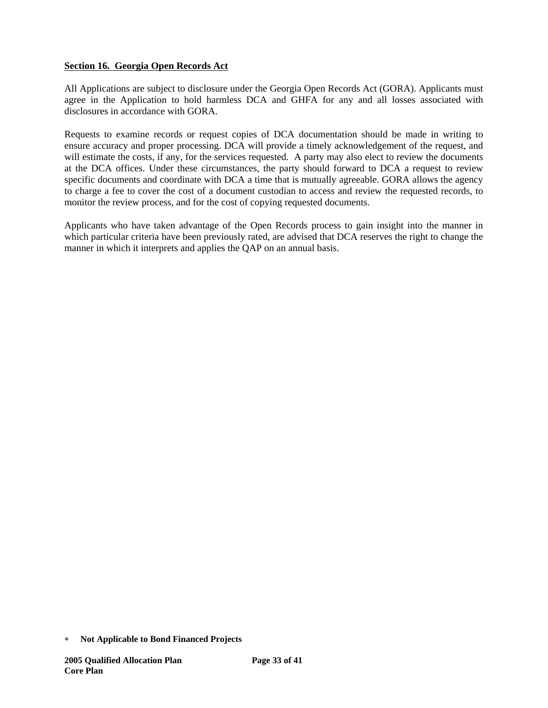## **Section 16. Georgia Open Records Act**

All Applications are subject to disclosure under the Georgia Open Records Act (GORA). Applicants must agree in the Application to hold harmless DCA and GHFA for any and all losses associated with disclosures in accordance with GORA.

Requests to examine records or request copies of DCA documentation should be made in writing to ensure accuracy and proper processing. DCA will provide a timely acknowledgement of the request, and will estimate the costs, if any, for the services requested. A party may also elect to review the documents at the DCA offices. Under these circumstances, the party should forward to DCA a request to review specific documents and coordinate with DCA a time that is mutually agreeable. GORA allows the agency to charge a fee to cover the cost of a document custodian to access and review the requested records, to monitor the review process, and for the cost of copying requested documents.

Applicants who have taken advantage of the Open Records process to gain insight into the manner in which particular criteria have been previously rated, are advised that DCA reserves the right to change the manner in which it interprets and applies the QAP on an annual basis.

<sup>∗</sup> **Not Applicable to Bond Financed Projects**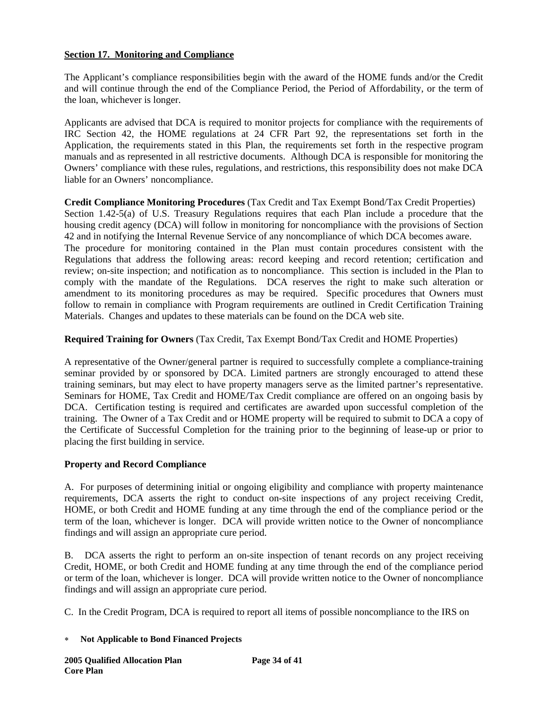# **Section 17. Monitoring and Compliance**

The Applicant's compliance responsibilities begin with the award of the HOME funds and/or the Credit and will continue through the end of the Compliance Period, the Period of Affordability, or the term of the loan, whichever is longer.

Applicants are advised that DCA is required to monitor projects for compliance with the requirements of IRC Section 42, the HOME regulations at 24 CFR Part 92, the representations set forth in the Application, the requirements stated in this Plan, the requirements set forth in the respective program manuals and as represented in all restrictive documents. Although DCA is responsible for monitoring the Owners' compliance with these rules, regulations, and restrictions, this responsibility does not make DCA liable for an Owners' noncompliance.

**Credit Compliance Monitoring Procedures** (Tax Credit and Tax Exempt Bond/Tax Credit Properties) Section 1.42-5(a) of U.S. Treasury Regulations requires that each Plan include a procedure that the housing credit agency (DCA) will follow in monitoring for noncompliance with the provisions of Section 42 and in notifying the Internal Revenue Service of any noncompliance of which DCA becomes aware. The procedure for monitoring contained in the Plan must contain procedures consistent with the Regulations that address the following areas: record keeping and record retention; certification and review; on-site inspection; and notification as to noncompliance. This section is included in the Plan to comply with the mandate of the Regulations. DCA reserves the right to make such alteration or amendment to its monitoring procedures as may be required. Specific procedures that Owners must follow to remain in compliance with Program requirements are outlined in Credit Certification Training Materials. Changes and updates to these materials can be found on the DCA web site.

**Required Training for Owners** (Tax Credit, Tax Exempt Bond/Tax Credit and HOME Properties)

A representative of the Owner/general partner is required to successfully complete a compliance-training seminar provided by or sponsored by DCA. Limited partners are strongly encouraged to attend these training seminars, but may elect to have property managers serve as the limited partner's representative. Seminars for HOME, Tax Credit and HOME/Tax Credit compliance are offered on an ongoing basis by DCA. Certification testing is required and certificates are awarded upon successful completion of the training. The Owner of a Tax Credit and or HOME property will be required to submit to DCA a copy of the Certificate of Successful Completion for the training prior to the beginning of lease-up or prior to placing the first building in service.

### **Property and Record Compliance**

A. For purposes of determining initial or ongoing eligibility and compliance with property maintenance requirements, DCA asserts the right to conduct on-site inspections of any project receiving Credit, HOME, or both Credit and HOME funding at any time through the end of the compliance period or the term of the loan, whichever is longer. DCA will provide written notice to the Owner of noncompliance findings and will assign an appropriate cure period.

B. DCA asserts the right to perform an on-site inspection of tenant records on any project receiving Credit, HOME, or both Credit and HOME funding at any time through the end of the compliance period or term of the loan, whichever is longer. DCA will provide written notice to the Owner of noncompliance findings and will assign an appropriate cure period.

C. In the Credit Program, DCA is required to report all items of possible noncompliance to the IRS on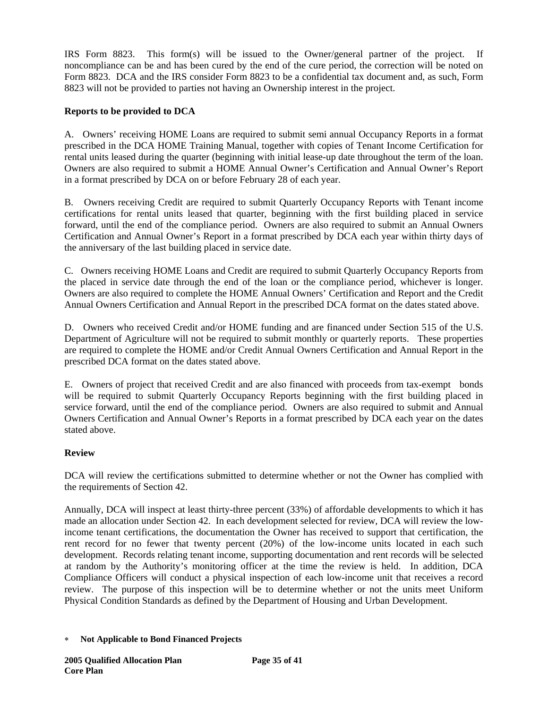IRS Form 8823. This form(s) will be issued to the Owner/general partner of the project. If noncompliance can be and has been cured by the end of the cure period, the correction will be noted on Form 8823. DCA and the IRS consider Form 8823 to be a confidential tax document and, as such, Form 8823 will not be provided to parties not having an Ownership interest in the project.

# **Reports to be provided to DCA**

A. Owners' receiving HOME Loans are required to submit semi annual Occupancy Reports in a format prescribed in the DCA HOME Training Manual, together with copies of Tenant Income Certification for rental units leased during the quarter (beginning with initial lease-up date throughout the term of the loan. Owners are also required to submit a HOME Annual Owner's Certification and Annual Owner's Report in a format prescribed by DCA on or before February 28 of each year.

B. Owners receiving Credit are required to submit Quarterly Occupancy Reports with Tenant income certifications for rental units leased that quarter, beginning with the first building placed in service forward, until the end of the compliance period. Owners are also required to submit an Annual Owners Certification and Annual Owner's Report in a format prescribed by DCA each year within thirty days of the anniversary of the last building placed in service date.

C. Owners receiving HOME Loans and Credit are required to submit Quarterly Occupancy Reports from the placed in service date through the end of the loan or the compliance period, whichever is longer. Owners are also required to complete the HOME Annual Owners' Certification and Report and the Credit Annual Owners Certification and Annual Report in the prescribed DCA format on the dates stated above.

D. Owners who received Credit and/or HOME funding and are financed under Section 515 of the U.S. Department of Agriculture will not be required to submit monthly or quarterly reports. These properties are required to complete the HOME and/or Credit Annual Owners Certification and Annual Report in the prescribed DCA format on the dates stated above.

E. Owners of project that received Credit and are also financed with proceeds from tax-exempt bonds will be required to submit Quarterly Occupancy Reports beginning with the first building placed in service forward, until the end of the compliance period. Owners are also required to submit and Annual Owners Certification and Annual Owner's Reports in a format prescribed by DCA each year on the dates stated above.

# **Review**

DCA will review the certifications submitted to determine whether or not the Owner has complied with the requirements of Section 42.

Annually, DCA will inspect at least thirty-three percent (33%) of affordable developments to which it has made an allocation under Section 42. In each development selected for review, DCA will review the lowincome tenant certifications, the documentation the Owner has received to support that certification, the rent record for no fewer that twenty percent (20%) of the low-income units located in each such development. Records relating tenant income, supporting documentation and rent records will be selected at random by the Authority's monitoring officer at the time the review is held. In addition, DCA Compliance Officers will conduct a physical inspection of each low-income unit that receives a record review. The purpose of this inspection will be to determine whether or not the units meet Uniform Physical Condition Standards as defined by the Department of Housing and Urban Development.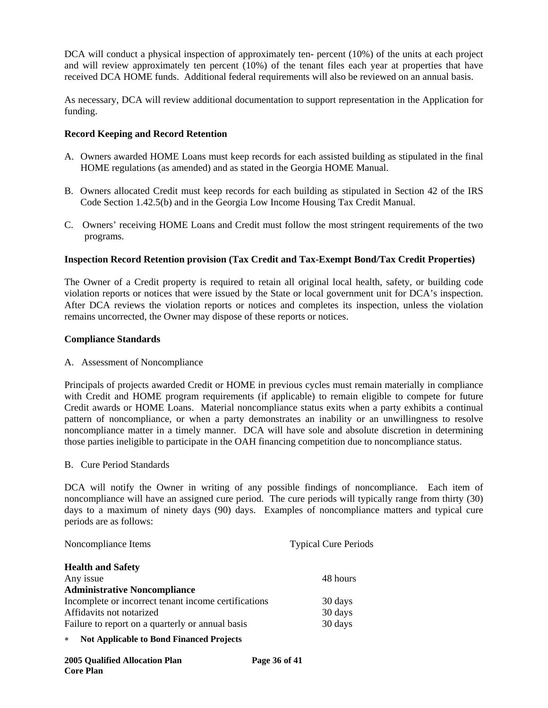DCA will conduct a physical inspection of approximately ten- percent (10%) of the units at each project and will review approximately ten percent (10%) of the tenant files each year at properties that have received DCA HOME funds. Additional federal requirements will also be reviewed on an annual basis.

As necessary, DCA will review additional documentation to support representation in the Application for funding.

#### **Record Keeping and Record Retention**

- A. Owners awarded HOME Loans must keep records for each assisted building as stipulated in the final HOME regulations (as amended) and as stated in the Georgia HOME Manual.
- B. Owners allocated Credit must keep records for each building as stipulated in Section 42 of the IRS Code Section 1.42.5(b) and in the Georgia Low Income Housing Tax Credit Manual.
- C. Owners' receiving HOME Loans and Credit must follow the most stringent requirements of the two programs.

### **Inspection Record Retention provision (Tax Credit and Tax-Exempt Bond/Tax Credit Properties)**

The Owner of a Credit property is required to retain all original local health, safety, or building code violation reports or notices that were issued by the State or local government unit for DCA's inspection. After DCA reviews the violation reports or notices and completes its inspection, unless the violation remains uncorrected, the Owner may dispose of these reports or notices.

#### **Compliance Standards**

A. Assessment of Noncompliance

Principals of projects awarded Credit or HOME in previous cycles must remain materially in compliance with Credit and HOME program requirements (if applicable) to remain eligible to compete for future Credit awards or HOME Loans. Material noncompliance status exits when a party exhibits a continual pattern of noncompliance, or when a party demonstrates an inability or an unwillingness to resolve noncompliance matter in a timely manner. DCA will have sole and absolute discretion in determining those parties ineligible to participate in the OAH financing competition due to noncompliance status.

#### B. Cure Period Standards

DCA will notify the Owner in writing of any possible findings of noncompliance. Each item of noncompliance will have an assigned cure period. The cure periods will typically range from thirty (30) days to a maximum of ninety days (90) days. Examples of noncompliance matters and typical cure periods are as follows:

| Noncompliance Items                                  | <b>Typical Cure Periods</b> |
|------------------------------------------------------|-----------------------------|
| <b>Health and Safety</b>                             |                             |
| Any issue                                            | 48 hours                    |
| <b>Administrative Noncompliance</b>                  |                             |
| Incomplete or incorrect tenant income certifications | 30 days                     |
| Affidavits not notarized                             | 30 days                     |
| Failure to report on a quarterly or annual basis     | 30 days                     |
|                                                      |                             |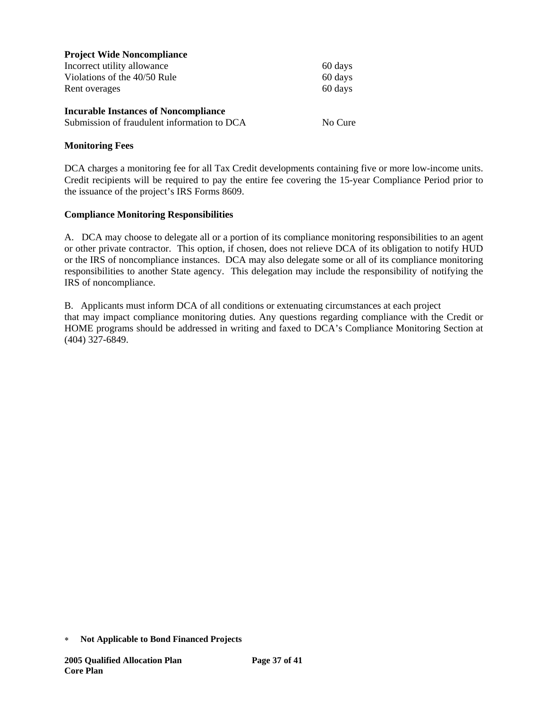| <b>Project Wide Noncompliance</b>           |         |
|---------------------------------------------|---------|
| Incorrect utility allowance                 | 60 days |
| Violations of the 40/50 Rule                | 60 days |
| Rent overages                               | 60 days |
| <b>Incurable Instances of Noncompliance</b> |         |
| Submission of fraudulent information to DCA | No Cure |
|                                             |         |

#### **Monitoring Fees**

DCA charges a monitoring fee for all Tax Credit developments containing five or more low-income units. Credit recipients will be required to pay the entire fee covering the 15-year Compliance Period prior to the issuance of the project's IRS Forms 8609.

#### **Compliance Monitoring Responsibilities**

A. DCA may choose to delegate all or a portion of its compliance monitoring responsibilities to an agent or other private contractor. This option, if chosen, does not relieve DCA of its obligation to notify HUD or the IRS of noncompliance instances. DCA may also delegate some or all of its compliance monitoring responsibilities to another State agency. This delegation may include the responsibility of notifying the IRS of noncompliance.

B. Applicants must inform DCA of all conditions or extenuating circumstances at each project that may impact compliance monitoring duties. Any questions regarding compliance with the Credit or HOME programs should be addressed in writing and faxed to DCA's Compliance Monitoring Section at (404) 327-6849.

<sup>∗</sup> **Not Applicable to Bond Financed Projects**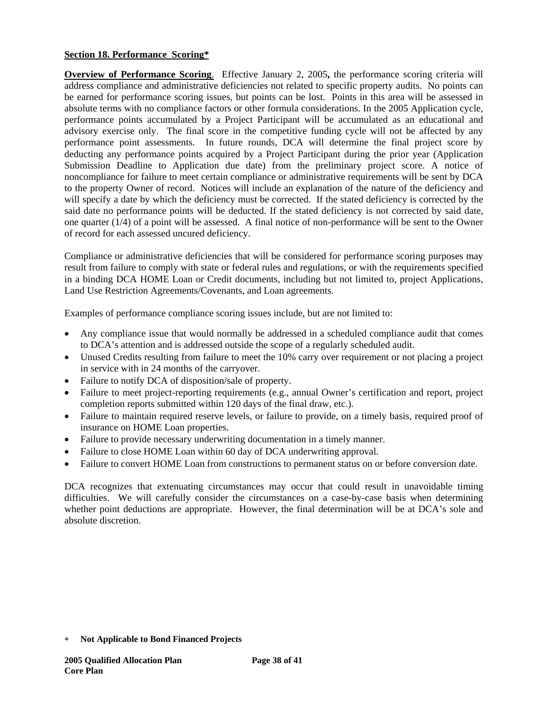## **Section 18. Performance Scoring\***

**Overview of Performance Scoring**.Effective January 2, 2005**,** the performance scoring criteria will address compliance and administrative deficiencies not related to specific property audits. No points can be earned for performance scoring issues, but points can be lost. Points in this area will be assessed in absolute terms with no compliance factors or other formula considerations. In the 2005 Application cycle, performance points accumulated by a Project Participant will be accumulated as an educational and advisory exercise only. The final score in the competitive funding cycle will not be affected by any performance point assessments. In future rounds, DCA will determine the final project score by deducting any performance points acquired by a Project Participant during the prior year (Application Submission Deadline to Application due date) from the preliminary project score. A notice of noncompliance for failure to meet certain compliance or administrative requirements will be sent by DCA to the property Owner of record. Notices will include an explanation of the nature of the deficiency and will specify a date by which the deficiency must be corrected. If the stated deficiency is corrected by the said date no performance points will be deducted. If the stated deficiency is not corrected by said date, one quarter (1/4) of a point will be assessed. A final notice of non-performance will be sent to the Owner of record for each assessed uncured deficiency.

Compliance or administrative deficiencies that will be considered for performance scoring purposes may result from failure to comply with state or federal rules and regulations, or with the requirements specified in a binding DCA HOME Loan or Credit documents, including but not limited to, project Applications, Land Use Restriction Agreements/Covenants, and Loan agreements.

Examples of performance compliance scoring issues include, but are not limited to:

- Any compliance issue that would normally be addressed in a scheduled compliance audit that comes to DCA's attention and is addressed outside the scope of a regularly scheduled audit.
- Unused Credits resulting from failure to meet the 10% carry over requirement or not placing a project in service with in 24 months of the carryover.
- Failure to notify DCA of disposition/sale of property.
- Failure to meet project-reporting requirements (e.g., annual Owner's certification and report, project completion reports submitted within 120 days of the final draw, etc.).
- Failure to maintain required reserve levels, or failure to provide, on a timely basis, required proof of insurance on HOME Loan properties.
- Failure to provide necessary underwriting documentation in a timely manner.
- Failure to close HOME Loan within 60 day of DCA underwriting approval.
- Failure to convert HOME Loan from constructions to permanent status on or before conversion date.

DCA recognizes that extenuating circumstances may occur that could result in unavoidable timing difficulties. We will carefully consider the circumstances on a case-by-case basis when determining whether point deductions are appropriate. However, the final determination will be at DCA's sole and absolute discretion.

<sup>∗</sup> **Not Applicable to Bond Financed Projects**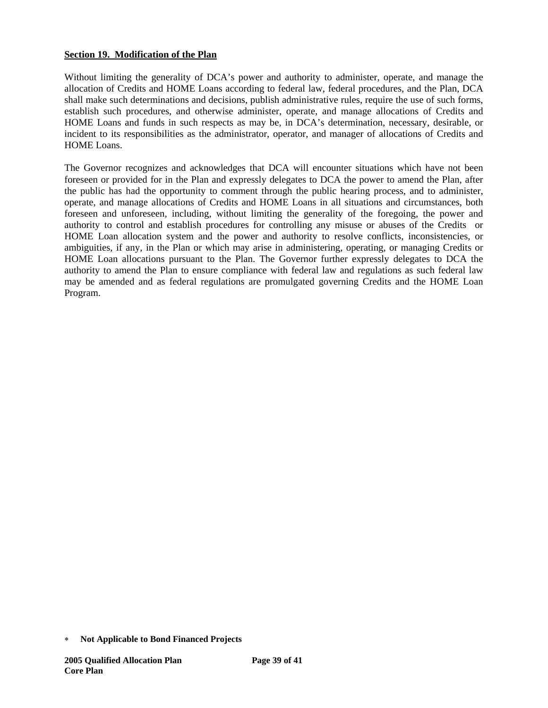## **Section 19. Modification of the Plan**

Without limiting the generality of DCA's power and authority to administer, operate, and manage the allocation of Credits and HOME Loans according to federal law, federal procedures, and the Plan, DCA shall make such determinations and decisions, publish administrative rules, require the use of such forms, establish such procedures, and otherwise administer, operate, and manage allocations of Credits and HOME Loans and funds in such respects as may be, in DCA's determination, necessary, desirable, or incident to its responsibilities as the administrator, operator, and manager of allocations of Credits and HOME Loans.

The Governor recognizes and acknowledges that DCA will encounter situations which have not been foreseen or provided for in the Plan and expressly delegates to DCA the power to amend the Plan, after the public has had the opportunity to comment through the public hearing process, and to administer, operate, and manage allocations of Credits and HOME Loans in all situations and circumstances, both foreseen and unforeseen, including, without limiting the generality of the foregoing, the power and authority to control and establish procedures for controlling any misuse or abuses of the Credits or HOME Loan allocation system and the power and authority to resolve conflicts, inconsistencies, or ambiguities, if any, in the Plan or which may arise in administering, operating, or managing Credits or HOME Loan allocations pursuant to the Plan. The Governor further expressly delegates to DCA the authority to amend the Plan to ensure compliance with federal law and regulations as such federal law may be amended and as federal regulations are promulgated governing Credits and the HOME Loan Program.

<sup>∗</sup> **Not Applicable to Bond Financed Projects**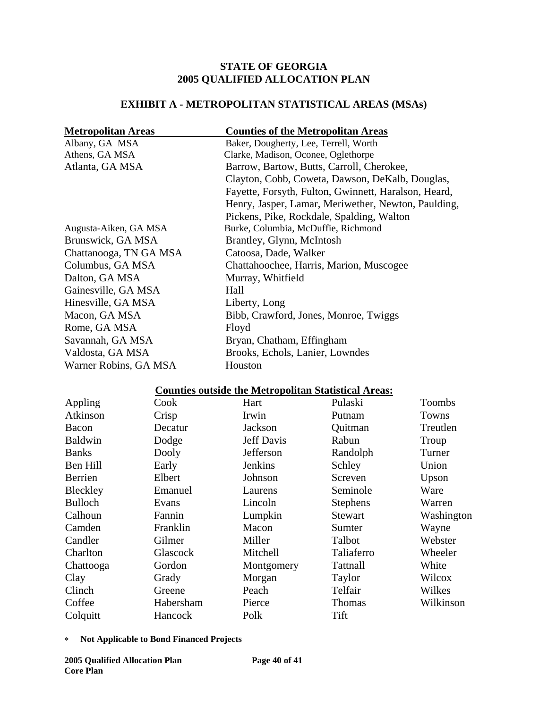# **STATE OF GEORGIA 2005 QUALIFIED ALLOCATION PLAN**

# **EXHIBIT A - METROPOLITAN STATISTICAL AREAS (MSAs)**

| <b>Metropolitan Areas</b> | <b>Counties of the Metropolitan Areas</b>            |
|---------------------------|------------------------------------------------------|
| Albany, GA MSA            | Baker, Dougherty, Lee, Terrell, Worth                |
| Athens, GA MSA            | Clarke, Madison, Oconee, Oglethorpe                  |
| Atlanta, GA MSA           | Barrow, Bartow, Butts, Carroll, Cherokee,            |
|                           | Clayton, Cobb, Coweta, Dawson, DeKalb, Douglas,      |
|                           | Fayette, Forsyth, Fulton, Gwinnett, Haralson, Heard, |
|                           | Henry, Jasper, Lamar, Meriwether, Newton, Paulding,  |
|                           | Pickens, Pike, Rockdale, Spalding, Walton            |
| Augusta-Aiken, GA MSA     | Burke, Columbia, McDuffie, Richmond                  |
| Brunswick, GA MSA         | Brantley, Glynn, McIntosh                            |
| Chattanooga, TN GA MSA    | Catoosa, Dade, Walker                                |
| Columbus, GA MSA          | Chattahoochee, Harris, Marion, Muscogee              |
| Dalton, GA MSA            | Murray, Whitfield                                    |
| Gainesville, GA MSA       | Hall                                                 |
| Hinesville, GA MSA        | Liberty, Long                                        |
| Macon, GA MSA             | Bibb, Crawford, Jones, Monroe, Twiggs                |
| Rome, GA MSA              | Floyd                                                |
| Savannah, GA MSA          | Bryan, Chatham, Effingham                            |
| Valdosta, GA MSA          | Brooks, Echols, Lanier, Lowndes                      |
| Warner Robins, GA MSA     | Houston                                              |

# **Counties outside the Metropolitan Statistical Areas:**

| Appling        | Cook      | Hart              | Pulaski         | <b>Toombs</b> |
|----------------|-----------|-------------------|-----------------|---------------|
| Atkinson       | Crisp     | Irwin             | Putnam          | Towns         |
| Bacon          | Decatur   | Jackson           | Quitman         | Treutlen      |
| <b>Baldwin</b> | Dodge     | <b>Jeff Davis</b> | Rabun           | Troup         |
| <b>Banks</b>   | Dooly     | Jefferson         | Randolph        | Turner        |
| Ben Hill       | Early     | Jenkins           | Schley          | Union         |
| Berrien        | Elbert    | Johnson           | Screven         | Upson         |
| Bleckley       | Emanuel   | Laurens           | Seminole        | Ware          |
| <b>Bulloch</b> | Evans     | Lincoln           | <b>Stephens</b> | Warren        |
| Calhoun        | Fannin    | Lumpkin           | Stewart         | Washington    |
| Camden         | Franklin  | Macon             | Sumter          | Wayne         |
| Candler        | Gilmer    | Miller            | Talbot          | Webster       |
| Charlton       | Glascock  | Mitchell          | Taliaferro      | Wheeler       |
| Chattooga      | Gordon    | Montgomery        | Tattnall        | White         |
| Clay           | Grady     | Morgan            | Taylor          | Wilcox        |
| Clinch         | Greene    | Peach             | Telfair         | Wilkes        |
| Coffee         | Habersham | Pierce            | <b>Thomas</b>   | Wilkinson     |
| Colquitt       | Hancock   | Polk              | Tift            |               |

∗ **Not Applicable to Bond Financed Projects**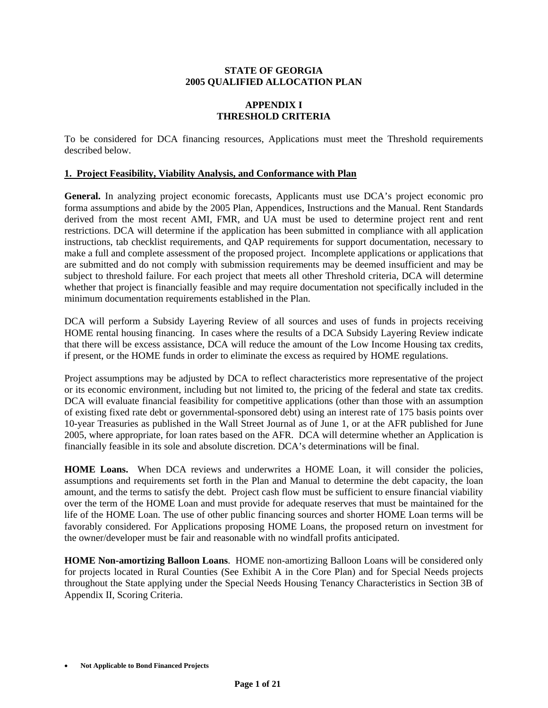#### **STATE OF GEORGIA 2005 QUALIFIED ALLOCATION PLAN**

## **APPENDIX I THRESHOLD CRITERIA**

To be considered for DCA financing resources, Applications must meet the Threshold requirements described below.

#### **1. Project Feasibility, Viability Analysis, and Conformance with Plan**

**General.** In analyzing project economic forecasts, Applicants must use DCA's project economic pro forma assumptions and abide by the 2005 Plan, Appendices, Instructions and the Manual. Rent Standards derived from the most recent AMI, FMR, and UA must be used to determine project rent and rent restrictions. DCA will determine if the application has been submitted in compliance with all application instructions, tab checklist requirements, and QAP requirements for support documentation, necessary to make a full and complete assessment of the proposed project. Incomplete applications or applications that are submitted and do not comply with submission requirements may be deemed insufficient and may be subject to threshold failure. For each project that meets all other Threshold criteria, DCA will determine whether that project is financially feasible and may require documentation not specifically included in the minimum documentation requirements established in the Plan.

DCA will perform a Subsidy Layering Review of all sources and uses of funds in projects receiving HOME rental housing financing. In cases where the results of a DCA Subsidy Layering Review indicate that there will be excess assistance, DCA will reduce the amount of the Low Income Housing tax credits, if present, or the HOME funds in order to eliminate the excess as required by HOME regulations.

Project assumptions may be adjusted by DCA to reflect characteristics more representative of the project or its economic environment, including but not limited to, the pricing of the federal and state tax credits. DCA will evaluate financial feasibility for competitive applications (other than those with an assumption of existing fixed rate debt or governmental-sponsored debt) using an interest rate of 175 basis points over 10-year Treasuries as published in the Wall Street Journal as of June 1, or at the AFR published for June 2005, where appropriate, for loan rates based on the AFR. DCA will determine whether an Application is financially feasible in its sole and absolute discretion. DCA's determinations will be final.

**HOME Loans.** When DCA reviews and underwrites a HOME Loan, it will consider the policies, assumptions and requirements set forth in the Plan and Manual to determine the debt capacity, the loan amount, and the terms to satisfy the debt. Project cash flow must be sufficient to ensure financial viability over the term of the HOME Loan and must provide for adequate reserves that must be maintained for the life of the HOME Loan. The use of other public financing sources and shorter HOME Loan terms will be favorably considered. For Applications proposing HOME Loans, the proposed return on investment for the owner/developer must be fair and reasonable with no windfall profits anticipated.

**HOME Non-amortizing Balloon Loans**.HOME non-amortizing Balloon Loans will be considered only for projects located in Rural Counties (See Exhibit A in the Core Plan) and for Special Needs projects throughout the State applying under the Special Needs Housing Tenancy Characteristics in Section 3B of Appendix II, Scoring Criteria.

<sup>•</sup> **Not Applicable to Bond Financed Projects**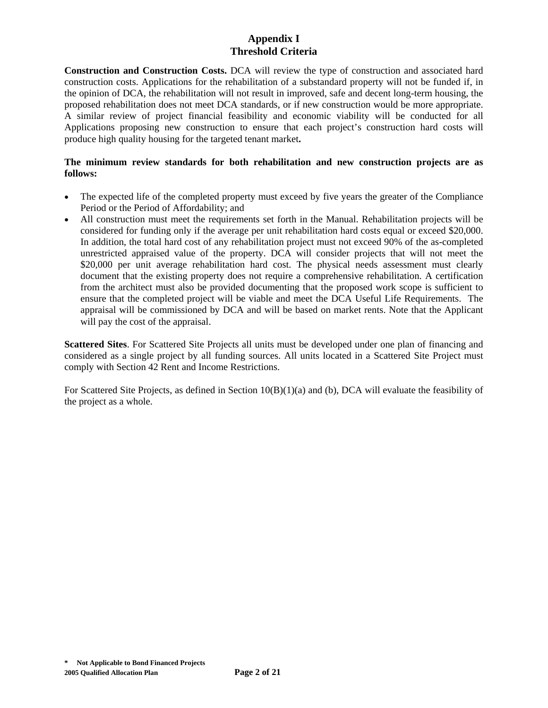**Construction and Construction Costs.** DCA will review the type of construction and associated hard construction costs. Applications for the rehabilitation of a substandard property will not be funded if, in the opinion of DCA, the rehabilitation will not result in improved, safe and decent long-term housing, the proposed rehabilitation does not meet DCA standards, or if new construction would be more appropriate. A similar review of project financial feasibility and economic viability will be conducted for all Applications proposing new construction to ensure that each project's construction hard costs will produce high quality housing for the targeted tenant market**.**

## **The minimum review standards for both rehabilitation and new construction projects are as follows:**

- The expected life of the completed property must exceed by five years the greater of the Compliance Period or the Period of Affordability; and
- All construction must meet the requirements set forth in the Manual. Rehabilitation projects will be considered for funding only if the average per unit rehabilitation hard costs equal or exceed \$20,000. In addition, the total hard cost of any rehabilitation project must not exceed 90% of the as-completed unrestricted appraised value of the property. DCA will consider projects that will not meet the \$20,000 per unit average rehabilitation hard cost. The physical needs assessment must clearly document that the existing property does not require a comprehensive rehabilitation. A certification from the architect must also be provided documenting that the proposed work scope is sufficient to ensure that the completed project will be viable and meet the DCA Useful Life Requirements. The appraisal will be commissioned by DCA and will be based on market rents. Note that the Applicant will pay the cost of the appraisal.

**Scattered Sites**. For Scattered Site Projects all units must be developed under one plan of financing and considered as a single project by all funding sources. All units located in a Scattered Site Project must comply with Section 42 Rent and Income Restrictions.

For Scattered Site Projects, as defined in Section 10(B)(1)(a) and (b), DCA will evaluate the feasibility of the project as a whole.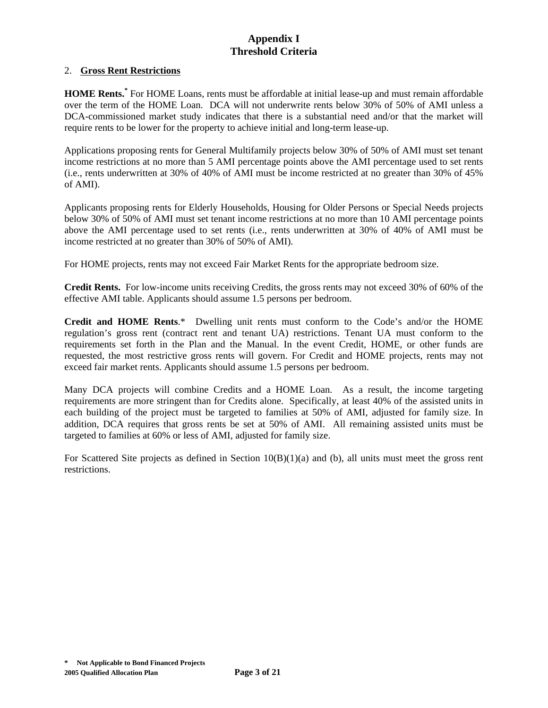#### 2. **Gross Rent Restrictions**

**HOME Rents.\*** For HOME Loans, rents must be affordable at initial lease-up and must remain affordable over the term of the HOME Loan. DCA will not underwrite rents below 30% of 50% of AMI unless a DCA-commissioned market study indicates that there is a substantial need and/or that the market will require rents to be lower for the property to achieve initial and long-term lease-up.

Applications proposing rents for General Multifamily projects below 30% of 50% of AMI must set tenant income restrictions at no more than 5 AMI percentage points above the AMI percentage used to set rents (i.e., rents underwritten at 30% of 40% of AMI must be income restricted at no greater than 30% of 45% of AMI).

Applicants proposing rents for Elderly Households, Housing for Older Persons or Special Needs projects below 30% of 50% of AMI must set tenant income restrictions at no more than 10 AMI percentage points above the AMI percentage used to set rents (i.e., rents underwritten at 30% of 40% of AMI must be income restricted at no greater than 30% of 50% of AMI).

For HOME projects, rents may not exceed Fair Market Rents for the appropriate bedroom size.

**Credit Rents.** For low-income units receiving Credits, the gross rents may not exceed 30% of 60% of the effective AMI table. Applicants should assume 1.5 persons per bedroom.

**Credit and HOME Rents**.\* Dwelling unit rents must conform to the Code's and/or the HOME regulation's gross rent (contract rent and tenant UA) restrictions. Tenant UA must conform to the requirements set forth in the Plan and the Manual. In the event Credit, HOME, or other funds are requested, the most restrictive gross rents will govern. For Credit and HOME projects, rents may not exceed fair market rents. Applicants should assume 1.5 persons per bedroom.

Many DCA projects will combine Credits and a HOME Loan. As a result, the income targeting requirements are more stringent than for Credits alone. Specifically, at least 40% of the assisted units in each building of the project must be targeted to families at 50% of AMI, adjusted for family size. In addition, DCA requires that gross rents be set at 50% of AMI. All remaining assisted units must be targeted to families at 60% or less of AMI, adjusted for family size.

For Scattered Site projects as defined in Section  $10(B)(1)(a)$  and (b), all units must meet the gross rent restrictions.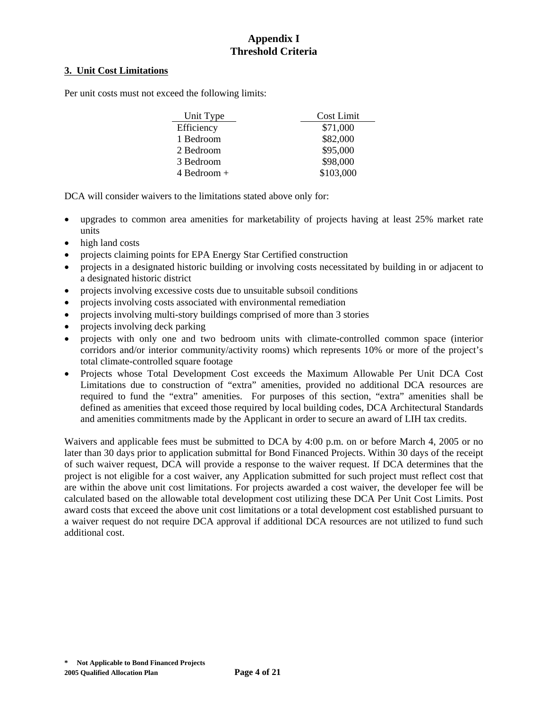#### **3. Unit Cost Limitations**

Per unit costs must not exceed the following limits:

| Unit Type     | Cost Limit |
|---------------|------------|
| Efficiency    | \$71,000   |
| 1 Bedroom     | \$82,000   |
| 2 Bedroom     | \$95,000   |
| 3 Bedroom     | \$98,000   |
| $4$ Bedroom + | \$103,000  |

DCA will consider waivers to the limitations stated above only for:

- upgrades to common area amenities for marketability of projects having at least 25% market rate units
- high land costs
- projects claiming points for EPA Energy Star Certified construction
- projects in a designated historic building or involving costs necessitated by building in or adjacent to a designated historic district
- projects involving excessive costs due to unsuitable subsoil conditions
- projects involving costs associated with environmental remediation
- projects involving multi-story buildings comprised of more than 3 stories
- projects involving deck parking
- projects with only one and two bedroom units with climate-controlled common space (interior corridors and/or interior community/activity rooms) which represents 10% or more of the project's total climate-controlled square footage
- Projects whose Total Development Cost exceeds the Maximum Allowable Per Unit DCA Cost Limitations due to construction of "extra" amenities, provided no additional DCA resources are required to fund the "extra" amenities. For purposes of this section, "extra" amenities shall be defined as amenities that exceed those required by local building codes, DCA Architectural Standards and amenities commitments made by the Applicant in order to secure an award of LIH tax credits.

Waivers and applicable fees must be submitted to DCA by 4:00 p.m. on or before March 4, 2005 or no later than 30 days prior to application submittal for Bond Financed Projects. Within 30 days of the receipt of such waiver request, DCA will provide a response to the waiver request. If DCA determines that the project is not eligible for a cost waiver, any Application submitted for such project must reflect cost that are within the above unit cost limitations. For projects awarded a cost waiver, the developer fee will be calculated based on the allowable total development cost utilizing these DCA Per Unit Cost Limits. Post award costs that exceed the above unit cost limitations or a total development cost established pursuant to a waiver request do not require DCA approval if additional DCA resources are not utilized to fund such additional cost.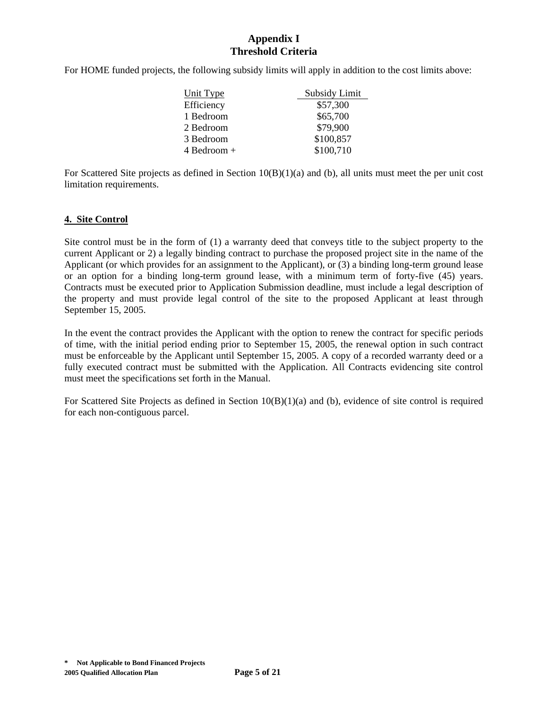For HOME funded projects, the following subsidy limits will apply in addition to the cost limits above:

| Unit Type       | Subsidy Limit |
|-----------------|---------------|
| Efficiency      | \$57,300      |
| 1 Bedroom       | \$65,700      |
| 2 Bedroom       | \$79,900      |
| 3 Bedroom       | \$100,857     |
| $4$ Bedroom $+$ | \$100,710     |

For Scattered Site projects as defined in Section 10(B)(1)(a) and (b), all units must meet the per unit cost limitation requirements.

#### **4. Site Control**

Site control must be in the form of (1) a warranty deed that conveys title to the subject property to the current Applicant or 2) a legally binding contract to purchase the proposed project site in the name of the Applicant (or which provides for an assignment to the Applicant), or (3) a binding long-term ground lease or an option for a binding long-term ground lease, with a minimum term of forty-five (45) years. Contracts must be executed prior to Application Submission deadline, must include a legal description of the property and must provide legal control of the site to the proposed Applicant at least through September 15, 2005.

In the event the contract provides the Applicant with the option to renew the contract for specific periods of time, with the initial period ending prior to September 15, 2005, the renewal option in such contract must be enforceable by the Applicant until September 15, 2005. A copy of a recorded warranty deed or a fully executed contract must be submitted with the Application. All Contracts evidencing site control must meet the specifications set forth in the Manual.

For Scattered Site Projects as defined in Section 10(B)(1)(a) and (b), evidence of site control is required for each non-contiguous parcel.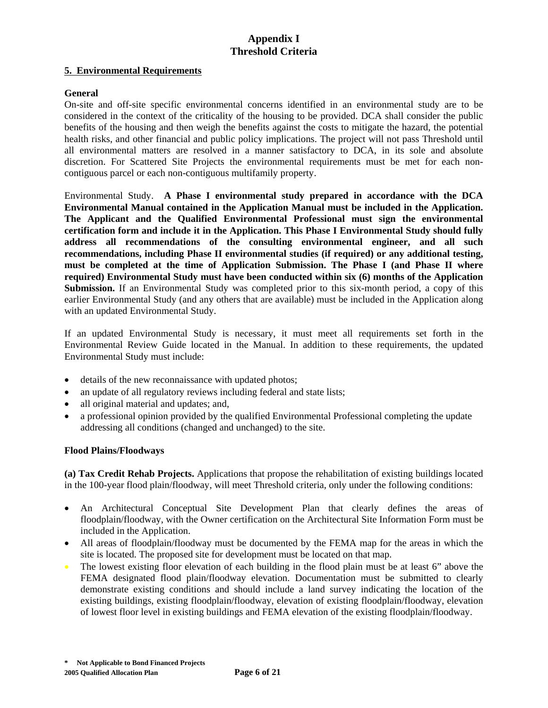#### **5. Environmental Requirements**

#### **General**

On-site and off-site specific environmental concerns identified in an environmental study are to be considered in the context of the criticality of the housing to be provided. DCA shall consider the public benefits of the housing and then weigh the benefits against the costs to mitigate the hazard, the potential health risks, and other financial and public policy implications. The project will not pass Threshold until all environmental matters are resolved in a manner satisfactory to DCA, in its sole and absolute discretion. For Scattered Site Projects the environmental requirements must be met for each noncontiguous parcel or each non-contiguous multifamily property.

Environmental Study. **A Phase I environmental study prepared in accordance with the DCA Environmental Manual contained in the Application Manual must be included in the Application. The Applicant and the Qualified Environmental Professional must sign the environmental certification form and include it in the Application. This Phase I Environmental Study should fully address all recommendations of the consulting environmental engineer, and all such recommendations, including Phase II environmental studies (if required) or any additional testing, must be completed at the time of Application Submission. The Phase I (and Phase II where required) Environmental Study must have been conducted within six (6) months of the Application Submission.** If an Environmental Study was completed prior to this six-month period, a copy of this earlier Environmental Study (and any others that are available) must be included in the Application along with an updated Environmental Study.

If an updated Environmental Study is necessary, it must meet all requirements set forth in the Environmental Review Guide located in the Manual. In addition to these requirements, the updated Environmental Study must include:

- details of the new reconnaissance with updated photos;
- an update of all regulatory reviews including federal and state lists;
- all original material and updates; and,
- a professional opinion provided by the qualified Environmental Professional completing the update addressing all conditions (changed and unchanged) to the site.

#### **Flood Plains/Floodways**

**(a) Tax Credit Rehab Projects.** Applications that propose the rehabilitation of existing buildings located in the 100-year flood plain/floodway, will meet Threshold criteria, only under the following conditions:

- An Architectural Conceptual Site Development Plan that clearly defines the areas of floodplain/floodway, with the Owner certification on the Architectural Site Information Form must be included in the Application.
- All areas of floodplain/floodway must be documented by the FEMA map for the areas in which the site is located. The proposed site for development must be located on that map.
- The lowest existing floor elevation of each building in the flood plain must be at least 6" above the FEMA designated flood plain/floodway elevation. Documentation must be submitted to clearly demonstrate existing conditions and should include a land survey indicating the location of the existing buildings, existing floodplain/floodway, elevation of existing floodplain/floodway, elevation of lowest floor level in existing buildings and FEMA elevation of the existing floodplain/floodway.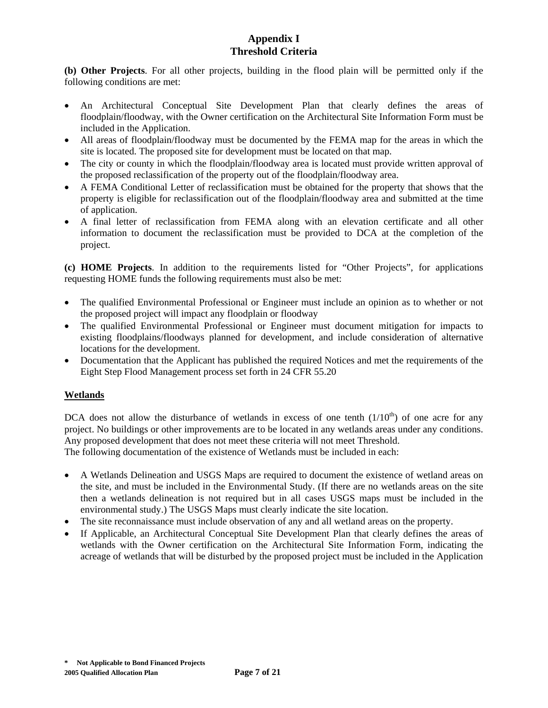**(b) Other Projects**. For all other projects, building in the flood plain will be permitted only if the following conditions are met:

- An Architectural Conceptual Site Development Plan that clearly defines the areas of floodplain/floodway, with the Owner certification on the Architectural Site Information Form must be included in the Application.
- All areas of floodplain/floodway must be documented by the FEMA map for the areas in which the site is located. The proposed site for development must be located on that map.
- The city or county in which the floodplain/floodway area is located must provide written approval of the proposed reclassification of the property out of the floodplain/floodway area.
- A FEMA Conditional Letter of reclassification must be obtained for the property that shows that the property is eligible for reclassification out of the floodplain/floodway area and submitted at the time of application.
- A final letter of reclassification from FEMA along with an elevation certificate and all other information to document the reclassification must be provided to DCA at the completion of the project.

**(c) HOME Projects**. In addition to the requirements listed for "Other Projects", for applications requesting HOME funds the following requirements must also be met:

- The qualified Environmental Professional or Engineer must include an opinion as to whether or not the proposed project will impact any floodplain or floodway
- The qualified Environmental Professional or Engineer must document mitigation for impacts to existing floodplains/floodways planned for development, and include consideration of alternative locations for the development.
- Documentation that the Applicant has published the required Notices and met the requirements of the Eight Step Flood Management process set forth in 24 CFR 55.20

## **Wetlands**

DCA does not allow the disturbance of wetlands in excess of one tenth  $(1/10<sup>th</sup>)$  of one acre for any project. No buildings or other improvements are to be located in any wetlands areas under any conditions. Any proposed development that does not meet these criteria will not meet Threshold.

The following documentation of the existence of Wetlands must be included in each:

- A Wetlands Delineation and USGS Maps are required to document the existence of wetland areas on the site, and must be included in the Environmental Study. (If there are no wetlands areas on the site then a wetlands delineation is not required but in all cases USGS maps must be included in the environmental study.) The USGS Maps must clearly indicate the site location.
- The site reconnaissance must include observation of any and all wetland areas on the property.
- If Applicable, an Architectural Conceptual Site Development Plan that clearly defines the areas of wetlands with the Owner certification on the Architectural Site Information Form, indicating the acreage of wetlands that will be disturbed by the proposed project must be included in the Application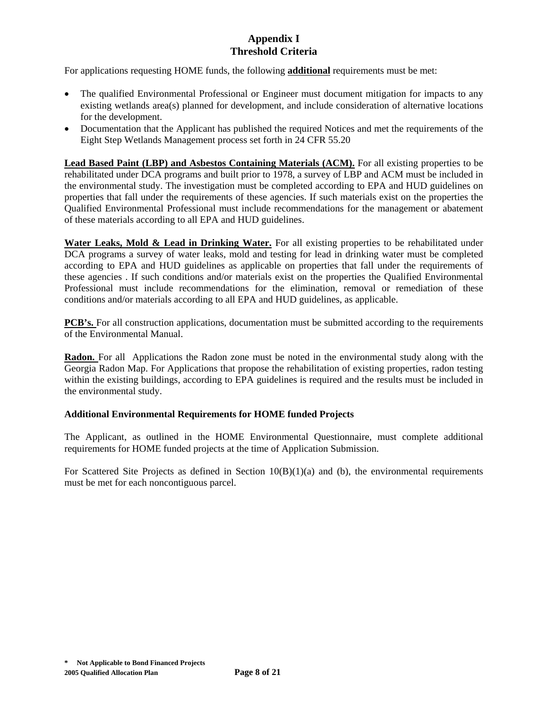For applications requesting HOME funds, the following **additional** requirements must be met:

- The qualified Environmental Professional or Engineer must document mitigation for impacts to any existing wetlands area(s) planned for development, and include consideration of alternative locations for the development.
- Documentation that the Applicant has published the required Notices and met the requirements of the Eight Step Wetlands Management process set forth in 24 CFR 55.20

**Lead Based Paint (LBP) and Asbestos Containing Materials (ACM).** For all existing properties to be rehabilitated under DCA programs and built prior to 1978, a survey of LBP and ACM must be included in the environmental study. The investigation must be completed according to EPA and HUD guidelines on properties that fall under the requirements of these agencies. If such materials exist on the properties the Qualified Environmental Professional must include recommendations for the management or abatement of these materials according to all EPA and HUD guidelines.

Water Leaks, Mold & Lead in Drinking Water. For all existing properties to be rehabilitated under DCA programs a survey of water leaks, mold and testing for lead in drinking water must be completed according to EPA and HUD guidelines as applicable on properties that fall under the requirements of these agencies . If such conditions and/or materials exist on the properties the Qualified Environmental Professional must include recommendations for the elimination, removal or remediation of these conditions and/or materials according to all EPA and HUD guidelines, as applicable.

**PCB's.** For all construction applications, documentation must be submitted according to the requirements of the Environmental Manual.

**Radon.** For all Applications the Radon zone must be noted in the environmental study along with the Georgia Radon Map. For Applications that propose the rehabilitation of existing properties, radon testing within the existing buildings, according to EPA guidelines is required and the results must be included in the environmental study.

#### **Additional Environmental Requirements for HOME funded Projects**

The Applicant, as outlined in the HOME Environmental Questionnaire, must complete additional requirements for HOME funded projects at the time of Application Submission.

For Scattered Site Projects as defined in Section  $10(B)(1)(a)$  and (b), the environmental requirements must be met for each noncontiguous parcel.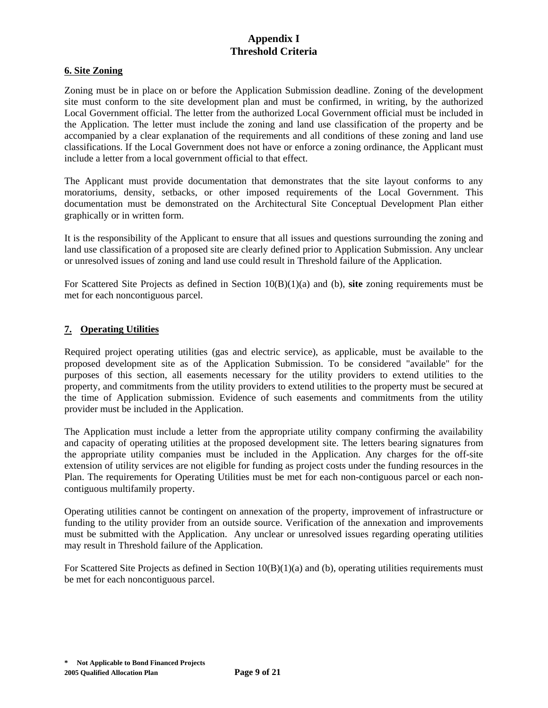#### **6. Site Zoning**

Zoning must be in place on or before the Application Submission deadline. Zoning of the development site must conform to the site development plan and must be confirmed, in writing, by the authorized Local Government official. The letter from the authorized Local Government official must be included in the Application. The letter must include the zoning and land use classification of the property and be accompanied by a clear explanation of the requirements and all conditions of these zoning and land use classifications. If the Local Government does not have or enforce a zoning ordinance, the Applicant must include a letter from a local government official to that effect.

The Applicant must provide documentation that demonstrates that the site layout conforms to any moratoriums, density, setbacks, or other imposed requirements of the Local Government. This documentation must be demonstrated on the Architectural Site Conceptual Development Plan either graphically or in written form.

It is the responsibility of the Applicant to ensure that all issues and questions surrounding the zoning and land use classification of a proposed site are clearly defined prior to Application Submission. Any unclear or unresolved issues of zoning and land use could result in Threshold failure of the Application.

For Scattered Site Projects as defined in Section 10(B)(1)(a) and (b), **site** zoning requirements must be met for each noncontiguous parcel.

## **7. Operating Utilities**

Required project operating utilities (gas and electric service), as applicable, must be available to the proposed development site as of the Application Submission. To be considered "available" for the purposes of this section, all easements necessary for the utility providers to extend utilities to the property, and commitments from the utility providers to extend utilities to the property must be secured at the time of Application submission. Evidence of such easements and commitments from the utility provider must be included in the Application.

The Application must include a letter from the appropriate utility company confirming the availability and capacity of operating utilities at the proposed development site. The letters bearing signatures from the appropriate utility companies must be included in the Application. Any charges for the off-site extension of utility services are not eligible for funding as project costs under the funding resources in the Plan. The requirements for Operating Utilities must be met for each non-contiguous parcel or each noncontiguous multifamily property.

Operating utilities cannot be contingent on annexation of the property, improvement of infrastructure or funding to the utility provider from an outside source. Verification of the annexation and improvements must be submitted with the Application. Any unclear or unresolved issues regarding operating utilities may result in Threshold failure of the Application.

For Scattered Site Projects as defined in Section  $10(B)(1)(a)$  and (b), operating utilities requirements must be met for each noncontiguous parcel.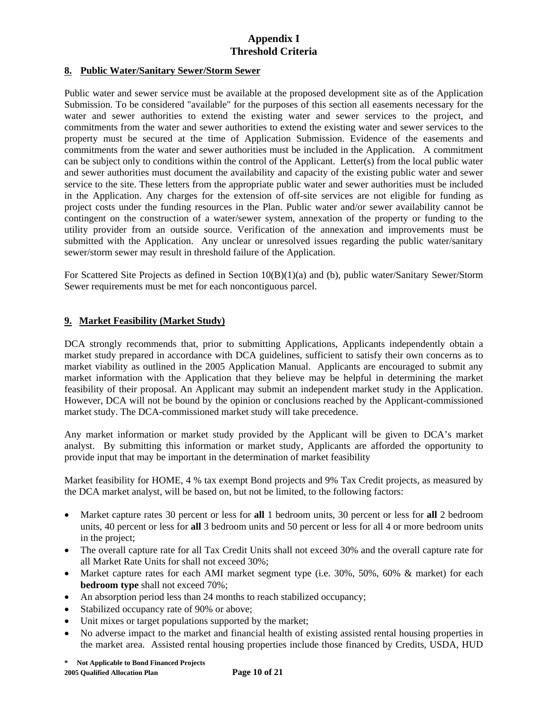#### **8. Public Water/Sanitary Sewer/Storm Sewer**

Public water and sewer service must be available at the proposed development site as of the Application Submission. To be considered "available" for the purposes of this section all easements necessary for the water and sewer authorities to extend the existing water and sewer services to the project, and commitments from the water and sewer authorities to extend the existing water and sewer services to the property must be secured at the time of Application Submission. Evidence of the easements and commitments from the water and sewer authorities must be included in the Application. A commitment can be subject only to conditions within the control of the Applicant. Letter(s) from the local public water and sewer authorities must document the availability and capacity of the existing public water and sewer service to the site. These letters from the appropriate public water and sewer authorities must be included in the Application. Any charges for the extension of off-site services are not eligible for funding as project costs under the funding resources in the Plan. Public water and/or sewer availability cannot be contingent on the construction of a water/sewer system, annexation of the property or funding to the utility provider from an outside source. Verification of the annexation and improvements must be submitted with the Application.Any unclear or unresolved issues regarding the public water/sanitary sewer/storm sewer may result in threshold failure of the Application.

For Scattered Site Projects as defined in Section 10(B)(1)(a) and (b), public water/Sanitary Sewer/Storm Sewer requirements must be met for each noncontiguous parcel.

## **9. Market Feasibility (Market Study)**

DCA strongly recommends that, prior to submitting Applications, Applicants independently obtain a market study prepared in accordance with DCA guidelines, sufficient to satisfy their own concerns as to market viability as outlined in the 2005 Application Manual. Applicants are encouraged to submit any market information with the Application that they believe may be helpful in determining the market feasibility of their proposal. An Applicant may submit an independent market study in the Application. However, DCA will not be bound by the opinion or conclusions reached by the Applicant-commissioned market study. The DCA-commissioned market study will take precedence.

Any market information or market study provided by the Applicant will be given to DCA's market analyst. By submitting this information or market study, Applicants are afforded the opportunity to provide input that may be important in the determination of market feasibility

Market feasibility for HOME, 4 % tax exempt Bond projects and 9% Tax Credit projects, as measured by the DCA market analyst, will be based on, but not be limited, to the following factors:

- Market capture rates 30 percent or less for **all** 1 bedroom units, 30 percent or less for **all** 2 bedroom units, 40 percent or less for **all** 3 bedroom units and 50 percent or less for all 4 or more bedroom units in the project;
- The overall capture rate for all Tax Credit Units shall not exceed 30% and the overall capture rate for all Market Rate Units for shall not exceed 30%;
- Market capture rates for each AMI market segment type (i.e. 30%, 50%, 60% & market) for each **bedroom type** shall not exceed 70%;
- An absorption period less than 24 months to reach stabilized occupancy;
- Stabilized occupancy rate of 90% or above;
- Unit mixes or target populations supported by the market;
- No adverse impact to the market and financial health of existing assisted rental housing properties in the market area. Assisted rental housing properties include those financed by Credits, USDA, HUD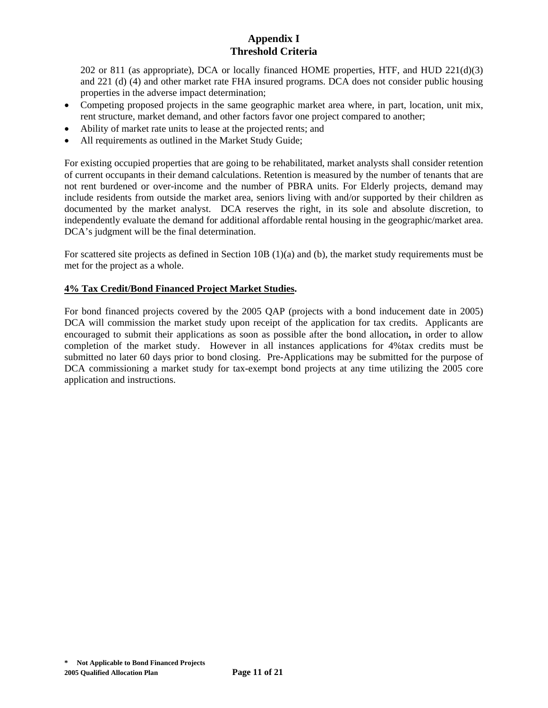202 or 811 (as appropriate), DCA or locally financed HOME properties, HTF, and HUD  $221(d)(3)$ and 221 (d) (4) and other market rate FHA insured programs. DCA does not consider public housing properties in the adverse impact determination;

- Competing proposed projects in the same geographic market area where, in part, location, unit mix, rent structure, market demand, and other factors favor one project compared to another;
- Ability of market rate units to lease at the projected rents; and
- All requirements as outlined in the Market Study Guide;

For existing occupied properties that are going to be rehabilitated, market analysts shall consider retention of current occupants in their demand calculations. Retention is measured by the number of tenants that are not rent burdened or over-income and the number of PBRA units. For Elderly projects, demand may include residents from outside the market area, seniors living with and/or supported by their children as documented by the market analyst. DCA reserves the right, in its sole and absolute discretion, to independently evaluate the demand for additional affordable rental housing in the geographic/market area. DCA's judgment will be the final determination.

For scattered site projects as defined in Section 10B (1)(a) and (b), the market study requirements must be met for the project as a whole.

## **4% Tax Credit/Bond Financed Project Market Studies.**

For bond financed projects covered by the 2005 QAP (projects with a bond inducement date in 2005) DCA will commission the market study upon receipt of the application for tax credits. Applicants are encouraged to submit their applications as soon as possible after the bond allocation**,** in order to allow completion of the market study. However in all instances applications for 4%tax credits must be submitted no later 60 days prior to bond closing. Pre-Applications may be submitted for the purpose of DCA commissioning a market study for tax-exempt bond projects at any time utilizing the 2005 core application and instructions.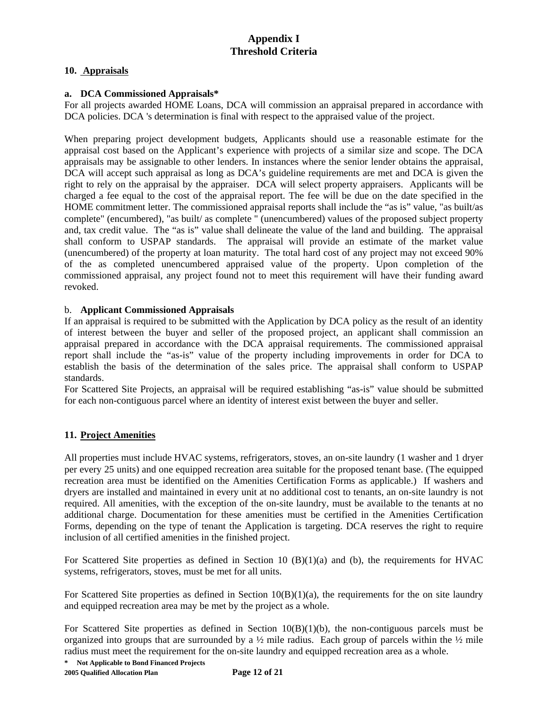## **10. Appraisals**

## **a. DCA Commissioned Appraisals\***

For all projects awarded HOME Loans, DCA will commission an appraisal prepared in accordance with DCA policies. DCA 's determination is final with respect to the appraised value of the project.

When preparing project development budgets, Applicants should use a reasonable estimate for the appraisal cost based on the Applicant's experience with projects of a similar size and scope. The DCA appraisals may be assignable to other lenders. In instances where the senior lender obtains the appraisal, DCA will accept such appraisal as long as DCA's guideline requirements are met and DCA is given the right to rely on the appraisal by the appraiser. DCA will select property appraisers. Applicants will be charged a fee equal to the cost of the appraisal report. The fee will be due on the date specified in the HOME commitment letter. The commissioned appraisal reports shall include the "as is" value, "as built/as complete" (encumbered), "as built/ as complete " (unencumbered) values of the proposed subject property and, tax credit value. The "as is" value shall delineate the value of the land and building. The appraisal shall conform to USPAP standards. The appraisal will provide an estimate of the market value (unencumbered) of the property at loan maturity. The total hard cost of any project may not exceed 90% of the as completed unencumbered appraised value of the property. Upon completion of the commissioned appraisal, any project found not to meet this requirement will have their funding award revoked.

## b. **Applicant Commissioned Appraisals**

If an appraisal is required to be submitted with the Application by DCA policy as the result of an identity of interest between the buyer and seller of the proposed project, an applicant shall commission an appraisal prepared in accordance with the DCA appraisal requirements. The commissioned appraisal report shall include the "as-is" value of the property including improvements in order for DCA to establish the basis of the determination of the sales price. The appraisal shall conform to USPAP standards.

For Scattered Site Projects, an appraisal will be required establishing "as-is" value should be submitted for each non-contiguous parcel where an identity of interest exist between the buyer and seller.

## **11. Project Amenities**

All properties must include HVAC systems, refrigerators, stoves, an on-site laundry (1 washer and 1 dryer per every 25 units) and one equipped recreation area suitable for the proposed tenant base. (The equipped recreation area must be identified on the Amenities Certification Forms as applicable.) If washers and dryers are installed and maintained in every unit at no additional cost to tenants, an on-site laundry is not required. All amenities, with the exception of the on-site laundry, must be available to the tenants at no additional charge. Documentation for these amenities must be certified in the Amenities Certification Forms, depending on the type of tenant the Application is targeting. DCA reserves the right to require inclusion of all certified amenities in the finished project.

For Scattered Site properties as defined in Section 10 (B)(1)(a) and (b), the requirements for HVAC systems, refrigerators, stoves, must be met for all units.

For Scattered Site properties as defined in Section  $10(B)(1)(a)$ , the requirements for the on site laundry and equipped recreation area may be met by the project as a whole.

For Scattered Site properties as defined in Section  $10(B)(1)(b)$ , the non-contiguous parcels must be organized into groups that are surrounded by a  $\frac{1}{2}$  mile radius. Each group of parcels within the  $\frac{1}{2}$  mile radius must meet the requirement for the on-site laundry and equipped recreation area as a whole.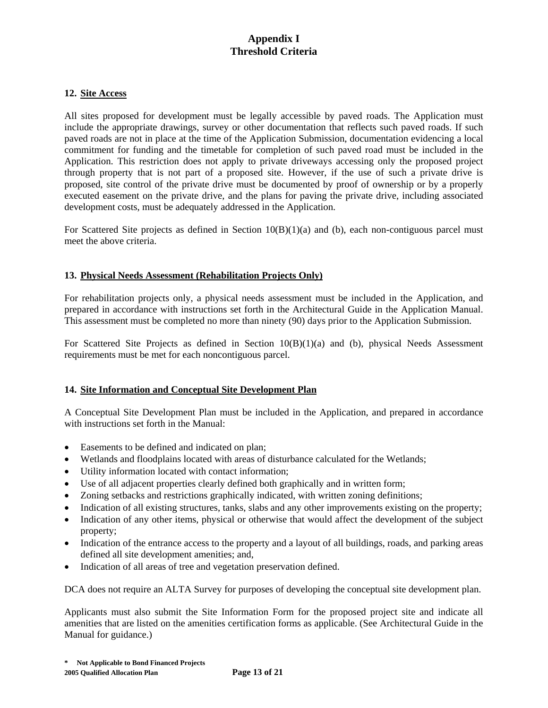#### **12. Site Access**

All sites proposed for development must be legally accessible by paved roads. The Application must include the appropriate drawings, survey or other documentation that reflects such paved roads. If such paved roads are not in place at the time of the Application Submission, documentation evidencing a local commitment for funding and the timetable for completion of such paved road must be included in the Application. This restriction does not apply to private driveways accessing only the proposed project through property that is not part of a proposed site. However, if the use of such a private drive is proposed, site control of the private drive must be documented by proof of ownership or by a properly executed easement on the private drive, and the plans for paving the private drive, including associated development costs, must be adequately addressed in the Application.

For Scattered Site projects as defined in Section  $10(B)(1)(a)$  and (b), each non-contiguous parcel must meet the above criteria.

## **13. Physical Needs Assessment (Rehabilitation Projects Only)**

For rehabilitation projects only, a physical needs assessment must be included in the Application, and prepared in accordance with instructions set forth in the Architectural Guide in the Application Manual. This assessment must be completed no more than ninety (90) days prior to the Application Submission.

For Scattered Site Projects as defined in Section 10(B)(1)(a) and (b), physical Needs Assessment requirements must be met for each noncontiguous parcel.

#### **14. Site Information and Conceptual Site Development Plan**

A Conceptual Site Development Plan must be included in the Application, and prepared in accordance with instructions set forth in the Manual:

- Easements to be defined and indicated on plan;
- Wetlands and floodplains located with areas of disturbance calculated for the Wetlands;
- Utility information located with contact information;
- Use of all adjacent properties clearly defined both graphically and in written form;
- Zoning setbacks and restrictions graphically indicated, with written zoning definitions;
- Indication of all existing structures, tanks, slabs and any other improvements existing on the property;
- Indication of any other items, physical or otherwise that would affect the development of the subject property;
- Indication of the entrance access to the property and a layout of all buildings, roads, and parking areas defined all site development amenities; and,
- Indication of all areas of tree and vegetation preservation defined.

DCA does not require an ALTA Survey for purposes of developing the conceptual site development plan.

Applicants must also submit the Site Information Form for the proposed project site and indicate all amenities that are listed on the amenities certification forms as applicable. (See Architectural Guide in the Manual for guidance.)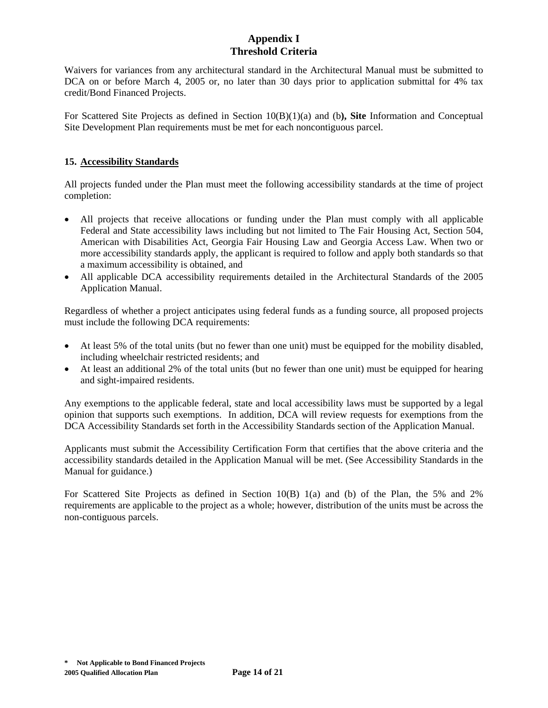Waivers for variances from any architectural standard in the Architectural Manual must be submitted to DCA on or before March 4, 2005 or, no later than 30 days prior to application submittal for 4% tax credit/Bond Financed Projects.

For Scattered Site Projects as defined in Section 10(B)(1)(a) and (b**), Site** Information and Conceptual Site Development Plan requirements must be met for each noncontiguous parcel.

## **15. Accessibility Standards**

All projects funded under the Plan must meet the following accessibility standards at the time of project completion:

- All projects that receive allocations or funding under the Plan must comply with all applicable Federal and State accessibility laws including but not limited to The Fair Housing Act, Section 504, American with Disabilities Act, Georgia Fair Housing Law and Georgia Access Law. When two or more accessibility standards apply, the applicant is required to follow and apply both standards so that a maximum accessibility is obtained, and
- All applicable DCA accessibility requirements detailed in the Architectural Standards of the 2005 Application Manual.

Regardless of whether a project anticipates using federal funds as a funding source, all proposed projects must include the following DCA requirements:

- At least 5% of the total units (but no fewer than one unit) must be equipped for the mobility disabled, including wheelchair restricted residents; and
- At least an additional 2% of the total units (but no fewer than one unit) must be equipped for hearing and sight-impaired residents.

Any exemptions to the applicable federal, state and local accessibility laws must be supported by a legal opinion that supports such exemptions. In addition, DCA will review requests for exemptions from the DCA Accessibility Standards set forth in the Accessibility Standards section of the Application Manual.

Applicants must submit the Accessibility Certification Form that certifies that the above criteria and the accessibility standards detailed in the Application Manual will be met. (See Accessibility Standards in the Manual for guidance.)

For Scattered Site Projects as defined in Section 10(B) 1(a) and (b) of the Plan, the 5% and 2% requirements are applicable to the project as a whole; however, distribution of the units must be across the non-contiguous parcels.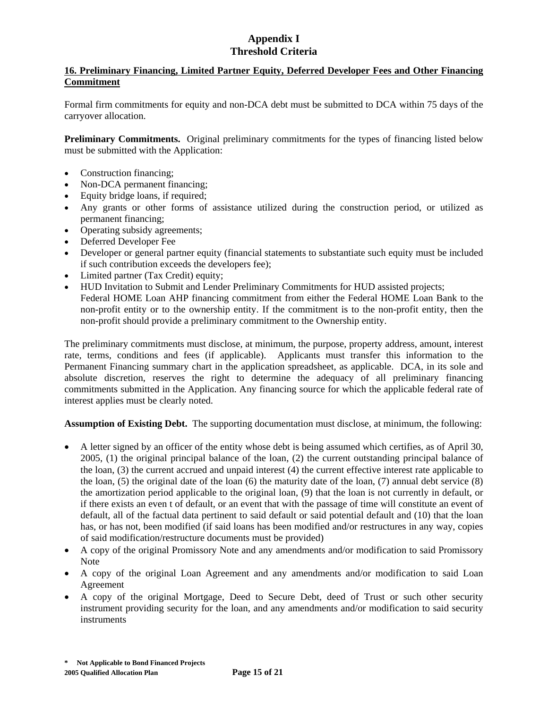## **16. Preliminary Financing, Limited Partner Equity, Deferred Developer Fees and Other Financing Commitment**

Formal firm commitments for equity and non-DCA debt must be submitted to DCA within 75 days of the carryover allocation.

**Preliminary Commitments.** Original preliminary commitments for the types of financing listed below must be submitted with the Application:

- Construction financing;
- Non-DCA permanent financing;
- Equity bridge loans, if required;
- Any grants or other forms of assistance utilized during the construction period, or utilized as permanent financing;
- Operating subsidy agreements;
- Deferred Developer Fee
- Developer or general partner equity (financial statements to substantiate such equity must be included if such contribution exceeds the developers fee);
- Limited partner (Tax Credit) equity;
- HUD Invitation to Submit and Lender Preliminary Commitments for HUD assisted projects; Federal HOME Loan AHP financing commitment from either the Federal HOME Loan Bank to the non-profit entity or to the ownership entity. If the commitment is to the non-profit entity, then the non-profit should provide a preliminary commitment to the Ownership entity.

The preliminary commitments must disclose, at minimum, the purpose, property address, amount, interest rate, terms, conditions and fees (if applicable). Applicants must transfer this information to the Permanent Financing summary chart in the application spreadsheet, as applicable. DCA, in its sole and absolute discretion, reserves the right to determine the adequacy of all preliminary financing commitments submitted in the Application. Any financing source for which the applicable federal rate of interest applies must be clearly noted.

**Assumption of Existing Debt.** The supporting documentation must disclose, at minimum, the following:

- A letter signed by an officer of the entity whose debt is being assumed which certifies, as of April 30, 2005, (1) the original principal balance of the loan, (2) the current outstanding principal balance of the loan, (3) the current accrued and unpaid interest (4) the current effective interest rate applicable to the loan,  $(5)$  the original date of the loan  $(6)$  the maturity date of the loan,  $(7)$  annual debt service  $(8)$ the amortization period applicable to the original loan, (9) that the loan is not currently in default, or if there exists an even t of default, or an event that with the passage of time will constitute an event of default, all of the factual data pertinent to said default or said potential default and (10) that the loan has, or has not, been modified (if said loans has been modified and/or restructures in any way, copies of said modification/restructure documents must be provided)
- A copy of the original Promissory Note and any amendments and/or modification to said Promissory Note
- A copy of the original Loan Agreement and any amendments and/or modification to said Loan Agreement
- A copy of the original Mortgage, Deed to Secure Debt, deed of Trust or such other security instrument providing security for the loan, and any amendments and/or modification to said security instruments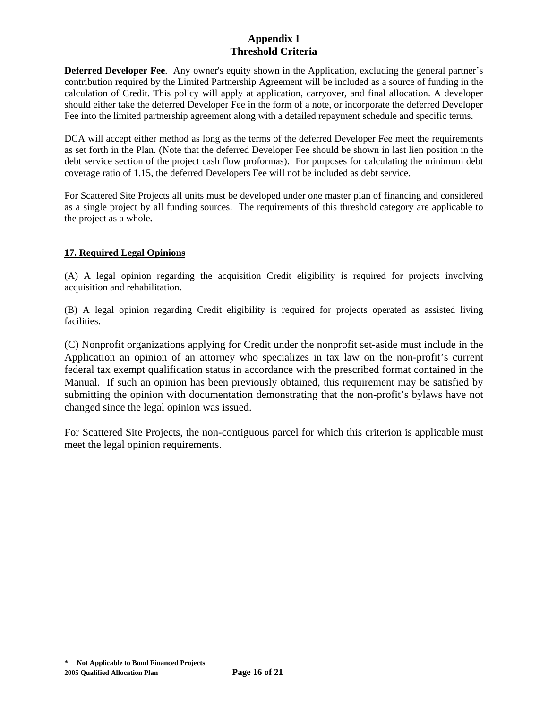**Deferred Developer Fee**. Any owner's equity shown in the Application, excluding the general partner's contribution required by the Limited Partnership Agreement will be included as a source of funding in the calculation of Credit. This policy will apply at application, carryover, and final allocation. A developer should either take the deferred Developer Fee in the form of a note, or incorporate the deferred Developer Fee into the limited partnership agreement along with a detailed repayment schedule and specific terms.

DCA will accept either method as long as the terms of the deferred Developer Fee meet the requirements as set forth in the Plan. (Note that the deferred Developer Fee should be shown in last lien position in the debt service section of the project cash flow proformas). For purposes for calculating the minimum debt coverage ratio of 1.15, the deferred Developers Fee will not be included as debt service.

For Scattered Site Projects all units must be developed under one master plan of financing and considered as a single project by all funding sources. The requirements of this threshold category are applicable to the project as a whole**.**

# **17. Required Legal Opinions**

(A) A legal opinion regarding the acquisition Credit eligibility is required for projects involving acquisition and rehabilitation.

(B) A legal opinion regarding Credit eligibility is required for projects operated as assisted living facilities.

(C) Nonprofit organizations applying for Credit under the nonprofit set-aside must include in the Application an opinion of an attorney who specializes in tax law on the non-profit's current federal tax exempt qualification status in accordance with the prescribed format contained in the Manual. If such an opinion has been previously obtained, this requirement may be satisfied by submitting the opinion with documentation demonstrating that the non-profit's bylaws have not changed since the legal opinion was issued.

For Scattered Site Projects, the non-contiguous parcel for which this criterion is applicable must meet the legal opinion requirements.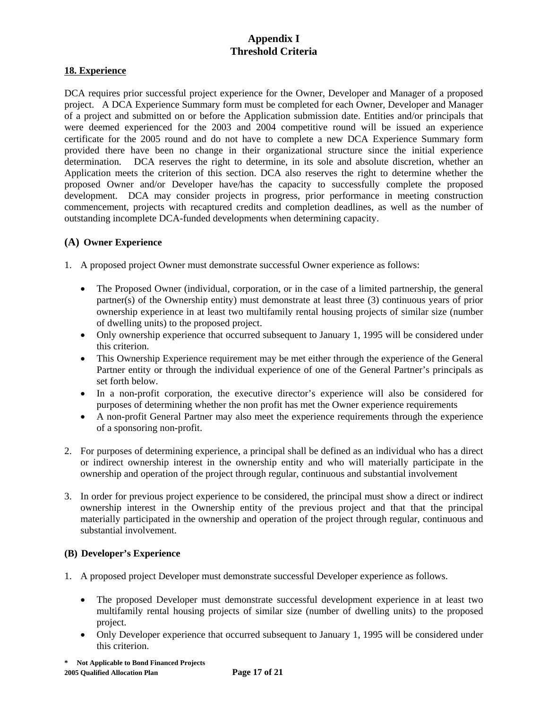## **18. Experience**

DCA requires prior successful project experience for the Owner, Developer and Manager of a proposed project. A DCA Experience Summary form must be completed for each Owner, Developer and Manager of a project and submitted on or before the Application submission date. Entities and/or principals that were deemed experienced for the 2003 and 2004 competitive round will be issued an experience certificate for the 2005 round and do not have to complete a new DCA Experience Summary form provided there have been no change in their organizational structure since the initial experience determination.DCA reserves the right to determine, in its sole and absolute discretion, whether an Application meets the criterion of this section. DCA also reserves the right to determine whether the proposed Owner and/or Developer have/has the capacity to successfully complete the proposed development. DCA may consider projects in progress, prior performance in meeting construction commencement, projects with recaptured credits and completion deadlines, as well as the number of outstanding incomplete DCA-funded developments when determining capacity.

## **(A) Owner Experience**

- 1. A proposed project Owner must demonstrate successful Owner experience as follows:
	- The Proposed Owner (individual, corporation, or in the case of a limited partnership, the general partner(s) of the Ownership entity) must demonstrate at least three (3) continuous years of prior ownership experience in at least two multifamily rental housing projects of similar size (number of dwelling units) to the proposed project.
	- Only ownership experience that occurred subsequent to January 1, 1995 will be considered under this criterion.
	- This Ownership Experience requirement may be met either through the experience of the General Partner entity or through the individual experience of one of the General Partner's principals as set forth below.
	- In a non-profit corporation, the executive director's experience will also be considered for purposes of determining whether the non profit has met the Owner experience requirements
	- A non-profit General Partner may also meet the experience requirements through the experience of a sponsoring non-profit.
- 2. For purposes of determining experience, a principal shall be defined as an individual who has a direct or indirect ownership interest in the ownership entity and who will materially participate in the ownership and operation of the project through regular, continuous and substantial involvement
- 3. In order for previous project experience to be considered, the principal must show a direct or indirect ownership interest in the Ownership entity of the previous project and that that the principal materially participated in the ownership and operation of the project through regular, continuous and substantial involvement.

#### **(B) Developer's Experience**

- 1. A proposed project Developer must demonstrate successful Developer experience as follows.
	- The proposed Developer must demonstrate successful development experience in at least two multifamily rental housing projects of similar size (number of dwelling units) to the proposed project.
	- Only Developer experience that occurred subsequent to January 1, 1995 will be considered under this criterion.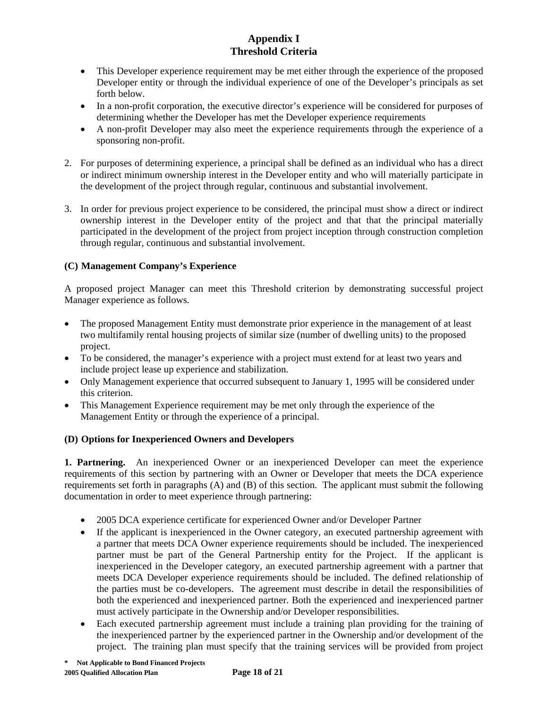- This Developer experience requirement may be met either through the experience of the proposed Developer entity or through the individual experience of one of the Developer's principals as set forth below.
- In a non-profit corporation, the executive director's experience will be considered for purposes of determining whether the Developer has met the Developer experience requirements
- A non-profit Developer may also meet the experience requirements through the experience of a sponsoring non-profit.
- 2. For purposes of determining experience, a principal shall be defined as an individual who has a direct or indirect minimum ownership interest in the Developer entity and who will materially participate in the development of the project through regular, continuous and substantial involvement.
- 3. In order for previous project experience to be considered, the principal must show a direct or indirect ownership interest in the Developer entity of the project and that that the principal materially participated in the development of the project from project inception through construction completion through regular, continuous and substantial involvement.

# **(C) Management Company's Experience**

A proposed project Manager can meet this Threshold criterion by demonstrating successful project Manager experience as follows.

- The proposed Management Entity must demonstrate prior experience in the management of at least two multifamily rental housing projects of similar size (number of dwelling units) to the proposed project.
- To be considered, the manager's experience with a project must extend for at least two years and include project lease up experience and stabilization.
- Only Management experience that occurred subsequent to January 1, 1995 will be considered under this criterion.
- This Management Experience requirement may be met only through the experience of the Management Entity or through the experience of a principal.

## **(D) Options for Inexperienced Owners and Developers**

**1. Partnering.** An inexperienced Owner or an inexperienced Developer can meet the experience requirements of this section by partnering with an Owner or Developer that meets the DCA experience requirements set forth in paragraphs (A) and (B) of this section. The applicant must submit the following documentation in order to meet experience through partnering:

- 2005 DCA experience certificate for experienced Owner and/or Developer Partner
- If the applicant is inexperienced in the Owner category, an executed partnership agreement with a partner that meets DCA Owner experience requirements should be included. The inexperienced partner must be part of the General Partnership entity for the Project. If the applicant is inexperienced in the Developer category, an executed partnership agreement with a partner that meets DCA Developer experience requirements should be included. The defined relationship of the parties must be co-developers. The agreement must describe in detail the responsibilities of both the experienced and inexperienced partner. Both the experienced and inexperienced partner must actively participate in the Ownership and/or Developer responsibilities.
- Each executed partnership agreement must include a training plan providing for the training of the inexperienced partner by the experienced partner in the Ownership and/or development of the project. The training plan must specify that the training services will be provided from project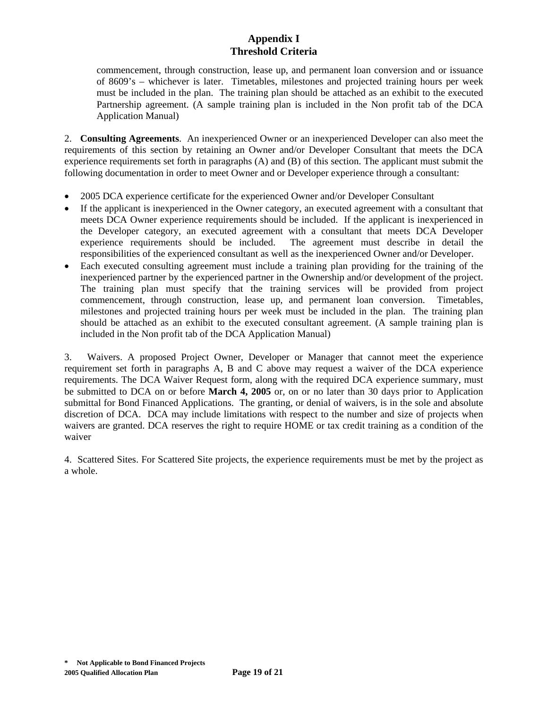commencement, through construction, lease up, and permanent loan conversion and or issuance of 8609's – whichever is later. Timetables, milestones and projected training hours per week must be included in the plan. The training plan should be attached as an exhibit to the executed Partnership agreement. (A sample training plan is included in the Non profit tab of the DCA Application Manual)

2. **Consulting Agreements**. An inexperienced Owner or an inexperienced Developer can also meet the requirements of this section by retaining an Owner and/or Developer Consultant that meets the DCA experience requirements set forth in paragraphs (A) and (B) of this section. The applicant must submit the following documentation in order to meet Owner and or Developer experience through a consultant:

- 2005 DCA experience certificate for the experienced Owner and/or Developer Consultant
- If the applicant is inexperienced in the Owner category, an executed agreement with a consultant that meets DCA Owner experience requirements should be included. If the applicant is inexperienced in the Developer category, an executed agreement with a consultant that meets DCA Developer experience requirements should be included. The agreement must describe in detail the responsibilities of the experienced consultant as well as the inexperienced Owner and/or Developer.
- Each executed consulting agreement must include a training plan providing for the training of the inexperienced partner by the experienced partner in the Ownership and/or development of the project. The training plan must specify that the training services will be provided from project commencement, through construction, lease up, and permanent loan conversion. Timetables, milestones and projected training hours per week must be included in the plan. The training plan should be attached as an exhibit to the executed consultant agreement. (A sample training plan is included in the Non profit tab of the DCA Application Manual)

3. Waivers. A proposed Project Owner, Developer or Manager that cannot meet the experience requirement set forth in paragraphs A, B and C above may request a waiver of the DCA experience requirements. The DCA Waiver Request form, along with the required DCA experience summary, must be submitted to DCA on or before **March 4, 2005** or, on or no later than 30 days prior to Application submittal for Bond Financed Applications. The granting, or denial of waivers, is in the sole and absolute discretion of DCA. DCA may include limitations with respect to the number and size of projects when waivers are granted. DCA reserves the right to require HOME or tax credit training as a condition of the waiver

4. Scattered Sites. For Scattered Site projects, the experience requirements must be met by the project as a whole.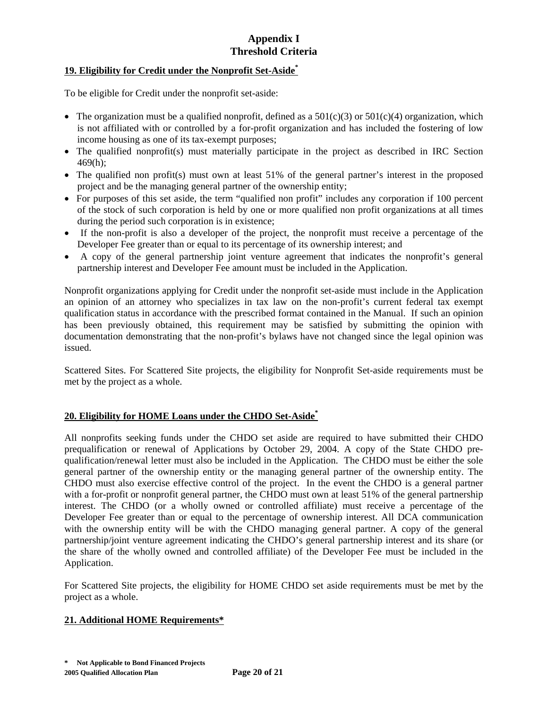## **19. Eligibility for Credit under the Nonprofit Set-Aside\***

To be eligible for Credit under the nonprofit set-aside:

- The organization must be a qualified nonprofit, defined as a  $501(c)(3)$  or  $501(c)(4)$  organization, which is not affiliated with or controlled by a for-profit organization and has included the fostering of low income housing as one of its tax-exempt purposes;
- The qualified nonprofit(s) must materially participate in the project as described in IRC Section 469(h);
- The qualified non profit(s) must own at least 51% of the general partner's interest in the proposed project and be the managing general partner of the ownership entity;
- For purposes of this set aside, the term "qualified non profit" includes any corporation if 100 percent of the stock of such corporation is held by one or more qualified non profit organizations at all times during the period such corporation is in existence;
- If the non-profit is also a developer of the project, the nonprofit must receive a percentage of the Developer Fee greater than or equal to its percentage of its ownership interest; and
- A copy of the general partnership joint venture agreement that indicates the nonprofit's general partnership interest and Developer Fee amount must be included in the Application.

Nonprofit organizations applying for Credit under the nonprofit set-aside must include in the Application an opinion of an attorney who specializes in tax law on the non-profit's current federal tax exempt qualification status in accordance with the prescribed format contained in the Manual. If such an opinion has been previously obtained, this requirement may be satisfied by submitting the opinion with documentation demonstrating that the non-profit's bylaws have not changed since the legal opinion was issued.

Scattered Sites. For Scattered Site projects, the eligibility for Nonprofit Set-aside requirements must be met by the project as a whole.

## **20. Eligibility for HOME Loans under the CHDO Set-Aside\***

All nonprofits seeking funds under the CHDO set aside are required to have submitted their CHDO prequalification or renewal of Applications by October 29, 2004. A copy of the State CHDO prequalification/renewal letter must also be included in the Application. The CHDO must be either the sole general partner of the ownership entity or the managing general partner of the ownership entity. The CHDO must also exercise effective control of the project. In the event the CHDO is a general partner with a for-profit or nonprofit general partner, the CHDO must own at least 51% of the general partnership interest. The CHDO (or a wholly owned or controlled affiliate) must receive a percentage of the Developer Fee greater than or equal to the percentage of ownership interest. All DCA communication with the ownership entity will be with the CHDO managing general partner. A copy of the general partnership/joint venture agreement indicating the CHDO's general partnership interest and its share (or the share of the wholly owned and controlled affiliate) of the Developer Fee must be included in the Application.

For Scattered Site projects, the eligibility for HOME CHDO set aside requirements must be met by the project as a whole.

#### **21. Additional HOME Requirements\***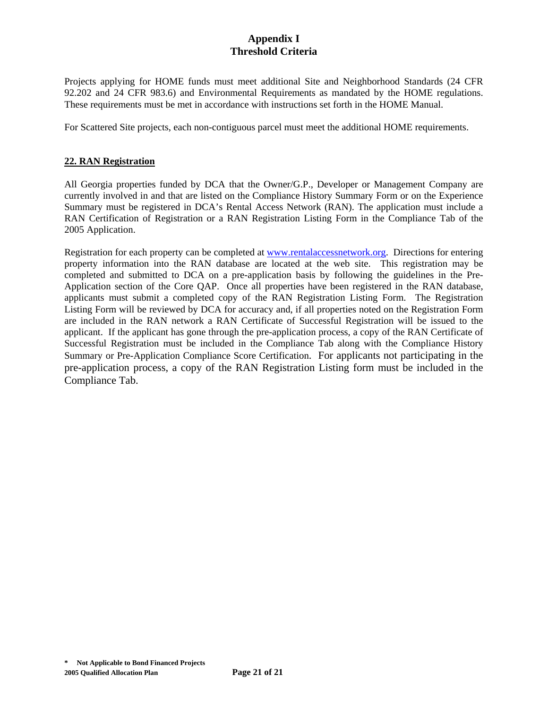Projects applying for HOME funds must meet additional Site and Neighborhood Standards (24 CFR 92.202 and 24 CFR 983.6) and Environmental Requirements as mandated by the HOME regulations. These requirements must be met in accordance with instructions set forth in the HOME Manual.

For Scattered Site projects, each non-contiguous parcel must meet the additional HOME requirements.

#### **22. RAN Registration**

All Georgia properties funded by DCA that the Owner/G.P., Developer or Management Company are currently involved in and that are listed on the Compliance History Summary Form or on the Experience Summary must be registered in DCA's Rental Access Network (RAN). The application must include a RAN Certification of Registration or a RAN Registration Listing Form in the Compliance Tab of the 2005 Application.

Registration for each property can be completed at www.rentalaccessnetwork.org. Directions for entering property information into the RAN database are located at the web site. This registration may be completed and submitted to DCA on a pre-application basis by following the guidelines in the Pre-Application section of the Core QAP. Once all properties have been registered in the RAN database, applicants must submit a completed copy of the RAN Registration Listing Form. The Registration Listing Form will be reviewed by DCA for accuracy and, if all properties noted on the Registration Form are included in the RAN network a RAN Certificate of Successful Registration will be issued to the applicant. If the applicant has gone through the pre-application process, a copy of the RAN Certificate of Successful Registration must be included in the Compliance Tab along with the Compliance History Summary or Pre-Application Compliance Score Certification. For applicants not participating in the pre-application process, a copy of the RAN Registration Listing form must be included in the Compliance Tab.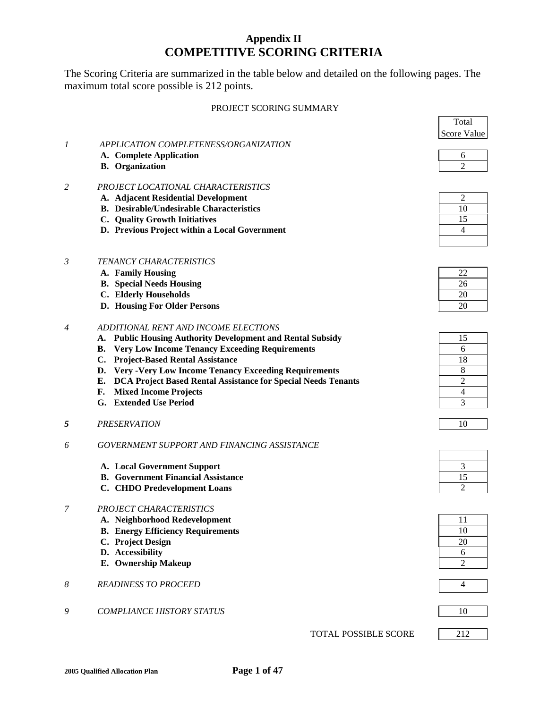# **Appendix II COMPETITIVE SCORING CRITERIA**

The Scoring Criteria are summarized in the table below and detailed on the following pages. The maximum total score possible is 212 points.

#### PROJECT SCORING SUMMARY

|                                                 | Total       |
|-------------------------------------------------|-------------|
|                                                 | Score Value |
| APPLICATION COMPLETENESS/ORGANIZATION           |             |
| A. Complete Application                         |             |
| <b>B.</b> Organization                          |             |
| PROJECT LOCATIONAL CHARACTERISTICS              |             |
| A. Adjacent Residential Development             |             |
| <b>B.</b> Desirable/Undesirable Characteristics | 10          |
| <b>Quality Growth Initiatives</b>               | 15          |
| D. Previous Project within a Local Government   |             |

#### *3 TENANCY CHARACTERISTICS*

- **A. Family Housing**
- **B.** Special Needs Housing
- **C.** Elderly Households
- **D. Housing For Older Persons**

#### *4 ADDITIONAL RENT AND INCOME ELECTIONS*

- **A. Public Housing Authority Development and Rental Subsidy**
- **B. Very Low Income Tenancy Exceeding Requirements** 6
- **C. Project-Based Rental Assistance**
- **D. Very -Very Low Income Tenancy Exceeding Requirements**
- **E. DCA Project Based Rental Assistance for Special Needs Tenants** 2
- **F.** Mixed Income Projects
- **G.** Extended Use Period
- *5 PRESERVATION* 10

#### *6 GOVERNMENT SUPPORT AND FINANCING ASSISTANCE*

- **A. Local Government Support**
- **B.** Government Financial Assistance
- **C. CHDO Predevelopment Loans**

#### *7 PROJECT CHARACTERISTICS*

- **A. Neighborhood Redevelopment**
- **B.** Energy Efficiency Requirements
- **C.** Project Design
- **D. Accessibility** 6
- **E.** Ownership Makeup
- *8 READINESS TO PROCEED* 4
- *9 COMPLIANCE HISTORY STATUS* 10

**TOTAL POSSIBLE SCORE** 212

| 2  |  |
|----|--|
| 10 |  |
| 15 |  |
| 4  |  |
|    |  |

| 22 |
|----|
| 26 |
| 20 |
| 20 |

| 15             |
|----------------|
| 6              |
| 18             |
| 8              |
| 2              |
| $\overline{4}$ |
| 3              |

| ٠ |  |
|---|--|
|   |  |

| 5 |  |
|---|--|
|   |  |

| 11 |
|----|
| 10 |
| 20 |
| 6  |
| 2  |

| ٠ |  |
|---|--|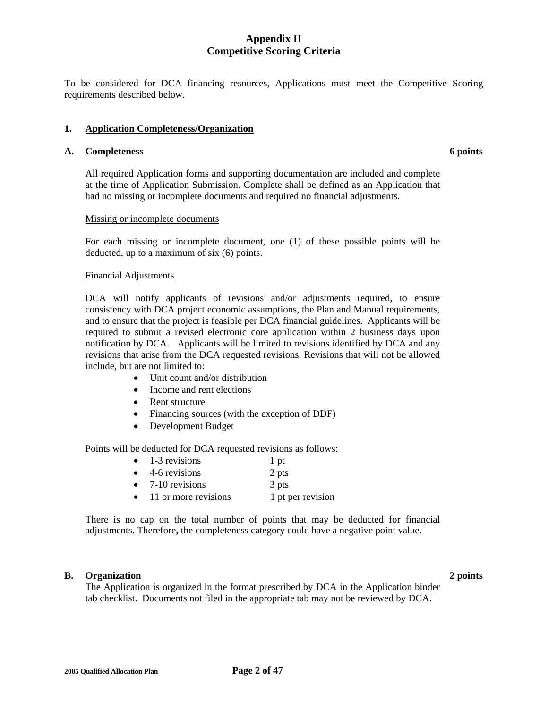To be considered for DCA financing resources, Applications must meet the Competitive Scoring requirements described below.

#### **1. Application Completeness/Organization**

#### A. Completeness 6 points **6 points**

 All required Application forms and supporting documentation are included and complete at the time of Application Submission. Complete shall be defined as an Application that had no missing or incomplete documents and required no financial adjustments.

#### Missing or incomplete documents

For each missing or incomplete document, one (1) of these possible points will be deducted, up to a maximum of six (6) points.

#### Financial Adjustments

DCA will notify applicants of revisions and/or adjustments required, to ensure consistency with DCA project economic assumptions, the Plan and Manual requirements, and to ensure that the project is feasible per DCA financial guidelines. Applicants will be required to submit a revised electronic core application within 2 business days upon notification by DCA. Applicants will be limited to revisions identified by DCA and any revisions that arise from the DCA requested revisions. Revisions that will not be allowed include, but are not limited to:

- Unit count and/or distribution
- Income and rent elections
- Rent structure
- Financing sources (with the exception of DDF)
- Development Budget

Points will be deducted for DCA requested revisions as follows:

| $\bullet$ | 1-3 revisions               | 1 pt  |
|-----------|-----------------------------|-------|
|           | $\bullet$ 4-6 revisions     | 2 pts |
| $\bullet$ | 7-10 revisions              | 3 pts |
|           | 11 - 20 oktober 1995 - 1996 | 1.    |

• 11 or more revisions 1 pt per revision

There is no cap on the total number of points that may be deducted for financial adjustments. Therefore, the completeness category could have a negative point value.

#### **B.** Organization 2 points

 The Application is organized in the format prescribed by DCA in the Application binder tab checklist. Documents not filed in the appropriate tab may not be reviewed by DCA.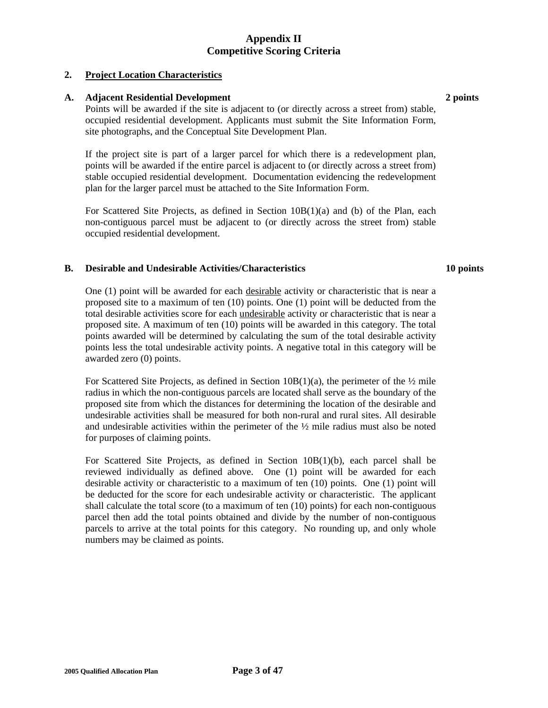#### **2. Project Location Characteristics**

#### **A. Adjacent Residential Development 2 points**

 Points will be awarded if the site is adjacent to (or directly across a street from) stable, occupied residential development. Applicants must submit the Site Information Form, site photographs, and the Conceptual Site Development Plan.

If the project site is part of a larger parcel for which there is a redevelopment plan, points will be awarded if the entire parcel is adjacent to (or directly across a street from) stable occupied residential development. Documentation evidencing the redevelopment plan for the larger parcel must be attached to the Site Information Form.

For Scattered Site Projects, as defined in Section 10B(1)(a) and (b) of the Plan, each non-contiguous parcel must be adjacent to (or directly across the street from) stable occupied residential development.

#### **B. Desirable and Undesirable Activities/Characteristics 10 points**

One (1) point will be awarded for each desirable activity or characteristic that is near a proposed site to a maximum of ten (10) points. One (1) point will be deducted from the total desirable activities score for each undesirable activity or characteristic that is near a proposed site. A maximum of ten (10) points will be awarded in this category. The total points awarded will be determined by calculating the sum of the total desirable activity points less the total undesirable activity points. A negative total in this category will be awarded zero (0) points.

For Scattered Site Projects, as defined in Section  $10B(1)(a)$ , the perimeter of the  $\frac{1}{2}$  mile radius in which the non-contiguous parcels are located shall serve as the boundary of the proposed site from which the distances for determining the location of the desirable and undesirable activities shall be measured for both non-rural and rural sites. All desirable and undesirable activities within the perimeter of the  $\frac{1}{2}$  mile radius must also be noted for purposes of claiming points.

For Scattered Site Projects, as defined in Section 10B(1)(b), each parcel shall be reviewed individually as defined above. One (1) point will be awarded for each desirable activity or characteristic to a maximum of ten (10) points. One (1) point will be deducted for the score for each undesirable activity or characteristic. The applicant shall calculate the total score (to a maximum of ten (10) points) for each non-contiguous parcel then add the total points obtained and divide by the number of non-contiguous parcels to arrive at the total points for this category. No rounding up, and only whole numbers may be claimed as points.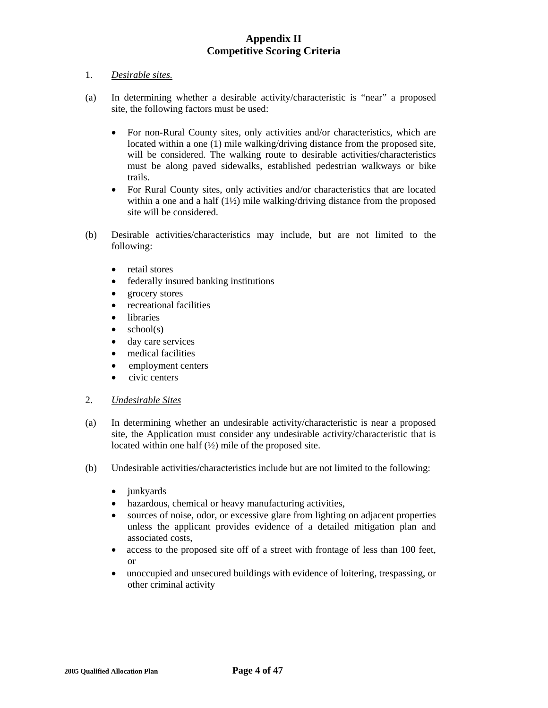#### 1. *Desirable sites.*

- (a) In determining whether a desirable activity/characteristic is "near" a proposed site, the following factors must be used:
	- For non-Rural County sites, only activities and/or characteristics, which are located within a one (1) mile walking/driving distance from the proposed site, will be considered. The walking route to desirable activities/characteristics must be along paved sidewalks, established pedestrian walkways or bike trails.
	- For Rural County sites, only activities and/or characteristics that are located within a one and a half (1<sup>1</sup>/<sub>2</sub>) mile walking/driving distance from the proposed site will be considered.
- (b) Desirable activities/characteristics may include, but are not limited to the following:
	- retail stores
	- federally insured banking institutions
	- grocery stores
	- recreational facilities
	- libraries
	- $\bullet$  school(s)
	- day care services
	- medical facilities
	- employment centers
	- civic centers

#### 2. *Undesirable Sites*

- (a) In determining whether an undesirable activity/characteristic is near a proposed site, the Application must consider any undesirable activity/characteristic that is located within one half  $(\frac{1}{2})$  mile of the proposed site.
- (b) Undesirable activities/characteristics include but are not limited to the following:
	- junkyards
	- hazardous, chemical or heavy manufacturing activities,
	- sources of noise, odor, or excessive glare from lighting on adjacent properties unless the applicant provides evidence of a detailed mitigation plan and associated costs,
	- access to the proposed site off of a street with frontage of less than 100 feet, or
	- unoccupied and unsecured buildings with evidence of loitering, trespassing, or other criminal activity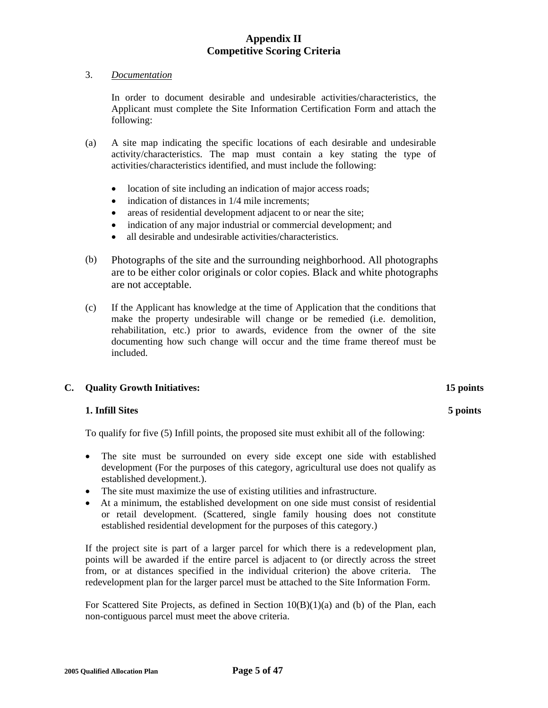#### 3. *Documentation*

 In order to document desirable and undesirable activities/characteristics, the Applicant must complete the Site Information Certification Form and attach the following:

- (a) A site map indicating the specific locations of each desirable and undesirable activity/characteristics. The map must contain a key stating the type of activities/characteristics identified, and must include the following:
	- location of site including an indication of major access roads;
	- indication of distances in  $1/4$  mile increments;
	- areas of residential development adjacent to or near the site;
	- indication of any major industrial or commercial development; and
	- all desirable and undesirable activities/characteristics.
- (b) Photographs of the site and the surrounding neighborhood. All photographs are to be either color originals or color copies. Black and white photographs are not acceptable.
- (c) If the Applicant has knowledge at the time of Application that the conditions that make the property undesirable will change or be remedied (i.e. demolition, rehabilitation, etc.) prior to awards, evidence from the owner of the site documenting how such change will occur and the time frame thereof must be included.

#### **C. Quality Growth Initiatives:**

#### **1. Infill Sites**

To qualify for five (5) Infill points, the proposed site must exhibit all of the following:

- The site must be surrounded on every side except one side with established development (For the purposes of this category, agricultural use does not qualify as established development.).
- The site must maximize the use of existing utilities and infrastructure.
- At a minimum, the established development on one side must consist of residential or retail development. (Scattered, single family housing does not constitute established residential development for the purposes of this category.)

If the project site is part of a larger parcel for which there is a redevelopment plan, points will be awarded if the entire parcel is adjacent to (or directly across the street from, or at distances specified in the individual criterion) the above criteria. The redevelopment plan for the larger parcel must be attached to the Site Information Form.

For Scattered Site Projects, as defined in Section 10(B)(1)(a) and (b) of the Plan, each non-contiguous parcel must meet the above criteria.

 **5 points**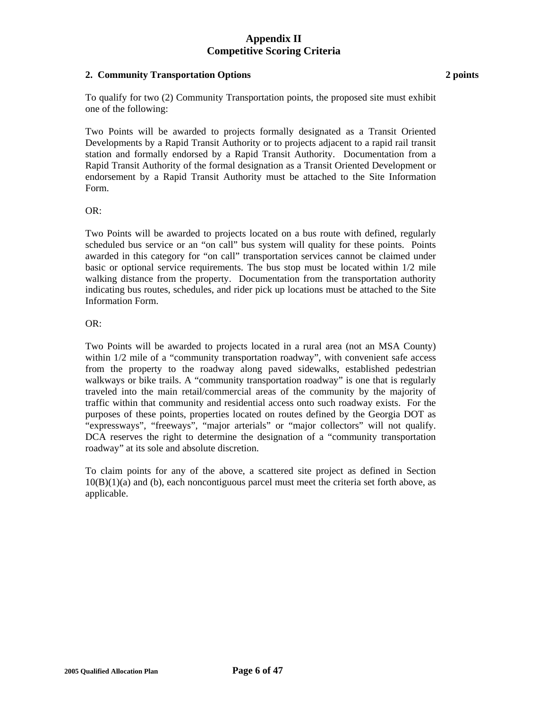#### **2. Community Transportation Options**

To qualify for two (2) Community Transportation points, the proposed site must exhibit one of the following:

Two Points will be awarded to projects formally designated as a Transit Oriented Developments by a Rapid Transit Authority or to projects adjacent to a rapid rail transit station and formally endorsed by a Rapid Transit Authority. Documentation from a Rapid Transit Authority of the formal designation as a Transit Oriented Development or endorsement by a Rapid Transit Authority must be attached to the Site Information Form.

#### OR:

Two Points will be awarded to projects located on a bus route with defined, regularly scheduled bus service or an "on call" bus system will quality for these points. Points awarded in this category for "on call" transportation services cannot be claimed under basic or optional service requirements. The bus stop must be located within 1/2 mile walking distance from the property. Documentation from the transportation authority indicating bus routes, schedules, and rider pick up locations must be attached to the Site Information Form.

#### OR:

Two Points will be awarded to projects located in a rural area (not an MSA County) within  $1/2$  mile of a "community transportation roadway", with convenient safe access from the property to the roadway along paved sidewalks, established pedestrian walkways or bike trails. A "community transportation roadway" is one that is regularly traveled into the main retail/commercial areas of the community by the majority of traffic within that community and residential access onto such roadway exists. For the purposes of these points, properties located on routes defined by the Georgia DOT as "expressways", "freeways", "major arterials" or "major collectors" will not qualify. DCA reserves the right to determine the designation of a "community transportation roadway" at its sole and absolute discretion.

To claim points for any of the above, a scattered site project as defined in Section 10(B)(1)(a) and (b), each noncontiguous parcel must meet the criteria set forth above, as applicable.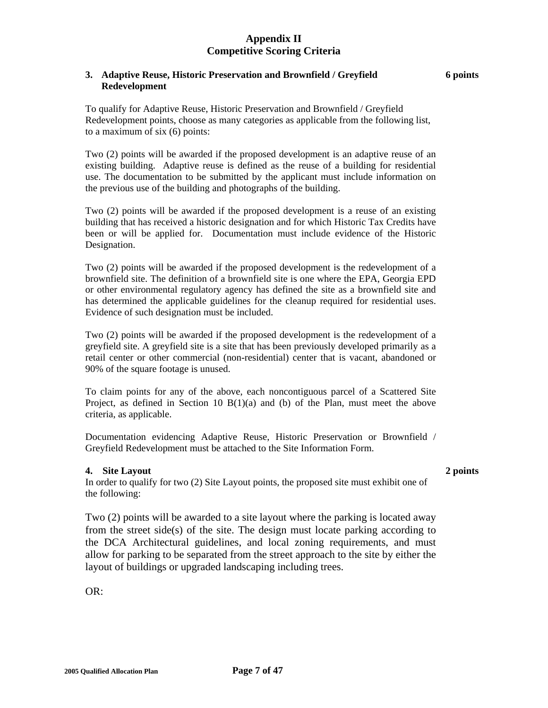#### **3. Adaptive Reuse, Historic Preservation and Brownfield / Greyfield Redevelopment**

To qualify for Adaptive Reuse, Historic Preservation and Brownfield / Greyfield Redevelopment points, choose as many categories as applicable from the following list, to a maximum of six (6) points:

Two (2) points will be awarded if the proposed development is an adaptive reuse of an existing building. Adaptive reuse is defined as the reuse of a building for residential use. The documentation to be submitted by the applicant must include information on the previous use of the building and photographs of the building.

Two (2) points will be awarded if the proposed development is a reuse of an existing building that has received a historic designation and for which Historic Tax Credits have been or will be applied for. Documentation must include evidence of the Historic Designation.

Two (2) points will be awarded if the proposed development is the redevelopment of a brownfield site. The definition of a brownfield site is one where the EPA, Georgia EPD or other environmental regulatory agency has defined the site as a brownfield site and has determined the applicable guidelines for the cleanup required for residential uses. Evidence of such designation must be included.

Two (2) points will be awarded if the proposed development is the redevelopment of a greyfield site. A greyfield site is a site that has been previously developed primarily as a retail center or other commercial (non-residential) center that is vacant, abandoned or 90% of the square footage is unused.

To claim points for any of the above, each noncontiguous parcel of a Scattered Site Project, as defined in Section 10  $B(1)(a)$  and (b) of the Plan, must meet the above criteria, as applicable.

Documentation evidencing Adaptive Reuse, Historic Preservation or Brownfield / Greyfield Redevelopment must be attached to the Site Information Form.

#### **4. Site Layout**

In order to qualify for two (2) Site Layout points, the proposed site must exhibit one of the following:

Two (2) points will be awarded to a site layout where the parking is located away from the street side(s) of the site. The design must locate parking according to the DCA Architectural guidelines, and local zoning requirements, and must allow for parking to be separated from the street approach to the site by either the layout of buildings or upgraded landscaping including trees.

OR:

## **2 points**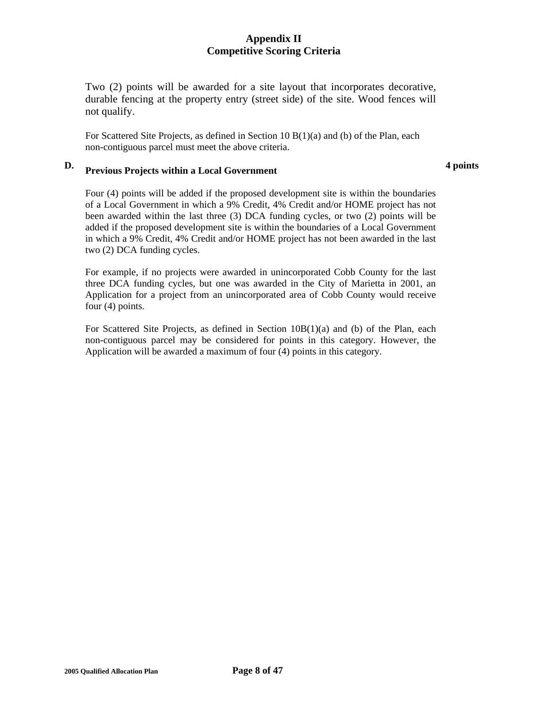Two (2) points will be awarded for a site layout that incorporates decorative, durable fencing at the property entry (street side) of the site. Wood fences will not qualify.

For Scattered Site Projects, as defined in Section 10  $B(1)(a)$  and (b) of the Plan, each non-contiguous parcel must meet the above criteria.

#### **D. Previous Projects within a Local Government**

**4 points** 

Four (4) points will be added if the proposed development site is within the boundaries of a Local Government in which a 9% Credit, 4% Credit and/or HOME project has not been awarded within the last three (3) DCA funding cycles, or two (2) points will be added if the proposed development site is within the boundaries of a Local Government in which a 9% Credit, 4% Credit and/or HOME project has not been awarded in the last two (2) DCA funding cycles.

For example, if no projects were awarded in unincorporated Cobb County for the last three DCA funding cycles, but one was awarded in the City of Marietta in 2001, an Application for a project from an unincorporated area of Cobb County would receive four (4) points.

For Scattered Site Projects, as defined in Section 10B(1)(a) and (b) of the Plan, each non-contiguous parcel may be considered for points in this category. However, the Application will be awarded a maximum of four (4) points in this category.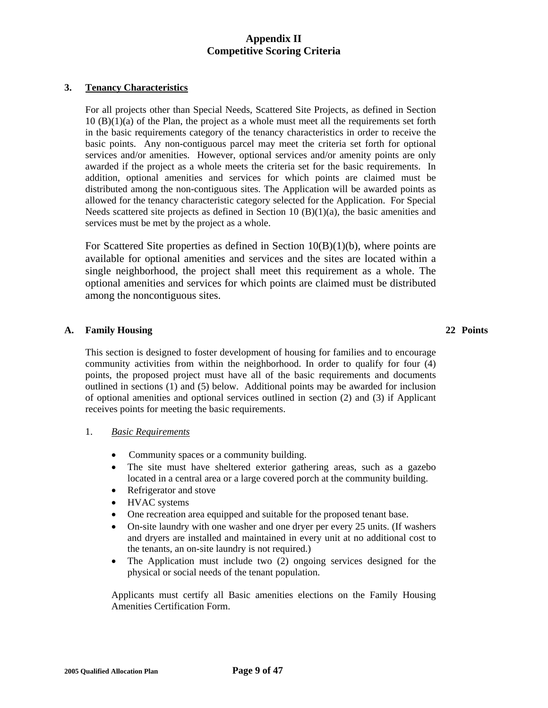#### **3. Tenancy Characteristics**

For all projects other than Special Needs, Scattered Site Projects, as defined in Section  $10 (B)(1)(a)$  of the Plan, the project as a whole must meet all the requirements set forth in the basic requirements category of the tenancy characteristics in order to receive the basic points. Any non-contiguous parcel may meet the criteria set forth for optional services and/or amenities. However, optional services and/or amenity points are only awarded if the project as a whole meets the criteria set for the basic requirements. In addition, optional amenities and services for which points are claimed must be distributed among the non-contiguous sites. The Application will be awarded points as allowed for the tenancy characteristic category selected for the Application. For Special Needs scattered site projects as defined in Section 10 (B)(1)(a), the basic amenities and services must be met by the project as a whole.

For Scattered Site properties as defined in Section 10(B)(1)(b), where points are available for optional amenities and services and the sites are located within a single neighborhood, the project shall meet this requirement as a whole. The optional amenities and services for which points are claimed must be distributed among the noncontiguous sites.

## **A. Family Housing 22 Points**

This section is designed to foster development of housing for families and to encourage community activities from within the neighborhood. In order to qualify for four (4) points, the proposed project must have all of the basic requirements and documents outlined in sections (1) and (5) below. Additional points may be awarded for inclusion of optional amenities and optional services outlined in section (2) and (3) if Applicant receives points for meeting the basic requirements.

#### 1. *Basic Requirements*

- Community spaces or a community building.
- The site must have sheltered exterior gathering areas, such as a gazebo located in a central area or a large covered porch at the community building.
- Refrigerator and stove
- HVAC systems
- One recreation area equipped and suitable for the proposed tenant base.
- On-site laundry with one washer and one dryer per every 25 units. (If washers and dryers are installed and maintained in every unit at no additional cost to the tenants, an on-site laundry is not required.)
- The Application must include two (2) ongoing services designed for the physical or social needs of the tenant population.

Applicants must certify all Basic amenities elections on the Family Housing Amenities Certification Form.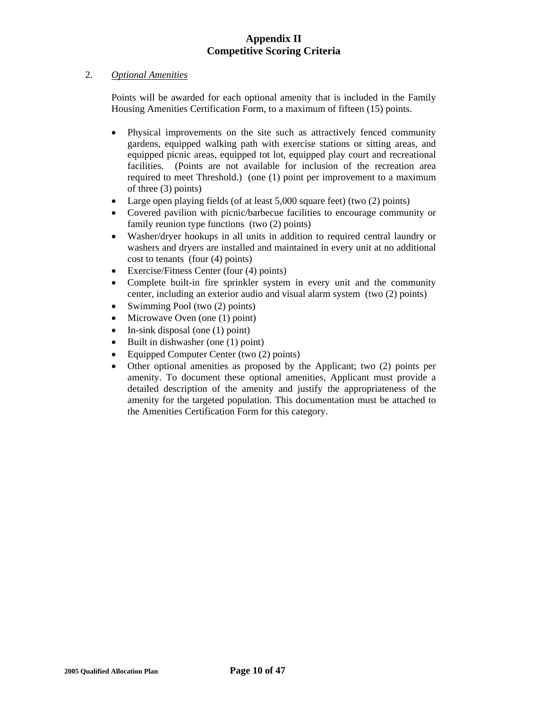#### 2. *Optional Amenities*

 Points will be awarded for each optional amenity that is included in the Family Housing Amenities Certification Form, to a maximum of fifteen (15) points.

- Physical improvements on the site such as attractively fenced community gardens, equipped walking path with exercise stations or sitting areas, and equipped picnic areas, equipped tot lot, equipped play court and recreational facilities. (Points are not available for inclusion of the recreation area required to meet Threshold.) (one (1) point per improvement to a maximum of three (3) points)
- Large open playing fields (of at least 5,000 square feet) (two (2) points)
- Covered pavilion with picnic/barbecue facilities to encourage community or family reunion type functions (two (2) points)
- Washer/dryer hookups in all units in addition to required central laundry or washers and dryers are installed and maintained in every unit at no additional cost to tenants (four (4) points)
- Exercise/Fitness Center (four (4) points)
- Complete built-in fire sprinkler system in every unit and the community center, including an exterior audio and visual alarm system (two (2) points)
- Swimming Pool (two (2) points)
- Microwave Oven (one (1) point)
- In-sink disposal (one  $(1)$  point)
- Built in dishwasher (one (1) point)
- Equipped Computer Center (two (2) points)
- Other optional amenities as proposed by the Applicant; two (2) points per amenity. To document these optional amenities, Applicant must provide a detailed description of the amenity and justify the appropriateness of the amenity for the targeted population. This documentation must be attached to the Amenities Certification Form for this category.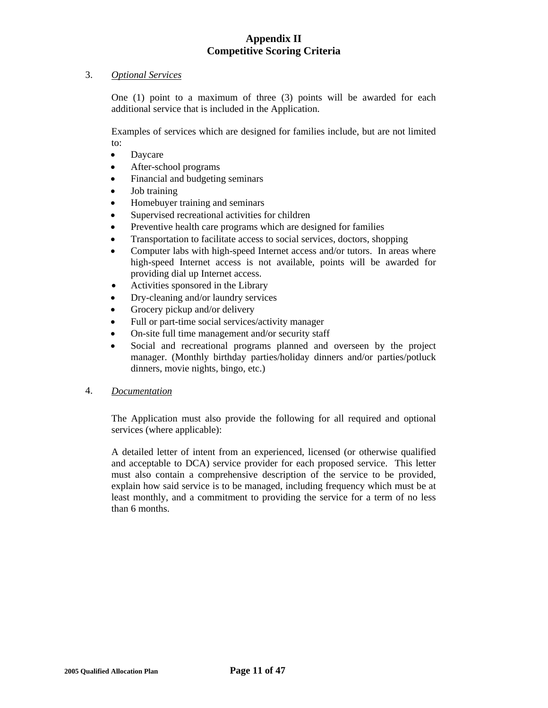#### 3. *Optional Services*

One (1) point to a maximum of three (3) points will be awarded for each additional service that is included in the Application.

 Examples of services which are designed for families include, but are not limited to:

- Daycare
- After-school programs
- Financial and budgeting seminars
- Job training
- Homebuyer training and seminars
- Supervised recreational activities for children
- Preventive health care programs which are designed for families
- Transportation to facilitate access to social services, doctors, shopping
- Computer labs with high-speed Internet access and/or tutors. In areas where high-speed Internet access is not available, points will be awarded for providing dial up Internet access.
- Activities sponsored in the Library
- Dry-cleaning and/or laundry services
- Grocery pickup and/or delivery
- Full or part-time social services/activity manager
- On-site full time management and/or security staff
- Social and recreational programs planned and overseen by the project manager. (Monthly birthday parties/holiday dinners and/or parties/potluck dinners, movie nights, bingo, etc.)
- 4. *Documentation*

The Application must also provide the following for all required and optional services (where applicable):

A detailed letter of intent from an experienced, licensed (or otherwise qualified and acceptable to DCA) service provider for each proposed service. This letter must also contain a comprehensive description of the service to be provided, explain how said service is to be managed, including frequency which must be at least monthly, and a commitment to providing the service for a term of no less than 6 months.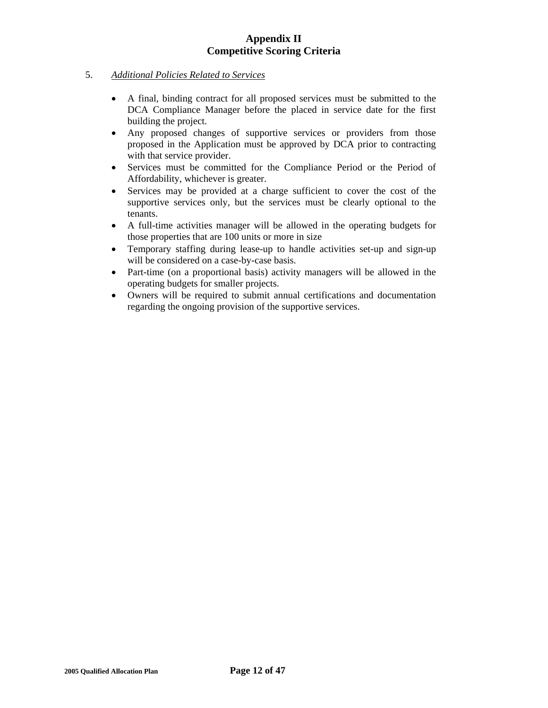## 5. *Additional Policies Related to Services*

- A final, binding contract for all proposed services must be submitted to the DCA Compliance Manager before the placed in service date for the first building the project.
- Any proposed changes of supportive services or providers from those proposed in the Application must be approved by DCA prior to contracting with that service provider.
- Services must be committed for the Compliance Period or the Period of Affordability, whichever is greater.
- Services may be provided at a charge sufficient to cover the cost of the supportive services only, but the services must be clearly optional to the tenants.
- A full-time activities manager will be allowed in the operating budgets for those properties that are 100 units or more in size
- Temporary staffing during lease-up to handle activities set-up and sign-up will be considered on a case-by-case basis.
- Part-time (on a proportional basis) activity managers will be allowed in the operating budgets for smaller projects.
- Owners will be required to submit annual certifications and documentation regarding the ongoing provision of the supportive services.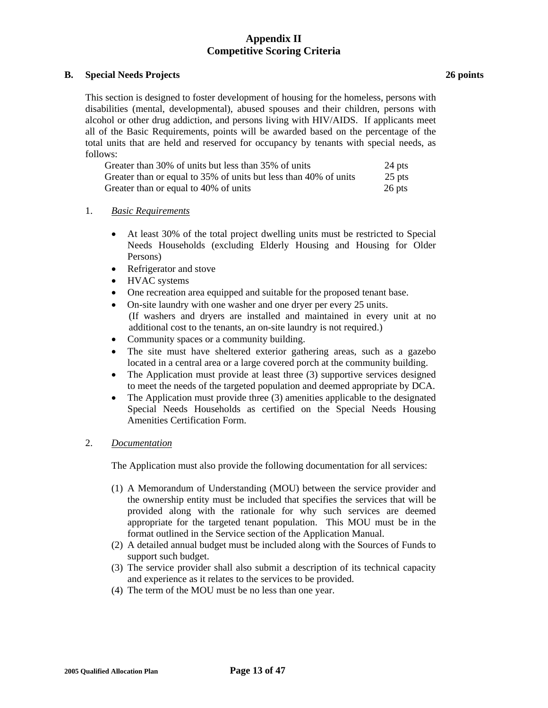## **B. Special Needs Projects**

This section is designed to foster development of housing for the homeless, persons with disabilities (mental, developmental), abused spouses and their children, persons with alcohol or other drug addiction, and persons living with HIV/AIDS. If applicants meet all of the Basic Requirements, points will be awarded based on the percentage of the total units that are held and reserved for occupancy by tenants with special needs, as follows:

| Greater than 30% of units but less than 35% of units             | 24 pts   |
|------------------------------------------------------------------|----------|
| Greater than or equal to 35% of units but less than 40% of units | $25$ pts |
| Greater than or equal to 40% of units                            | 26 pts   |

## 1. *Basic Requirements*

- At least 30% of the total project dwelling units must be restricted to Special Needs Households (excluding Elderly Housing and Housing for Older Persons)
- Refrigerator and stove
- HVAC systems
- One recreation area equipped and suitable for the proposed tenant base.
- On-site laundry with one washer and one dryer per every 25 units. (If washers and dryers are installed and maintained in every unit at no additional cost to the tenants, an on-site laundry is not required.)
- Community spaces or a community building.
- The site must have sheltered exterior gathering areas, such as a gazebo located in a central area or a large covered porch at the community building.
- The Application must provide at least three (3) supportive services designed to meet the needs of the targeted population and deemed appropriate by DCA.
- The Application must provide three (3) amenities applicable to the designated Special Needs Households as certified on the Special Needs Housing Amenities Certification Form.

## 2. *Documentation*

The Application must also provide the following documentation for all services:

- (1) A Memorandum of Understanding (MOU) between the service provider and the ownership entity must be included that specifies the services that will be provided along with the rationale for why such services are deemed appropriate for the targeted tenant population. This MOU must be in the format outlined in the Service section of the Application Manual.
- (2) A detailed annual budget must be included along with the Sources of Funds to support such budget.
- (3) The service provider shall also submit a description of its technical capacity and experience as it relates to the services to be provided.
- (4) The term of the MOU must be no less than one year.

**26 points**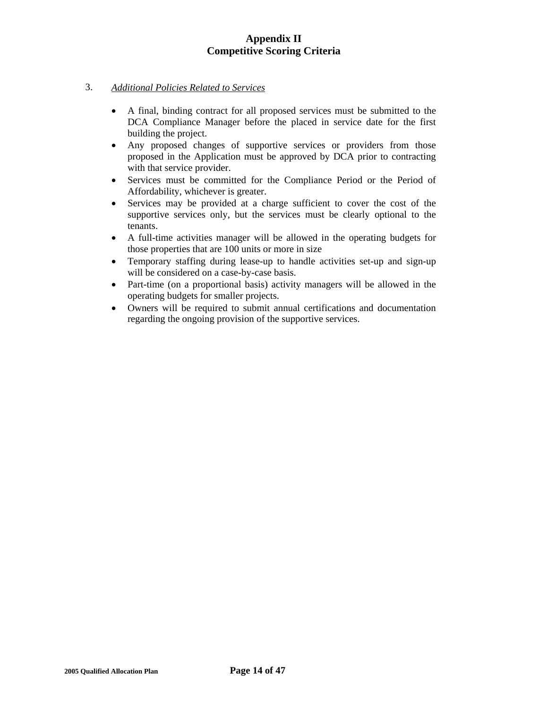## 3. *Additional Policies Related to Services*

- A final, binding contract for all proposed services must be submitted to the DCA Compliance Manager before the placed in service date for the first building the project.
- Any proposed changes of supportive services or providers from those proposed in the Application must be approved by DCA prior to contracting with that service provider.
- Services must be committed for the Compliance Period or the Period of Affordability, whichever is greater.
- Services may be provided at a charge sufficient to cover the cost of the supportive services only, but the services must be clearly optional to the tenants.
- A full-time activities manager will be allowed in the operating budgets for those properties that are 100 units or more in size
- Temporary staffing during lease-up to handle activities set-up and sign-up will be considered on a case-by-case basis.
- Part-time (on a proportional basis) activity managers will be allowed in the operating budgets for smaller projects.
- Owners will be required to submit annual certifications and documentation regarding the ongoing provision of the supportive services.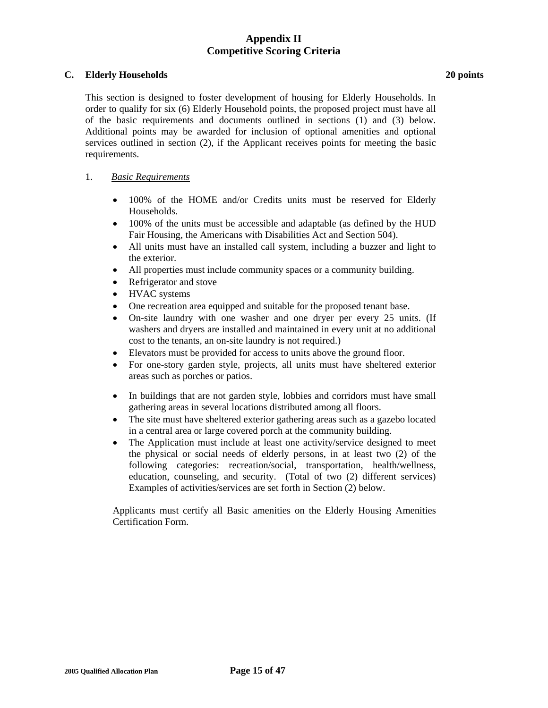### **C. Elderly Households 20 points**

This section is designed to foster development of housing for Elderly Households. In order to qualify for six (6) Elderly Household points, the proposed project must have all of the basic requirements and documents outlined in sections (1) and (3) below. Additional points may be awarded for inclusion of optional amenities and optional services outlined in section (2), if the Applicant receives points for meeting the basic requirements.

## 1. *Basic Requirements*

- 100% of the HOME and/or Credits units must be reserved for Elderly Households.
- 100% of the units must be accessible and adaptable (as defined by the HUD Fair Housing, the Americans with Disabilities Act and Section 504).
- All units must have an installed call system, including a buzzer and light to the exterior.
- All properties must include community spaces or a community building.
- Refrigerator and stove
- HVAC systems
- One recreation area equipped and suitable for the proposed tenant base.
- On-site laundry with one washer and one dryer per every 25 units. (If washers and dryers are installed and maintained in every unit at no additional cost to the tenants, an on-site laundry is not required.)
- Elevators must be provided for access to units above the ground floor.
- For one-story garden style, projects, all units must have sheltered exterior areas such as porches or patios.
- In buildings that are not garden style, lobbies and corridors must have small gathering areas in several locations distributed among all floors.
- The site must have sheltered exterior gathering areas such as a gazebo located in a central area or large covered porch at the community building.
- The Application must include at least one activity/service designed to meet the physical or social needs of elderly persons, in at least two (2) of the following categories: recreation/social, transportation, health/wellness, education, counseling, and security. (Total of two (2) different services) Examples of activities/services are set forth in Section (2) below.

Applicants must certify all Basic amenities on the Elderly Housing Amenities Certification Form.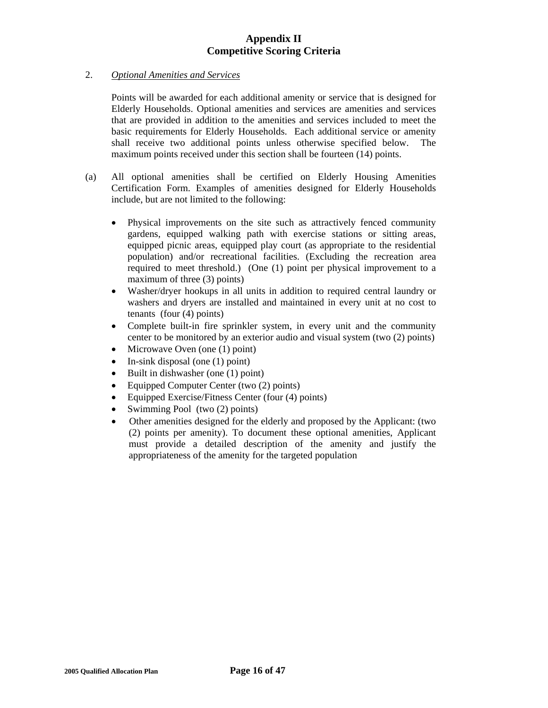## 2. *Optional Amenities and Services*

 Points will be awarded for each additional amenity or service that is designed for Elderly Households. Optional amenities and services are amenities and services that are provided in addition to the amenities and services included to meet the basic requirements for Elderly Households. Each additional service or amenity shall receive two additional points unless otherwise specified below. The maximum points received under this section shall be fourteen (14) points.

- (a) All optional amenities shall be certified on Elderly Housing Amenities Certification Form. Examples of amenities designed for Elderly Households include, but are not limited to the following:
	- Physical improvements on the site such as attractively fenced community gardens, equipped walking path with exercise stations or sitting areas, equipped picnic areas, equipped play court (as appropriate to the residential population) and/or recreational facilities. (Excluding the recreation area required to meet threshold.) (One (1) point per physical improvement to a maximum of three (3) points)
	- Washer/dryer hookups in all units in addition to required central laundry or washers and dryers are installed and maintained in every unit at no cost to tenants (four (4) points)
	- Complete built-in fire sprinkler system, in every unit and the community center to be monitored by an exterior audio and visual system (two (2) points)
	- Microwave Oven (one (1) point)
	- In-sink disposal (one  $(1)$  point)
	- Built in dishwasher (one (1) point)
	- Equipped Computer Center (two (2) points)
	- Equipped Exercise/Fitness Center (four (4) points)
	- Swimming Pool (two (2) points)
	- Other amenities designed for the elderly and proposed by the Applicant: (two (2) points per amenity). To document these optional amenities, Applicant must provide a detailed description of the amenity and justify the appropriateness of the amenity for the targeted population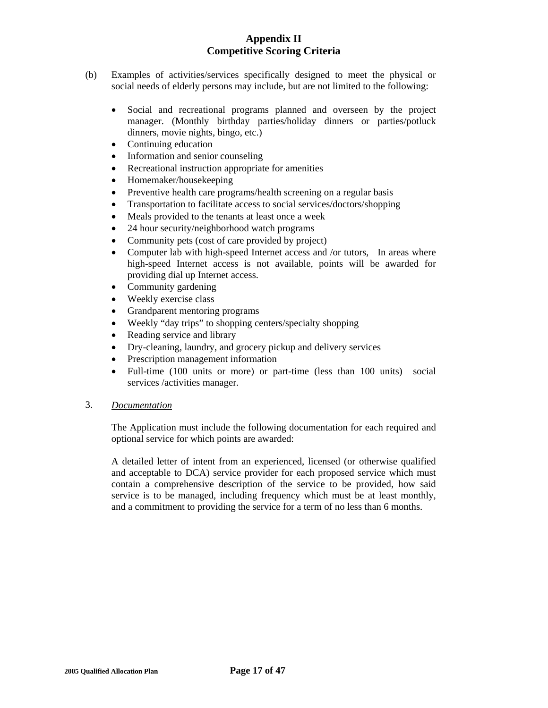- (b) Examples of activities/services specifically designed to meet the physical or social needs of elderly persons may include, but are not limited to the following:
	- Social and recreational programs planned and overseen by the project manager. (Monthly birthday parties/holiday dinners or parties/potluck dinners, movie nights, bingo, etc.)
	- Continuing education
	- Information and senior counseling
	- Recreational instruction appropriate for amenities
	- Homemaker/housekeeping
	- Preventive health care programs/health screening on a regular basis
	- Transportation to facilitate access to social services/doctors/shopping
	- Meals provided to the tenants at least once a week
	- 24 hour security/neighborhood watch programs
	- Community pets (cost of care provided by project)
	- Computer lab with high-speed Internet access and /or tutors. In areas where high-speed Internet access is not available, points will be awarded for providing dial up Internet access.
	- Community gardening
	- Weekly exercise class
	- Grandparent mentoring programs
	- Weekly "day trips" to shopping centers/specialty shopping
	- Reading service and library
	- Dry-cleaning, laundry, and grocery pickup and delivery services
	- Prescription management information
	- Full-time (100 units or more) or part-time (less than 100 units) social services /activities manager.
- 3. *Documentation*

 The Application must include the following documentation for each required and optional service for which points are awarded:

A detailed letter of intent from an experienced, licensed (or otherwise qualified and acceptable to DCA) service provider for each proposed service which must contain a comprehensive description of the service to be provided, how said service is to be managed, including frequency which must be at least monthly, and a commitment to providing the service for a term of no less than 6 months.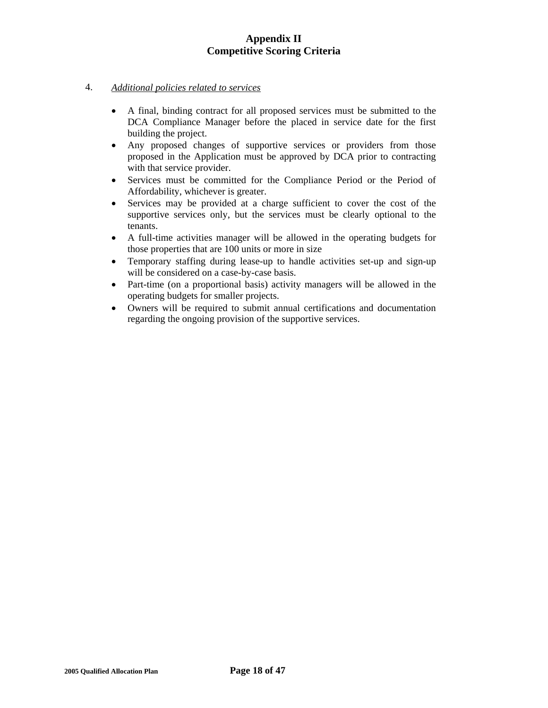## 4. *Additional policies related to services*

- A final, binding contract for all proposed services must be submitted to the DCA Compliance Manager before the placed in service date for the first building the project.
- Any proposed changes of supportive services or providers from those proposed in the Application must be approved by DCA prior to contracting with that service provider.
- Services must be committed for the Compliance Period or the Period of Affordability, whichever is greater.
- Services may be provided at a charge sufficient to cover the cost of the supportive services only, but the services must be clearly optional to the tenants.
- A full-time activities manager will be allowed in the operating budgets for those properties that are 100 units or more in size
- Temporary staffing during lease-up to handle activities set-up and sign-up will be considered on a case-by-case basis.
- Part-time (on a proportional basis) activity managers will be allowed in the operating budgets for smaller projects.
- Owners will be required to submit annual certifications and documentation regarding the ongoing provision of the supportive services.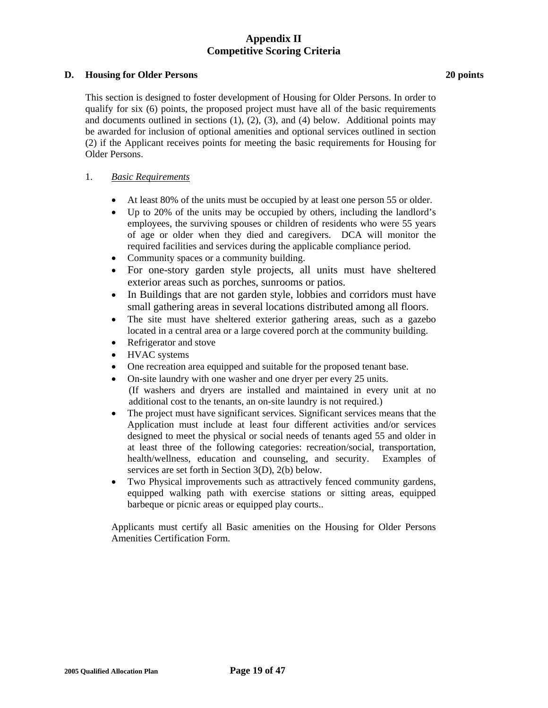### **D. Housing for Older Persons 20 points**

 This section is designed to foster development of Housing for Older Persons. In order to qualify for six (6) points, the proposed project must have all of the basic requirements and documents outlined in sections  $(1)$ ,  $(2)$ ,  $(3)$ , and  $(4)$  below. Additional points may be awarded for inclusion of optional amenities and optional services outlined in section (2) if the Applicant receives points for meeting the basic requirements for Housing for Older Persons.

## 1. *Basic Requirements*

- At least 80% of the units must be occupied by at least one person 55 or older.
- Up to 20% of the units may be occupied by others, including the landlord's employees, the surviving spouses or children of residents who were 55 years of age or older when they died and caregivers. DCA will monitor the required facilities and services during the applicable compliance period.
- Community spaces or a community building.
- For one-story garden style projects, all units must have sheltered exterior areas such as porches, sunrooms or patios.
- In Buildings that are not garden style, lobbies and corridors must have small gathering areas in several locations distributed among all floors.
- The site must have sheltered exterior gathering areas, such as a gazebo located in a central area or a large covered porch at the community building.
- Refrigerator and stove
- HVAC systems
- One recreation area equipped and suitable for the proposed tenant base.
- On-site laundry with one washer and one dryer per every 25 units. (If washers and dryers are installed and maintained in every unit at no additional cost to the tenants, an on-site laundry is not required.)
- The project must have significant services. Significant services means that the Application must include at least four different activities and/or services designed to meet the physical or social needs of tenants aged 55 and older in at least three of the following categories: recreation/social, transportation, health/wellness, education and counseling, and security. Examples of services are set forth in Section 3(D), 2(b) below.
- Two Physical improvements such as attractively fenced community gardens, equipped walking path with exercise stations or sitting areas, equipped barbeque or picnic areas or equipped play courts..

Applicants must certify all Basic amenities on the Housing for Older Persons Amenities Certification Form.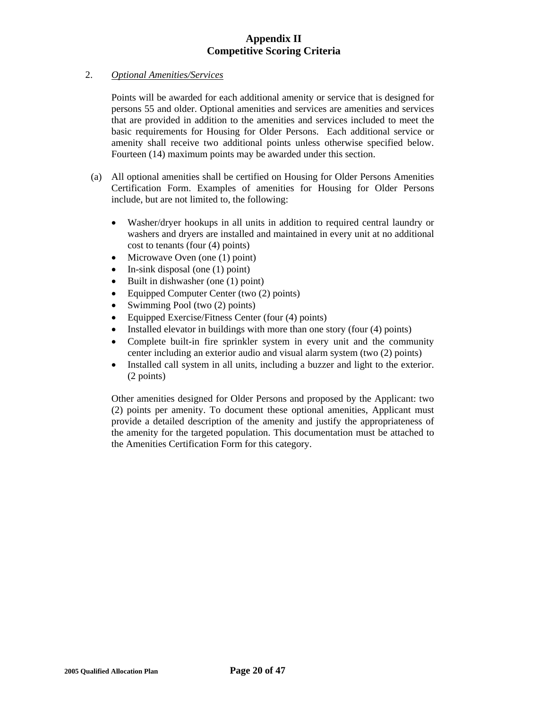## 2. *Optional Amenities/Services*

 Points will be awarded for each additional amenity or service that is designed for persons 55 and older. Optional amenities and services are amenities and services that are provided in addition to the amenities and services included to meet the basic requirements for Housing for Older Persons. Each additional service or amenity shall receive two additional points unless otherwise specified below. Fourteen (14) maximum points may be awarded under this section.

- (a) All optional amenities shall be certified on Housing for Older Persons Amenities Certification Form. Examples of amenities for Housing for Older Persons include, but are not limited to, the following:
	- Washer/dryer hookups in all units in addition to required central laundry or washers and dryers are installed and maintained in every unit at no additional cost to tenants (four (4) points)
	- Microwave Oven (one (1) point)
	- In-sink disposal (one  $(1)$  point)
	- Built in dishwasher (one (1) point)
	- Equipped Computer Center (two (2) points)
	- Swimming Pool (two  $(2)$  points)
	- Equipped Exercise/Fitness Center (four (4) points)
	- Installed elevator in buildings with more than one story (four (4) points)
	- Complete built-in fire sprinkler system in every unit and the community center including an exterior audio and visual alarm system (two (2) points)
	- Installed call system in all units, including a buzzer and light to the exterior. (2 points)

Other amenities designed for Older Persons and proposed by the Applicant: two (2) points per amenity. To document these optional amenities, Applicant must provide a detailed description of the amenity and justify the appropriateness of the amenity for the targeted population. This documentation must be attached to the Amenities Certification Form for this category.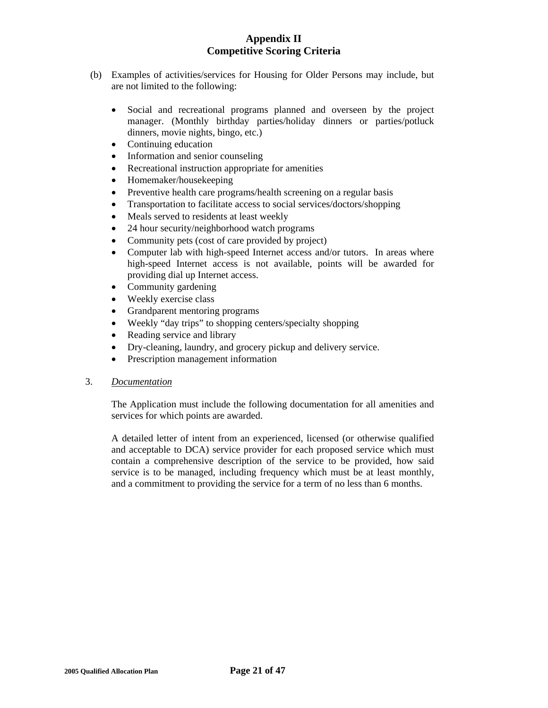- (b) Examples of activities/services for Housing for Older Persons may include, but are not limited to the following:
	- Social and recreational programs planned and overseen by the project manager. (Monthly birthday parties/holiday dinners or parties/potluck dinners, movie nights, bingo, etc.)
	- Continuing education
	- Information and senior counseling
	- Recreational instruction appropriate for amenities
	- Homemaker/housekeeping
	- Preventive health care programs/health screening on a regular basis
	- Transportation to facilitate access to social services/doctors/shopping
	- Meals served to residents at least weekly
	- 24 hour security/neighborhood watch programs
	- Community pets (cost of care provided by project)
	- Computer lab with high-speed Internet access and/or tutors. In areas where high-speed Internet access is not available, points will be awarded for providing dial up Internet access.
	- Community gardening
	- Weekly exercise class
	- Grandparent mentoring programs
	- Weekly "day trips" to shopping centers/specialty shopping
	- Reading service and library
	- Dry-cleaning, laundry, and grocery pickup and delivery service.
	- Prescription management information

## 3. *Documentation*

 The Application must include the following documentation for all amenities and services for which points are awarded.

A detailed letter of intent from an experienced, licensed (or otherwise qualified and acceptable to DCA) service provider for each proposed service which must contain a comprehensive description of the service to be provided, how said service is to be managed, including frequency which must be at least monthly, and a commitment to providing the service for a term of no less than 6 months.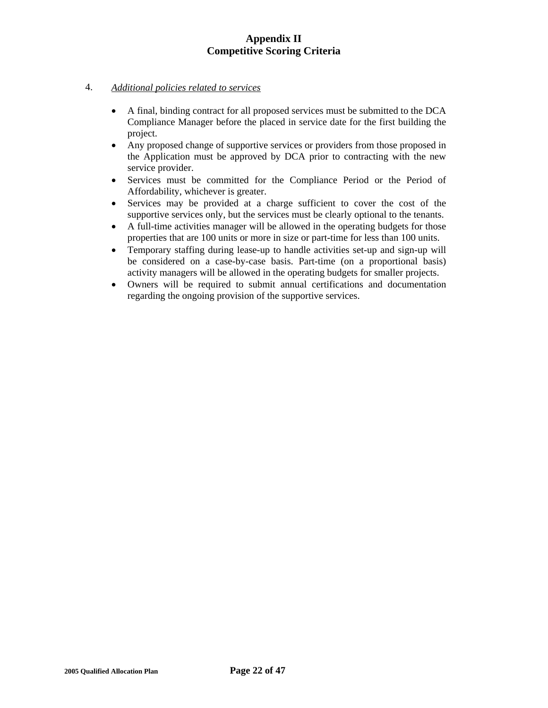## 4. *Additional policies related to services*

- A final, binding contract for all proposed services must be submitted to the DCA Compliance Manager before the placed in service date for the first building the project.
- Any proposed change of supportive services or providers from those proposed in the Application must be approved by DCA prior to contracting with the new service provider.
- Services must be committed for the Compliance Period or the Period of Affordability, whichever is greater.
- Services may be provided at a charge sufficient to cover the cost of the supportive services only, but the services must be clearly optional to the tenants.
- A full-time activities manager will be allowed in the operating budgets for those properties that are 100 units or more in size or part-time for less than 100 units.
- Temporary staffing during lease-up to handle activities set-up and sign-up will be considered on a case-by-case basis. Part-time (on a proportional basis) activity managers will be allowed in the operating budgets for smaller projects.
- Owners will be required to submit annual certifications and documentation regarding the ongoing provision of the supportive services.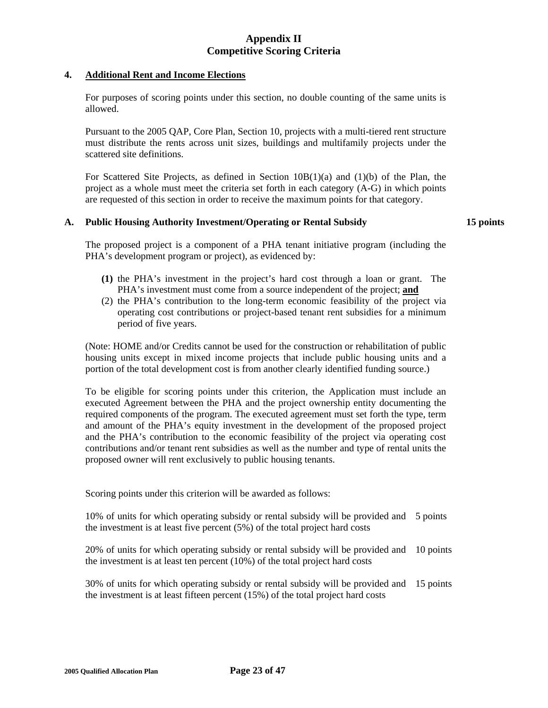### **4. Additional Rent and Income Elections**

 For purposes of scoring points under this section, no double counting of the same units is allowed.

 Pursuant to the 2005 QAP, Core Plan, Section 10, projects with a multi-tiered rent structure must distribute the rents across unit sizes, buildings and multifamily projects under the scattered site definitions.

For Scattered Site Projects, as defined in Section  $10B(1)(a)$  and  $(1)(b)$  of the Plan, the project as a whole must meet the criteria set forth in each category (A-G) in which points are requested of this section in order to receive the maximum points for that category.

## **A. Public Housing Authority Investment/Operating or Rental Subsidy 15 points**

 The proposed project is a component of a PHA tenant initiative program (including the PHA's development program or project), as evidenced by:

- **(1)** the PHA's investment in the project's hard cost through a loan or grant. The PHA's investment must come from a source independent of the project; **and**
- (2) the PHA's contribution to the long-term economic feasibility of the project via operating cost contributions or project-based tenant rent subsidies for a minimum period of five years.

(Note: HOME and/or Credits cannot be used for the construction or rehabilitation of public housing units except in mixed income projects that include public housing units and a portion of the total development cost is from another clearly identified funding source.)

 To be eligible for scoring points under this criterion, the Application must include an executed Agreement between the PHA and the project ownership entity documenting the required components of the program. The executed agreement must set forth the type, term and amount of the PHA's equity investment in the development of the proposed project and the PHA's contribution to the economic feasibility of the project via operating cost contributions and/or tenant rent subsidies as well as the number and type of rental units the proposed owner will rent exclusively to public housing tenants.

Scoring points under this criterion will be awarded as follows:

10% of units for which operating subsidy or rental subsidy will be provided and 5 points the investment is at least five percent (5%) of the total project hard costs

 20% of units for which operating subsidy or rental subsidy will be provided and 10 points the investment is at least ten percent (10%) of the total project hard costs

 30% of units for which operating subsidy or rental subsidy will be provided and the investment is at least fifteen percent (15%) of the total project hard costs 15 points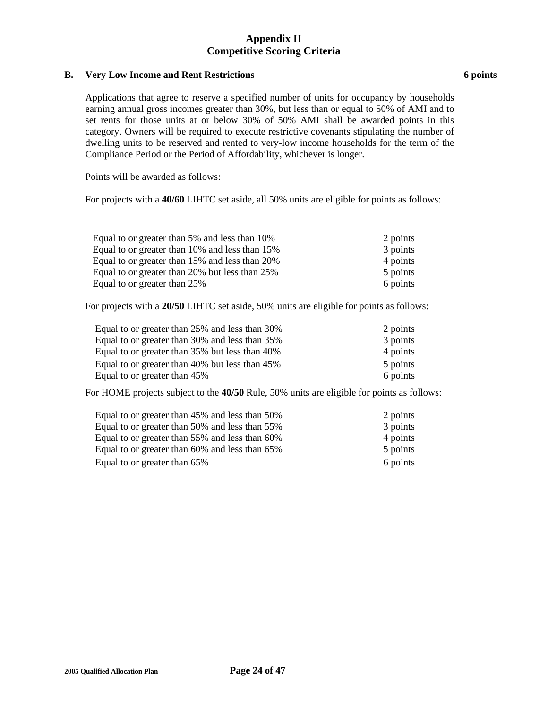## **B.** Very Low Income and Rent Restrictions **6 points 6 points**

 Applications that agree to reserve a specified number of units for occupancy by households earning annual gross incomes greater than 30%, but less than or equal to 50% of AMI and to set rents for those units at or below 30% of 50% AMI shall be awarded points in this category. Owners will be required to execute restrictive covenants stipulating the number of dwelling units to be reserved and rented to very-low income households for the term of the Compliance Period or the Period of Affordability, whichever is longer.

Points will be awarded as follows:

For projects with a **40/60** LIHTC set aside, all 50% units are eligible for points as follows:

| Equal to or greater than 5% and less than 10%  | 2 points |
|------------------------------------------------|----------|
| Equal to or greater than 10% and less than 15% | 3 points |
| Equal to or greater than 15% and less than 20% | 4 points |
| Equal to or greater than 20% but less than 25% | 5 points |
| Equal to or greater than 25%                   | 6 points |

For projects with a **20/50** LIHTC set aside, 50% units are eligible for points as follows:

| Equal to or greater than 25% and less than 30% | 2 points |
|------------------------------------------------|----------|
| Equal to or greater than 30% and less than 35% | 3 points |
| Equal to or greater than 35% but less than 40% | 4 points |
| Equal to or greater than 40% but less than 45% | 5 points |
| Equal to or greater than 45%                   | 6 points |

For HOME projects subject to the **40/50** Rule, 50% units are eligible for points as follows:

| Equal to or greater than 45% and less than 50% | 2 points |
|------------------------------------------------|----------|
| Equal to or greater than 50% and less than 55% | 3 points |
| Equal to or greater than 55% and less than 60% | 4 points |
| Equal to or greater than 60% and less than 65% | 5 points |
| Equal to or greater than 65%                   | 6 points |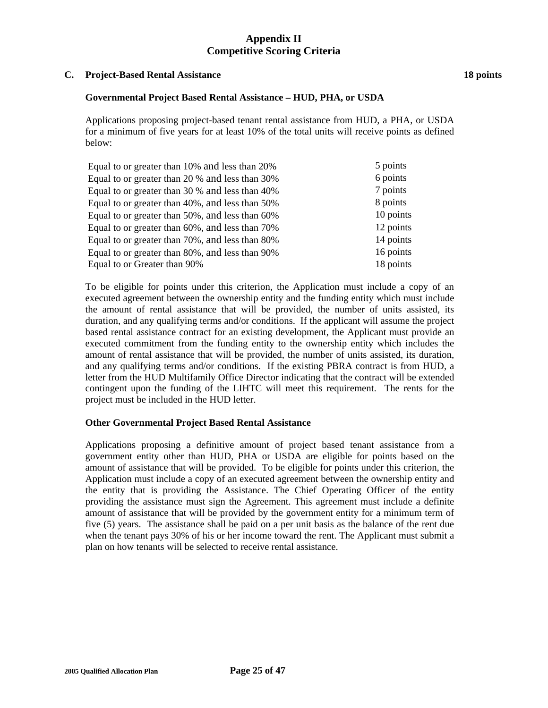### **C. Project-Based Rental Assistance 18 points**

### **Governmental Project Based Rental Assistance – HUD, PHA, or USDA**

 Applications proposing project-based tenant rental assistance from HUD, a PHA, or USDA for a minimum of five years for at least 10% of the total units will receive points as defined below:

| 5 points  |
|-----------|
| 6 points  |
| 7 points  |
| 8 points  |
| 10 points |
| 12 points |
| 14 points |
| 16 points |
| 18 points |
|           |

To be eligible for points under this criterion, the Application must include a copy of an executed agreement between the ownership entity and the funding entity which must include the amount of rental assistance that will be provided, the number of units assisted, its duration, and any qualifying terms and/or conditions. If the applicant will assume the project based rental assistance contract for an existing development, the Applicant must provide an executed commitment from the funding entity to the ownership entity which includes the amount of rental assistance that will be provided, the number of units assisted, its duration, and any qualifying terms and/or conditions. If the existing PBRA contract is from HUD, a letter from the HUD Multifamily Office Director indicating that the contract will be extended contingent upon the funding of the LIHTC will meet this requirement. The rents for the project must be included in the HUD letter.

### **Other Governmental Project Based Rental Assistance**

Applications proposing a definitive amount of project based tenant assistance from a government entity other than HUD, PHA or USDA are eligible for points based on the amount of assistance that will be provided. To be eligible for points under this criterion, the Application must include a copy of an executed agreement between the ownership entity and the entity that is providing the Assistance. The Chief Operating Officer of the entity providing the assistance must sign the Agreement. This agreement must include a definite amount of assistance that will be provided by the government entity for a minimum term of five (5) years. The assistance shall be paid on a per unit basis as the balance of the rent due when the tenant pays 30% of his or her income toward the rent. The Applicant must submit a plan on how tenants will be selected to receive rental assistance.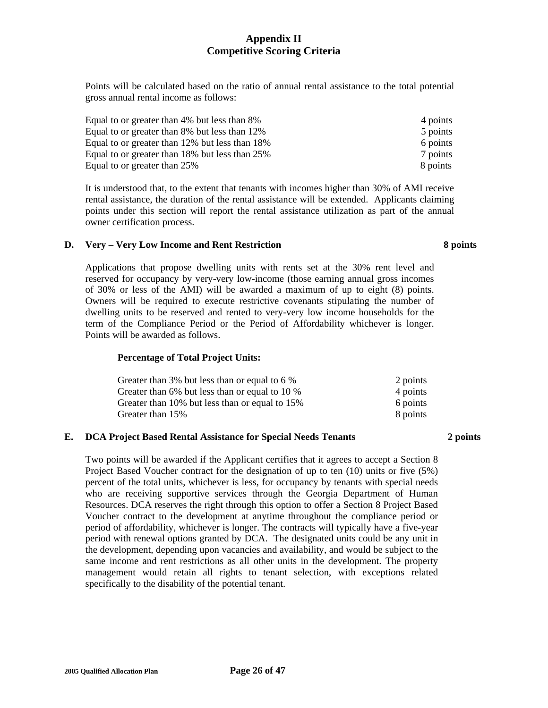Points will be calculated based on the ratio of annual rental assistance to the total potential gross annual rental income as follows:

| Equal to or greater than 4% but less than 8%   | 4 points |
|------------------------------------------------|----------|
| Equal to or greater than 8% but less than 12%  | 5 points |
| Equal to or greater than 12% but less than 18% | 6 points |
| Equal to or greater than 18% but less than 25% | 7 points |
| Equal to or greater than 25%                   | 8 points |

It is understood that, to the extent that tenants with incomes higher than 30% of AMI receive rental assistance, the duration of the rental assistance will be extended. Applicants claiming points under this section will report the rental assistance utilization as part of the annual owner certification process.

## **D. Very – Very Low Income and Rent Restriction 8 points**

 Applications that propose dwelling units with rents set at the 30% rent level and reserved for occupancy by very-very low-income (those earning annual gross incomes of 30% or less of the AMI) will be awarded a maximum of up to eight (8) points. Owners will be required to execute restrictive covenants stipulating the number of dwelling units to be reserved and rented to very-very low income households for the term of the Compliance Period or the Period of Affordability whichever is longer. Points will be awarded as follows.

## **Percentage of Total Project Units:**

| Greater than 3% but less than or equal to 6 %  | 2 points |
|------------------------------------------------|----------|
| Greater than 6% but less than or equal to 10 % | 4 points |
| Greater than 10% but less than or equal to 15% | 6 points |
| Greater than 15%                               | 8 points |

### **E. DCA Project Based Rental Assistance for Special Needs Tenants 2 points**

Two points will be awarded if the Applicant certifies that it agrees to accept a Section 8 Project Based Voucher contract for the designation of up to ten (10) units or five (5%) percent of the total units, whichever is less, for occupancy by tenants with special needs who are receiving supportive services through the Georgia Department of Human Resources. DCA reserves the right through this option to offer a Section 8 Project Based Voucher contract to the development at anytime throughout the compliance period or period of affordability, whichever is longer. The contracts will typically have a five-year period with renewal options granted by DCA. The designated units could be any unit in the development, depending upon vacancies and availability, and would be subject to the same income and rent restrictions as all other units in the development. The property management would retain all rights to tenant selection, with exceptions related specifically to the disability of the potential tenant.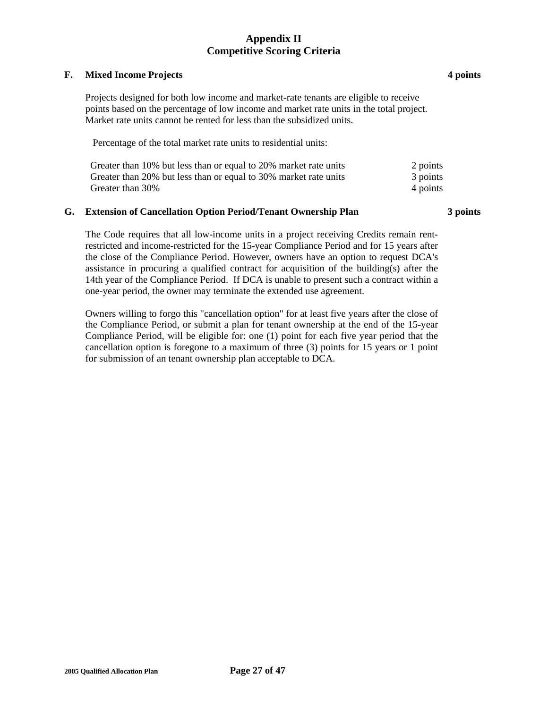### **F. Mixed Income Projects 4 points**

 Projects designed for both low income and market-rate tenants are eligible to receive points based on the percentage of low income and market rate units in the total project. Market rate units cannot be rented for less than the subsidized units.

Percentage of the total market rate units to residential units:

| Greater than 10% but less than or equal to 20% market rate units | 2 points |
|------------------------------------------------------------------|----------|
| Greater than 20% but less than or equal to 30% market rate units | 3 points |
| Greater than 30%                                                 | 4 points |

## **G. Extension of Cancellation Option Period/Tenant Ownership Plan 3 points**

 The Code requires that all low-income units in a project receiving Credits remain rentrestricted and income-restricted for the 15-year Compliance Period and for 15 years after the close of the Compliance Period. However, owners have an option to request DCA's assistance in procuring a qualified contract for acquisition of the building(s) after the 14th year of the Compliance Period. If DCA is unable to present such a contract within a one-year period, the owner may terminate the extended use agreement.

Owners willing to forgo this "cancellation option" for at least five years after the close of the Compliance Period, or submit a plan for tenant ownership at the end of the 15-year Compliance Period, will be eligible for: one (1) point for each five year period that the cancellation option is foregone to a maximum of three (3) points for 15 years or 1 point for submission of an tenant ownership plan acceptable to DCA.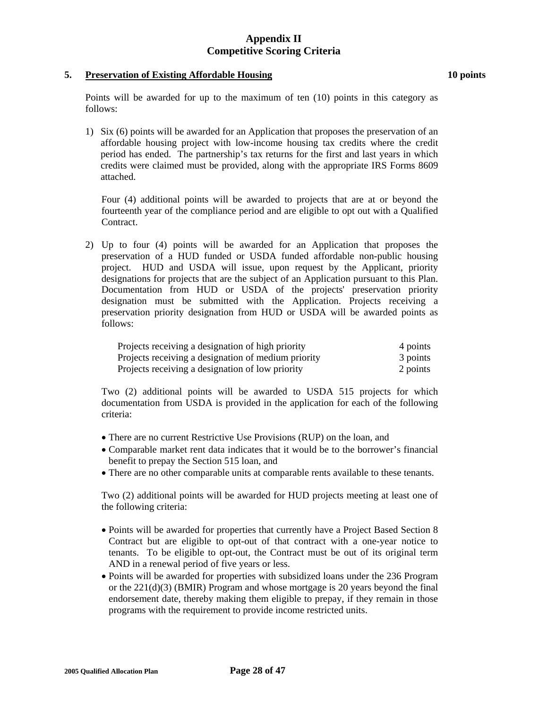### **5. Preservation of Existing Affordable Housing 10 points**

1) Six (6) points will be awarded for an Application that proposes the preservation of an affordable housing project with low-income housing tax credits where the credit period has ended. The partnership's tax returns for the first and last years in which credits were claimed must be provided, along with the appropriate IRS Forms 8609 attached.

Four (4) additional points will be awarded to projects that are at or beyond the fourteenth year of the compliance period and are eligible to opt out with a Qualified Contract.

2) Up to four (4) points will be awarded for an Application that proposes the preservation of a HUD funded or USDA funded affordable non-public housing project. HUD and USDA will issue, upon request by the Applicant, priority designations for projects that are the subject of an Application pursuant to this Plan. Documentation from HUD or USDA of the projects' preservation priority designation must be submitted with the Application. Projects receiving a preservation priority designation from HUD or USDA will be awarded points as follows:

| Projects receiving a designation of high priority   | 4 points |
|-----------------------------------------------------|----------|
| Projects receiving a designation of medium priority | 3 points |
| Projects receiving a designation of low priority    | 2 points |

Two (2) additional points will be awarded to USDA 515 projects for which documentation from USDA is provided in the application for each of the following criteria:

- There are no current Restrictive Use Provisions (RUP) on the loan, and
- Comparable market rent data indicates that it would be to the borrower's financial benefit to prepay the Section 515 loan, and
- There are no other comparable units at comparable rents available to these tenants.

Two (2) additional points will be awarded for HUD projects meeting at least one of the following criteria:

- Points will be awarded for properties that currently have a Project Based Section 8 Contract but are eligible to opt-out of that contract with a one-year notice to tenants. To be eligible to opt-out, the Contract must be out of its original term AND in a renewal period of five years or less.
- Points will be awarded for properties with subsidized loans under the 236 Program or the  $221(d)(3)$  (BMIR) Program and whose mortgage is 20 years beyond the final endorsement date, thereby making them eligible to prepay, if they remain in those programs with the requirement to provide income restricted units.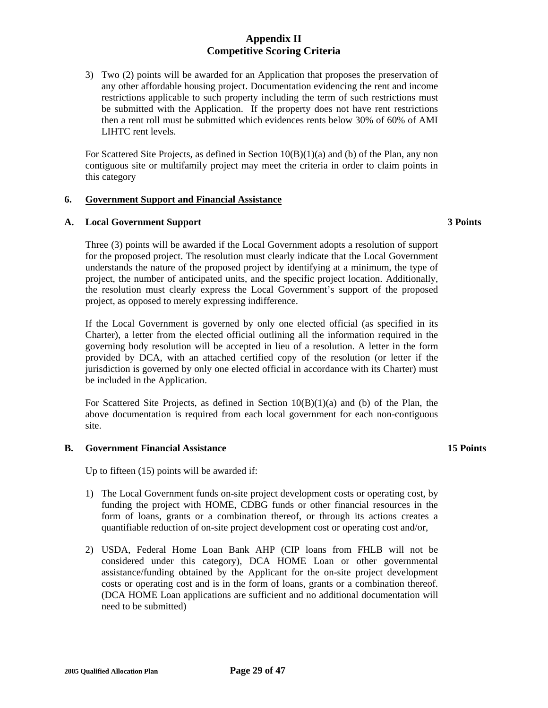3) Two (2) points will be awarded for an Application that proposes the preservation of any other affordable housing project. Documentation evidencing the rent and income restrictions applicable to such property including the term of such restrictions must be submitted with the Application. If the property does not have rent restrictions then a rent roll must be submitted which evidences rents below 30% of 60% of AMI LIHTC rent levels.

For Scattered Site Projects, as defined in Section  $10(B)(1)(a)$  and (b) of the Plan, any non contiguous site or multifamily project may meet the criteria in order to claim points in this category

## **6. Government Support and Financial Assistance**

## **A. Local Government Support 3 Points**

Three (3) points will be awarded if the Local Government adopts a resolution of support for the proposed project. The resolution must clearly indicate that the Local Government understands the nature of the proposed project by identifying at a minimum, the type of project, the number of anticipated units, and the specific project location. Additionally, the resolution must clearly express the Local Government's support of the proposed project, as opposed to merely expressing indifference.

If the Local Government is governed by only one elected official (as specified in its Charter), a letter from the elected official outlining all the information required in the governing body resolution will be accepted in lieu of a resolution. A letter in the form provided by DCA, with an attached certified copy of the resolution (or letter if the jurisdiction is governed by only one elected official in accordance with its Charter) must be included in the Application.

For Scattered Site Projects, as defined in Section  $10(B)(1)(a)$  and (b) of the Plan, the above documentation is required from each local government for each non-contiguous site.

## **B.** Government Financial Assistance **15 Points 15 Points 15 Points**

Up to fifteen (15) points will be awarded if:

- 1) The Local Government funds on-site project development costs or operating cost, by funding the project with HOME, CDBG funds or other financial resources in the form of loans, grants or a combination thereof, or through its actions creates a quantifiable reduction of on-site project development cost or operating cost and/or,
- 2) USDA, Federal Home Loan Bank AHP (CIP loans from FHLB will not be considered under this category), DCA HOME Loan or other governmental assistance/funding obtained by the Applicant for the on-site project development costs or operating cost and is in the form of loans, grants or a combination thereof. (DCA HOME Loan applications are sufficient and no additional documentation will need to be submitted)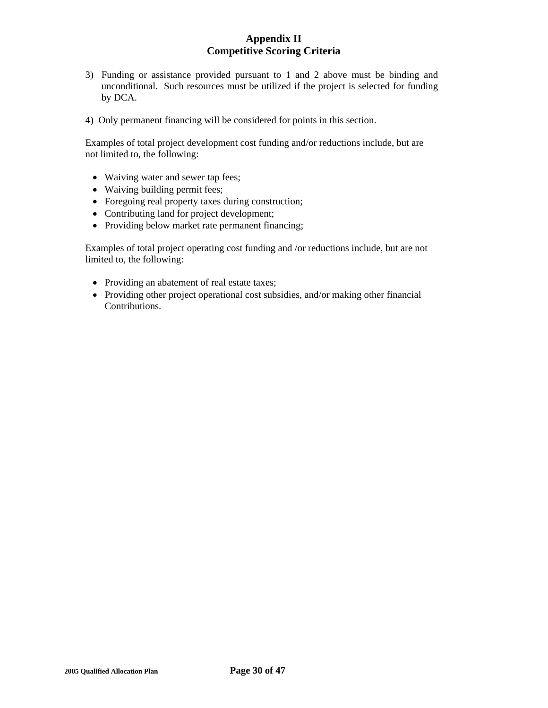- 3) Funding or assistance provided pursuant to 1 and 2 above must be binding and unconditional. Such resources must be utilized if the project is selected for funding by DCA.
- 4) Only permanent financing will be considered for points in this section.

 Examples of total project development cost funding and/or reductions include, but are not limited to, the following:

- Waiving water and sewer tap fees;
- Waiving building permit fees;
- Foregoing real property taxes during construction;
- Contributing land for project development;
- Providing below market rate permanent financing;

 Examples of total project operating cost funding and /or reductions include, but are not limited to, the following:

- Providing an abatement of real estate taxes;
- Providing other project operational cost subsidies, and/or making other financial Contributions.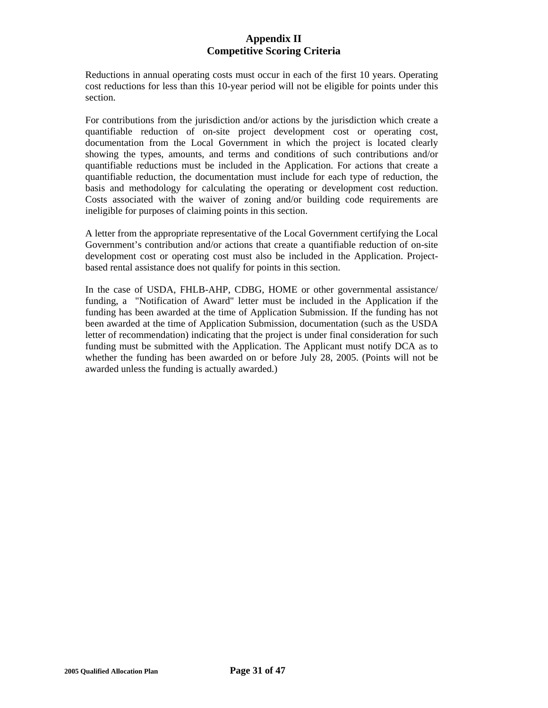Reductions in annual operating costs must occur in each of the first 10 years. Operating cost reductions for less than this 10-year period will not be eligible for points under this section.

For contributions from the jurisdiction and/or actions by the jurisdiction which create a quantifiable reduction of on-site project development cost or operating cost, documentation from the Local Government in which the project is located clearly showing the types, amounts, and terms and conditions of such contributions and/or quantifiable reductions must be included in the Application. For actions that create a quantifiable reduction, the documentation must include for each type of reduction, the basis and methodology for calculating the operating or development cost reduction. Costs associated with the waiver of zoning and/or building code requirements are ineligible for purposes of claiming points in this section.

A letter from the appropriate representative of the Local Government certifying the Local Government's contribution and/or actions that create a quantifiable reduction of on-site development cost or operating cost must also be included in the Application. Projectbased rental assistance does not qualify for points in this section.

In the case of USDA, FHLB-AHP, CDBG, HOME or other governmental assistance/ funding, a "Notification of Award" letter must be included in the Application if the funding has been awarded at the time of Application Submission. If the funding has not been awarded at the time of Application Submission, documentation (such as the USDA letter of recommendation) indicating that the project is under final consideration for such funding must be submitted with the Application. The Applicant must notify DCA as to whether the funding has been awarded on or before July 28, 2005. (Points will not be awarded unless the funding is actually awarded.)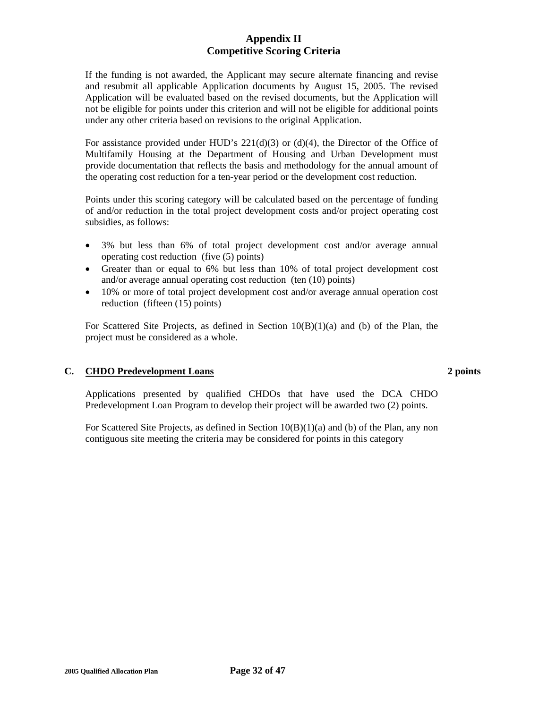If the funding is not awarded, the Applicant may secure alternate financing and revise and resubmit all applicable Application documents by August 15, 2005. The revised Application will be evaluated based on the revised documents, but the Application will not be eligible for points under this criterion and will not be eligible for additional points under any other criteria based on revisions to the original Application.

For assistance provided under HUD's  $221(d)(3)$  or  $(d)(4)$ , the Director of the Office of Multifamily Housing at the Department of Housing and Urban Development must provide documentation that reflects the basis and methodology for the annual amount of the operating cost reduction for a ten-year period or the development cost reduction.

Points under this scoring category will be calculated based on the percentage of funding of and/or reduction in the total project development costs and/or project operating cost subsidies, as follows:

- 3% but less than 6% of total project development cost and/or average annual operating cost reduction (five (5) points)
- Greater than or equal to 6% but less than 10% of total project development cost and/or average annual operating cost reduction (ten (10) points)
- 10% or more of total project development cost and/or average annual operation cost reduction (fifteen (15) points)

For Scattered Site Projects, as defined in Section  $10(B)(1)(a)$  and (b) of the Plan, the project must be considered as a whole.

## **C. CHDO Predevelopment Loans 2 points**

Applications presented by qualified CHDOs that have used the DCA CHDO Predevelopment Loan Program to develop their project will be awarded two (2) points.

For Scattered Site Projects, as defined in Section 10(B)(1)(a) and (b) of the Plan, any non contiguous site meeting the criteria may be considered for points in this category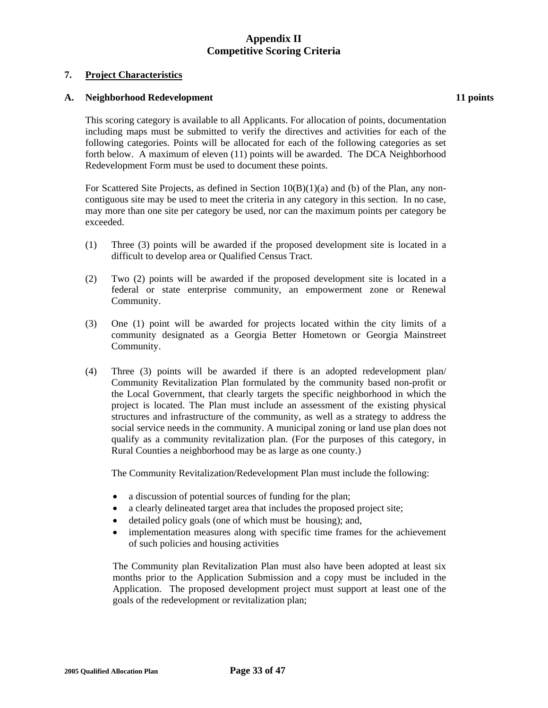## **7. Project Characteristics**

## A. Neighborhood Redevelopment **11 points 11 points**

This scoring category is available to all Applicants. For allocation of points, documentation including maps must be submitted to verify the directives and activities for each of the following categories. Points will be allocated for each of the following categories as set forth below. A maximum of eleven (11) points will be awarded. The DCA Neighborhood Redevelopment Form must be used to document these points.

For Scattered Site Projects, as defined in Section  $10(B)(1)(a)$  and (b) of the Plan, any noncontiguous site may be used to meet the criteria in any category in this section. In no case, may more than one site per category be used, nor can the maximum points per category be exceeded.

- (1) Three (3) points will be awarded if the proposed development site is located in a difficult to develop area or Qualified Census Tract.
- (2) Two (2) points will be awarded if the proposed development site is located in a federal or state enterprise community, an empowerment zone or Renewal Community.
- (3) One (1) point will be awarded for projects located within the city limits of a community designated as a Georgia Better Hometown or Georgia Mainstreet Community.
- (4) Three (3) points will be awarded if there is an adopted redevelopment plan/ Community Revitalization Plan formulated by the community based non-profit or the Local Government, that clearly targets the specific neighborhood in which the project is located. The Plan must include an assessment of the existing physical structures and infrastructure of the community, as well as a strategy to address the social service needs in the community. A municipal zoning or land use plan does not qualify as a community revitalization plan. (For the purposes of this category, in Rural Counties a neighborhood may be as large as one county.)

The Community Revitalization/Redevelopment Plan must include the following:

- a discussion of potential sources of funding for the plan;
- a clearly delineated target area that includes the proposed project site;
- detailed policy goals (one of which must be housing); and,
- implementation measures along with specific time frames for the achievement of such policies and housing activities

The Community plan Revitalization Plan must also have been adopted at least six months prior to the Application Submission and a copy must be included in the Application. The proposed development project must support at least one of the goals of the redevelopment or revitalization plan;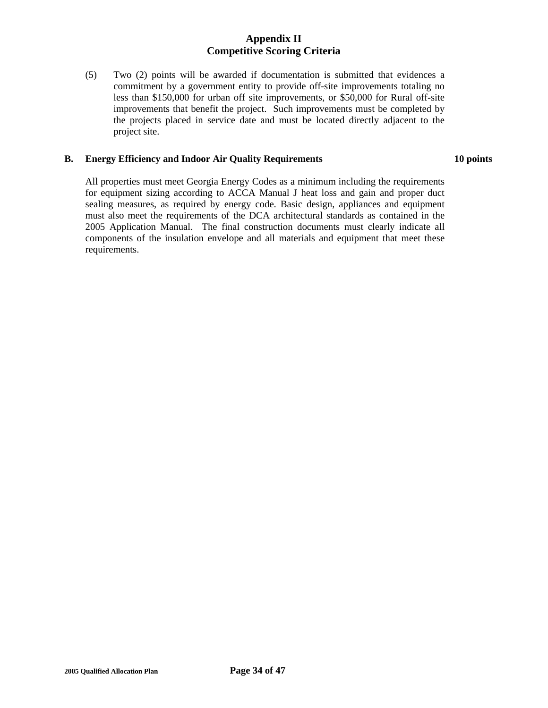(5) Two (2) points will be awarded if documentation is submitted that evidences a commitment by a government entity to provide off-site improvements totaling no less than \$150,000 for urban off site improvements, or \$50,000 for Rural off-site improvements that benefit the project. Such improvements must be completed by the projects placed in service date and must be located directly adjacent to the project site.

## **B. Energy Efficiency and Indoor Air Quality Requirements**

**10 points** 

All properties must meet Georgia Energy Codes as a minimum including the requirements for equipment sizing according to ACCA Manual J heat loss and gain and proper duct sealing measures, as required by energy code. Basic design, appliances and equipment must also meet the requirements of the DCA architectural standards as contained in the 2005 Application Manual. The final construction documents must clearly indicate all components of the insulation envelope and all materials and equipment that meet these requirements.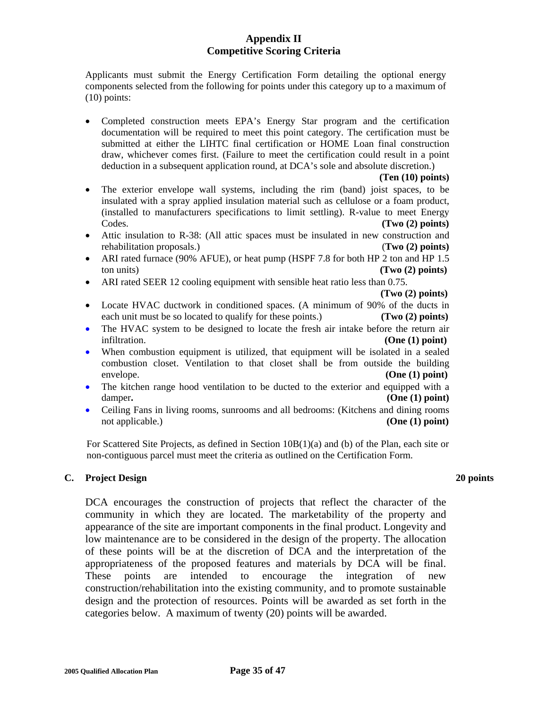Applicants must submit the Energy Certification Form detailing the optional energy components selected from the following for points under this category up to a maximum of (10) points:

• Completed construction meets EPA's Energy Star program and the certification documentation will be required to meet this point category. The certification must be submitted at either the LIHTC final certification or HOME Loan final construction draw, whichever comes first. (Failure to meet the certification could result in a point deduction in a subsequent application round, at DCA's sole and absolute discretion.)

## **(Ten (10) points)**

- The exterior envelope wall systems, including the rim (band) joist spaces, to be insulated with a spray applied insulation material such as cellulose or a foam product, (installed to manufacturers specifications to limit settling). R-value to meet Energy Codes. **(Two (2) points)**
- Attic insulation to R-38: (All attic spaces must be insulated in new construction and rehabilitation proposals.) (**Two (2) points)**
- ARI rated furnace (90% AFUE), or heat pump (HSPF 7.8 for both HP 2 ton and HP 1.5 ton units) **(Two (2) points)**
- ARI rated SEER 12 cooling equipment with sensible heat ratio less than 0.75.

**(Two (2) points)** 

- Locate HVAC ductwork in conditioned spaces. (A minimum of 90% of the ducts in each unit must be so located to qualify for these points.) **(Two (2) points)**
- The HVAC system to be designed to locate the fresh air intake before the return air infiltration. **(One (1) point)**
- When combustion equipment is utilized, that equipment will be isolated in a sealed combustion closet. Ventilation to that closet shall be from outside the building envelope. **(One (1) point)**
- The kitchen range hood ventilation to be ducted to the exterior and equipped with a damper. **(One (1) point) (One (1) point)**
- Ceiling Fans in living rooms, sunrooms and all bedrooms: (Kitchens and dining rooms not applicable.) **(One (1) point) (One (1) point)**

For Scattered Site Projects, as defined in Section 10B(1)(a) and (b) of the Plan, each site or non-contiguous parcel must meet the criteria as outlined on the Certification Form.

## **C. Project Design 20 points**

DCA encourages the construction of projects that reflect the character of the community in which they are located. The marketability of the property and appearance of the site are important components in the final product. Longevity and low maintenance are to be considered in the design of the property. The allocation of these points will be at the discretion of DCA and the interpretation of the appropriateness of the proposed features and materials by DCA will be final. These points are intended to encourage the integration of new construction/rehabilitation into the existing community, and to promote sustainable design and the protection of resources. Points will be awarded as set forth in the categories below. A maximum of twenty (20) points will be awarded.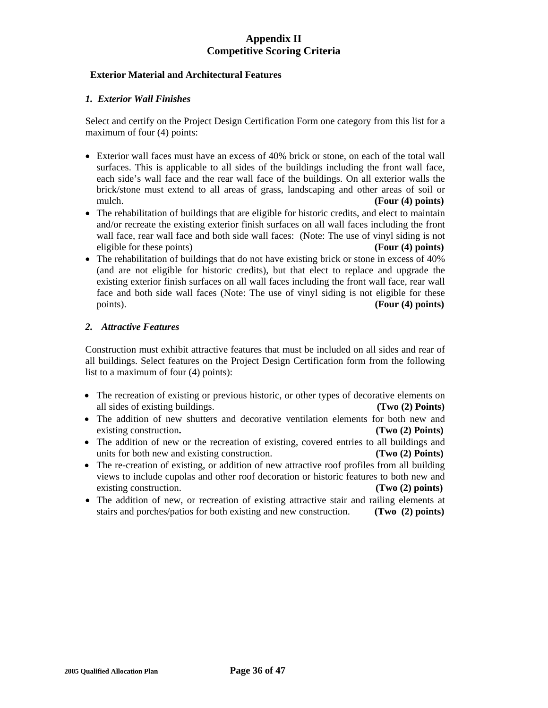## **Exterior Material and Architectural Features**

## *1. Exterior Wall Finishes*

Select and certify on the Project Design Certification Form one category from this list for a maximum of four (4) points:

- Exterior wall faces must have an excess of 40% brick or stone, on each of the total wall surfaces. This is applicable to all sides of the buildings including the front wall face, each side's wall face and the rear wall face of the buildings. On all exterior walls the brick/stone must extend to all areas of grass, landscaping and other areas of soil or mulch. **(Four (4) points)**
- The rehabilitation of buildings that are eligible for historic credits, and elect to maintain and/or recreate the existing exterior finish surfaces on all wall faces including the front wall face, rear wall face and both side wall faces: (Note: The use of vinyl siding is not eligible for these points) **(Four (4) points)**
- The rehabilitation of buildings that do not have existing brick or stone in excess of 40% (and are not eligible for historic credits), but that elect to replace and upgrade the existing exterior finish surfaces on all wall faces including the front wall face, rear wall face and both side wall faces (Note: The use of vinyl siding is not eligible for these points). **(Four (4) points)**

## *2. Attractive Features*

Construction must exhibit attractive features that must be included on all sides and rear of all buildings. Select features on the Project Design Certification form from the following list to a maximum of four (4) points):

- The recreation of existing or previous historic, or other types of decorative elements on all sides of existing buildings. **(Two (2) Points)**
- The addition of new shutters and decorative ventilation elements for both new and existing construction. **(Two (2) Points)**
- The addition of new or the recreation of existing, covered entries to all buildings and units for both new and existing construction. **(Two (2) Points)**
- The re-creation of existing, or addition of new attractive roof profiles from all building views to include cupolas and other roof decoration or historic features to both new and existing construction. **(Two (2) points)**
- The addition of new, or recreation of existing attractive stair and railing elements at stairs and porches/patios for both existing and new construction. **(Two (2) points)**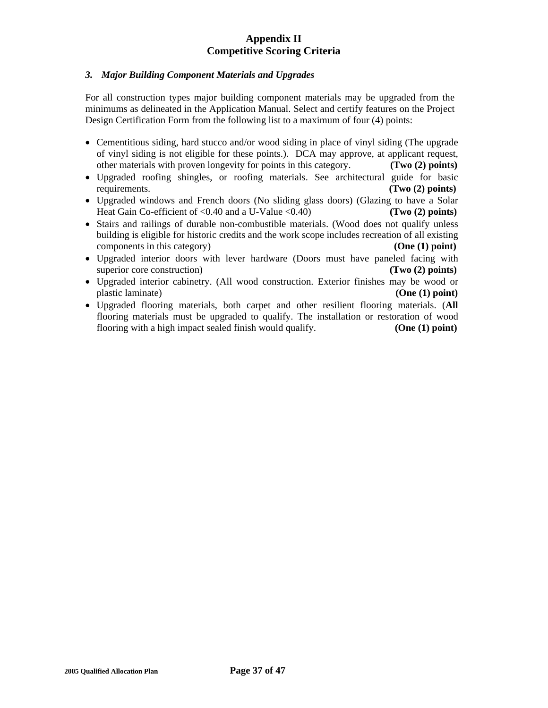## *3. Major Building Component Materials and Upgrades*

For all construction types major building component materials may be upgraded from the minimums as delineated in the Application Manual. Select and certify features on the Project Design Certification Form from the following list to a maximum of four (4) points:

- Cementitious siding, hard stucco and/or wood siding in place of vinyl siding (The upgrade of vinyl siding is not eligible for these points.). DCA may approve, at applicant request, other materials with proven longevity for points in this category. **(Two (2) points)**
- Upgraded roofing shingles, or roofing materials. See architectural guide for basic requirements. **(Two (2) points)**
- Upgraded windows and French doors (No sliding glass doors) (Glazing to have a Solar Heat Gain Co-efficient of <0.40 and a U-Value <0.40) **(Two (2) points)**
- Stairs and railings of durable non-combustible materials. (Wood does not qualify unless building is eligible for historic credits and the work scope includes recreation of all existing components in this category) **(One (1) point)**
- Upgraded interior doors with lever hardware (Doors must have paneled facing with superior core construction) **(Two (2) points) (Two (2) points**)
- Upgraded interior cabinetry. (All wood construction. Exterior finishes may be wood or plastic laminate) **(One (1) point)**
- Upgraded flooring materials, both carpet and other resilient flooring materials. (**All** flooring materials must be upgraded to qualify. The installation or restoration of wood flooring with a high impact sealed finish would qualify. **(One (1) point)**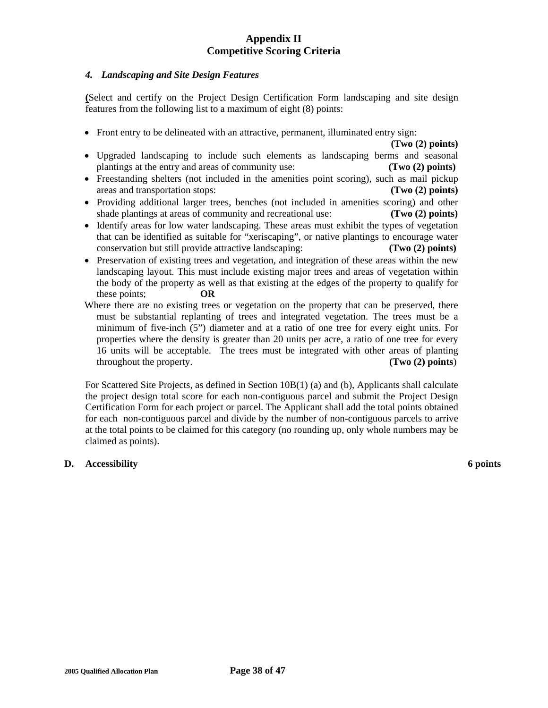## *4. Landscaping and Site Design Features*

**(**Select and certify on the Project Design Certification Form landscaping and site design features from the following list to a maximum of eight (8) points:

• Front entry to be delineated with an attractive, permanent, illuminated entry sign:

**(Two (2) points)**

- Upgraded landscaping to include such elements as landscaping berms and seasonal plantings at the entry and areas of community use: **(Two (2) points)**
- Freestanding shelters (not included in the amenities point scoring), such as mail pickup areas and transportation stops: **(Two (2) points)**
- Providing additional larger trees, benches (not included in amenities scoring) and other shade plantings at areas of community and recreational use: **(Two (2) points)**
- Identify areas for low water landscaping. These areas must exhibit the types of vegetation that can be identified as suitable for "xeriscaping", or native plantings to encourage water conservation but still provide attractive landscaping: **(Two (2) points)**
- Preservation of existing trees and vegetation, and integration of these areas within the new landscaping layout. This must include existing major trees and areas of vegetation within the body of the property as well as that existing at the edges of the property to qualify for these points; **OR**
- Where there are no existing trees or vegetation on the property that can be preserved, there must be substantial replanting of trees and integrated vegetation. The trees must be a minimum of five-inch (5") diameter and at a ratio of one tree for every eight units. For properties where the density is greater than 20 units per acre, a ratio of one tree for every 16 units will be acceptable. The trees must be integrated with other areas of planting throughout the property. **(Two (2) points**)

 For Scattered Site Projects, as defined in Section 10B(1) (a) and (b), Applicants shall calculate the project design total score for each non-contiguous parcel and submit the Project Design Certification Form for each project or parcel. The Applicant shall add the total points obtained for each non-contiguous parcel and divide by the number of non-contiguous parcels to arrive at the total points to be claimed for this category (no rounding up, only whole numbers may be claimed as points).

## **D.** Accessibility 6 points **6 points**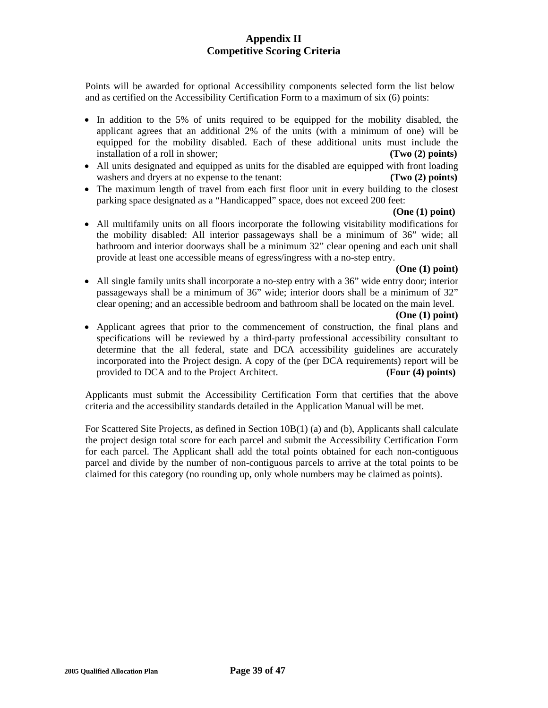Points will be awarded for optional Accessibility components selected form the list below and as certified on the Accessibility Certification Form to a maximum of six (6) points:

- In addition to the 5% of units required to be equipped for the mobility disabled, the applicant agrees that an additional 2% of the units (with a minimum of one) will be equipped for the mobility disabled. Each of these additional units must include the installation of a roll in shower; **(Two (2) points)**
- All units designated and equipped as units for the disabled are equipped with front loading washers and dryers at no expense to the tenant: **(Two (2) points)**
- The maximum length of travel from each first floor unit in every building to the closest parking space designated as a "Handicapped" space, does not exceed 200 feet:

### **(One (1) point)**

• All multifamily units on all floors incorporate the following visitability modifications for the mobility disabled: All interior passageways shall be a minimum of 36" wide; all bathroom and interior doorways shall be a minimum 32" clear opening and each unit shall provide at least one accessible means of egress/ingress with a no-step entry.

### **(One (1) point)**

• All single family units shall incorporate a no-step entry with a 36" wide entry door; interior passageways shall be a minimum of 36" wide; interior doors shall be a minimum of 32" clear opening; and an accessible bedroom and bathroom shall be located on the main level.

## **(One (1) point)**

• Applicant agrees that prior to the commencement of construction, the final plans and specifications will be reviewed by a third-party professional accessibility consultant to determine that the all federal, state and DCA accessibility guidelines are accurately incorporated into the Project design. A copy of the (per DCA requirements) report will be provided to DCA and to the Project Architect. **(Four (4) points)**

Applicants must submit the Accessibility Certification Form that certifies that the above criteria and the accessibility standards detailed in the Application Manual will be met.

For Scattered Site Projects, as defined in Section 10B(1) (a) and (b), Applicants shall calculate the project design total score for each parcel and submit the Accessibility Certification Form for each parcel. The Applicant shall add the total points obtained for each non-contiguous parcel and divide by the number of non-contiguous parcels to arrive at the total points to be claimed for this category (no rounding up, only whole numbers may be claimed as points).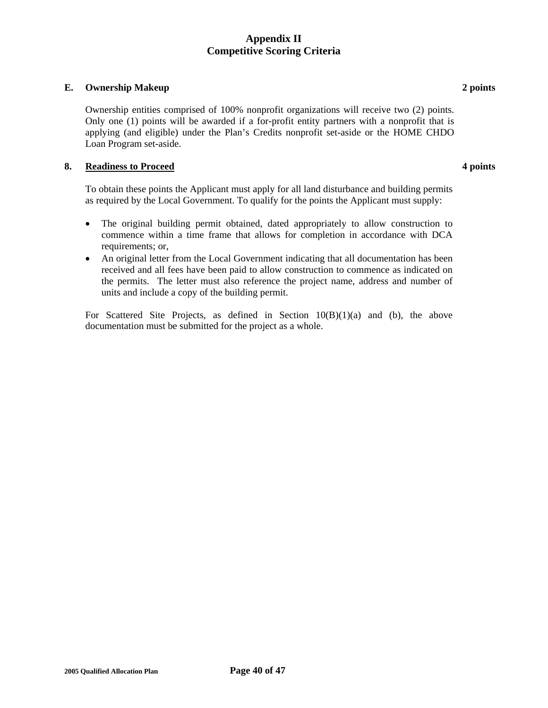## **E.** Ownership Makeup 2 **points** 2 **points**

 Ownership entities comprised of 100% nonprofit organizations will receive two (2) points. Only one (1) points will be awarded if a for-profit entity partners with a nonprofit that is applying (and eligible) under the Plan's Credits nonprofit set-aside or the HOME CHDO Loan Program set-aside.

### **8. Readiness to Proceed 4 points**

To obtain these points the Applicant must apply for all land disturbance and building permits as required by the Local Government. To qualify for the points the Applicant must supply:

- The original building permit obtained, dated appropriately to allow construction to commence within a time frame that allows for completion in accordance with DCA requirements; or,
- An original letter from the Local Government indicating that all documentation has been received and all fees have been paid to allow construction to commence as indicated on the permits. The letter must also reference the project name, address and number of units and include a copy of the building permit.

For Scattered Site Projects, as defined in Section 10(B)(1)(a) and (b), the above documentation must be submitted for the project as a whole.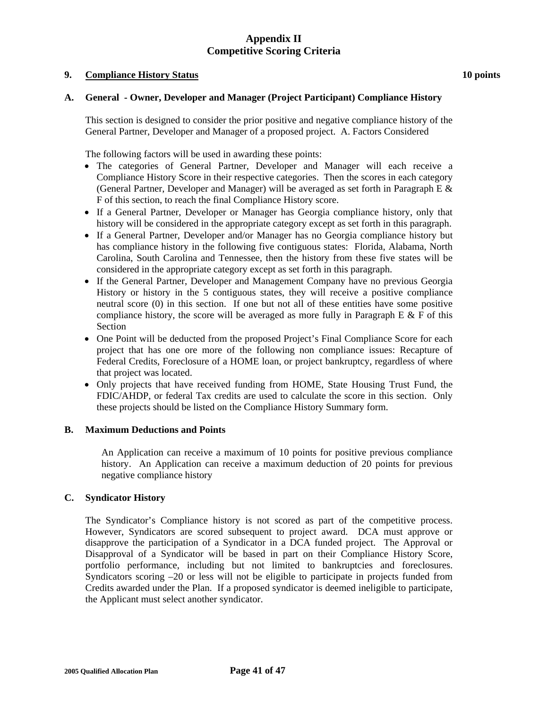### **9. Compliance History Status 10 points**

## **A. General - Owner, Developer and Manager (Project Participant) Compliance History**

This section is designed to consider the prior positive and negative compliance history of the General Partner, Developer and Manager of a proposed project. A. Factors Considered

The following factors will be used in awarding these points:

- The categories of General Partner, Developer and Manager will each receive a Compliance History Score in their respective categories. Then the scores in each category (General Partner, Developer and Manager) will be averaged as set forth in Paragraph E  $\&$ F of this section, to reach the final Compliance History score.
- If a General Partner, Developer or Manager has Georgia compliance history, only that history will be considered in the appropriate category except as set forth in this paragraph.
- If a General Partner, Developer and/or Manager has no Georgia compliance history but has compliance history in the following five contiguous states: Florida, Alabama, North Carolina, South Carolina and Tennessee, then the history from these five states will be considered in the appropriate category except as set forth in this paragraph.
- If the General Partner, Developer and Management Company have no previous Georgia History or history in the 5 contiguous states, they will receive a positive compliance neutral score (0) in this section. If one but not all of these entities have some positive compliance history, the score will be averaged as more fully in Paragraph E  $&$  F of this Section
- One Point will be deducted from the proposed Project's Final Compliance Score for each project that has one ore more of the following non compliance issues: Recapture of Federal Credits, Foreclosure of a HOME loan, or project bankruptcy, regardless of where that project was located.
- Only projects that have received funding from HOME, State Housing Trust Fund, the FDIC/AHDP, or federal Tax credits are used to calculate the score in this section. Only these projects should be listed on the Compliance History Summary form.

### **B. Maximum Deductions and Points**

An Application can receive a maximum of 10 points for positive previous compliance history. An Application can receive a maximum deduction of 20 points for previous negative compliance history

## **C. Syndicator History**

The Syndicator's Compliance history is not scored as part of the competitive process. However, Syndicators are scored subsequent to project award. DCA must approve or disapprove the participation of a Syndicator in a DCA funded project. The Approval or Disapproval of a Syndicator will be based in part on their Compliance History Score, portfolio performance, including but not limited to bankruptcies and foreclosures. Syndicators scoring –20 or less will not be eligible to participate in projects funded from Credits awarded under the Plan. If a proposed syndicator is deemed ineligible to participate, the Applicant must select another syndicator.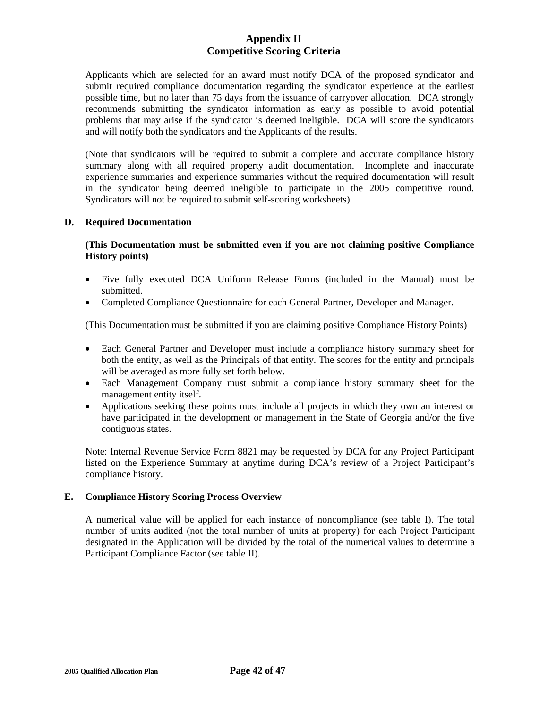Applicants which are selected for an award must notify DCA of the proposed syndicator and submit required compliance documentation regarding the syndicator experience at the earliest possible time, but no later than 75 days from the issuance of carryover allocation. DCA strongly recommends submitting the syndicator information as early as possible to avoid potential problems that may arise if the syndicator is deemed ineligible. DCA will score the syndicators and will notify both the syndicators and the Applicants of the results.

(Note that syndicators will be required to submit a complete and accurate compliance history summary along with all required property audit documentation. Incomplete and inaccurate experience summaries and experience summaries without the required documentation will result in the syndicator being deemed ineligible to participate in the 2005 competitive round. Syndicators will not be required to submit self-scoring worksheets).

## **D. Required Documentation**

## **(This Documentation must be submitted even if you are not claiming positive Compliance History points)**

- Five fully executed DCA Uniform Release Forms (included in the Manual) must be submitted.
- Completed Compliance Questionnaire for each General Partner, Developer and Manager.

(This Documentation must be submitted if you are claiming positive Compliance History Points)

- Each General Partner and Developer must include a compliance history summary sheet for both the entity, as well as the Principals of that entity. The scores for the entity and principals will be averaged as more fully set forth below.
- Each Management Company must submit a compliance history summary sheet for the management entity itself.
- Applications seeking these points must include all projects in which they own an interest or have participated in the development or management in the State of Georgia and/or the five contiguous states.

Note: Internal Revenue Service Form 8821 may be requested by DCA for any Project Participant listed on the Experience Summary at anytime during DCA's review of a Project Participant's compliance history.

## **E. Compliance History Scoring Process Overview**

 A numerical value will be applied for each instance of noncompliance (see table I). The total number of units audited (not the total number of units at property) for each Project Participant designated in the Application will be divided by the total of the numerical values to determine a Participant Compliance Factor (see table II).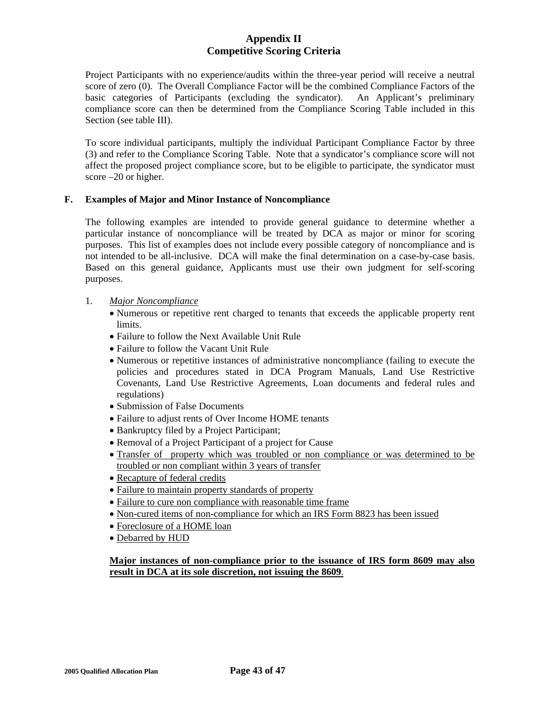Project Participants with no experience/audits within the three-year period will receive a neutral score of zero (0). The Overall Compliance Factor will be the combined Compliance Factors of the basic categories of Participants (excluding the syndicator). An Applicant's preliminary compliance score can then be determined from the Compliance Scoring Table included in this Section (see table III).

To score individual participants, multiply the individual Participant Compliance Factor by three (3) and refer to the Compliance Scoring Table. Note that a syndicator's compliance score will not affect the proposed project compliance score, but to be eligible to participate, the syndicator must score –20 or higher.

## **F. Examples of Major and Minor Instance of Noncompliance**

 The following examples are intended to provide general guidance to determine whether a particular instance of noncompliance will be treated by DCA as major or minor for scoring purposes. This list of examples does not include every possible category of noncompliance and is not intended to be all-inclusive. DCA will make the final determination on a case-by-case basis. Based on this general guidance, Applicants must use their own judgment for self-scoring purposes.

- 1. *Major Noncompliance*
	- Numerous or repetitive rent charged to tenants that exceeds the applicable property rent limits.
	- Failure to follow the Next Available Unit Rule
	- Failure to follow the Vacant Unit Rule
	- Numerous or repetitive instances of administrative noncompliance (failing to execute the policies and procedures stated in DCA Program Manuals, Land Use Restrictive Covenants, Land Use Restrictive Agreements, Loan documents and federal rules and regulations)
	- Submission of False Documents
	- Failure to adjust rents of Over Income HOME tenants
	- Bankruptcy filed by a Project Participant;
	- Removal of a Project Participant of a project for Cause
	- Transfer of property which was troubled or non compliance or was determined to be troubled or non compliant within 3 years of transfer
	- Recapture of federal credits
	- Failure to maintain property standards of property
	- Failure to cure non compliance with reasonable time frame
	- Non-cured items of non-compliance for which an IRS Form 8823 has been issued
	- Foreclosure of a HOME loan
	- Debarred by HUD

## **Major instances of non-compliance prior to the issuance of IRS form 8609 may also result in DCA at its sole discretion, not issuing the 8609**.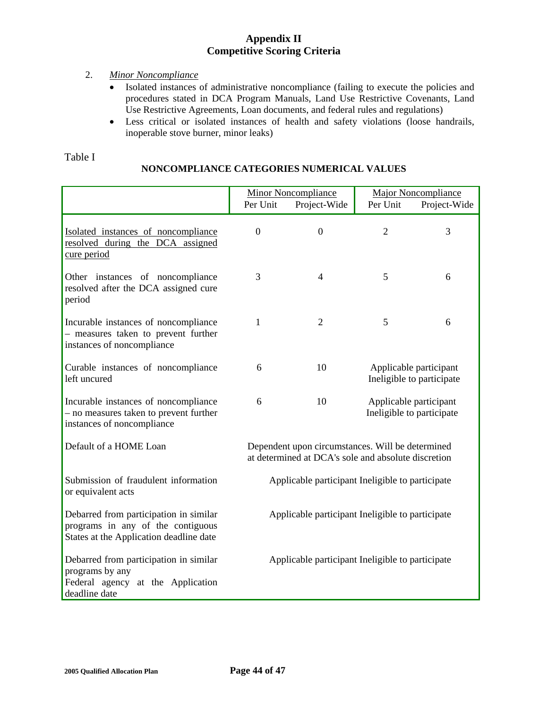# 2. *Minor Noncompliance*

- Isolated instances of administrative noncompliance (failing to execute the policies and procedures stated in DCA Program Manuals, Land Use Restrictive Covenants, Land Use Restrictive Agreements, Loan documents, and federal rules and regulations)
- Less critical or isolated instances of health and safety violations (loose handrails, inoperable stove burner, minor leaks)

# Table I

# **NONCOMPLIANCE CATEGORIES NUMERICAL VALUES**

|                                                                                                                        | Per Unit                                                                                                | <b>Minor Noncompliance</b><br>Project-Wide       | Per Unit                                            | <b>Major Noncompliance</b><br>Project-Wide          |
|------------------------------------------------------------------------------------------------------------------------|---------------------------------------------------------------------------------------------------------|--------------------------------------------------|-----------------------------------------------------|-----------------------------------------------------|
| Isolated instances of noncompliance<br>resolved during the DCA assigned<br>cure period                                 | $\theta$                                                                                                | $\overline{0}$                                   | $\overline{2}$                                      | 3                                                   |
| Other instances of noncompliance<br>resolved after the DCA assigned cure<br>period                                     | 3                                                                                                       | $\overline{4}$                                   | 5                                                   | 6                                                   |
| Incurable instances of noncompliance<br>- measures taken to prevent further<br>instances of noncompliance              | $\mathbf{1}$                                                                                            | $\overline{2}$                                   | 5                                                   | 6                                                   |
| Curable instances of noncompliance<br>left uncured                                                                     | 6                                                                                                       | 10                                               |                                                     | Applicable participant<br>Ineligible to participate |
| Incurable instances of noncompliance<br>- no measures taken to prevent further<br>instances of noncompliance           | 6                                                                                                       | 10                                               | Applicable participant<br>Ineligible to participate |                                                     |
| Default of a HOME Loan                                                                                                 | Dependent upon circumstances. Will be determined<br>at determined at DCA's sole and absolute discretion |                                                  |                                                     |                                                     |
| Submission of fraudulent information<br>or equivalent acts                                                             | Applicable participant Ineligible to participate                                                        |                                                  |                                                     |                                                     |
| Debarred from participation in similar<br>programs in any of the contiguous<br>States at the Application deadline date | Applicable participant Ineligible to participate                                                        |                                                  |                                                     |                                                     |
| Debarred from participation in similar<br>programs by any<br>Federal agency at the Application<br>deadline date        |                                                                                                         | Applicable participant Ineligible to participate |                                                     |                                                     |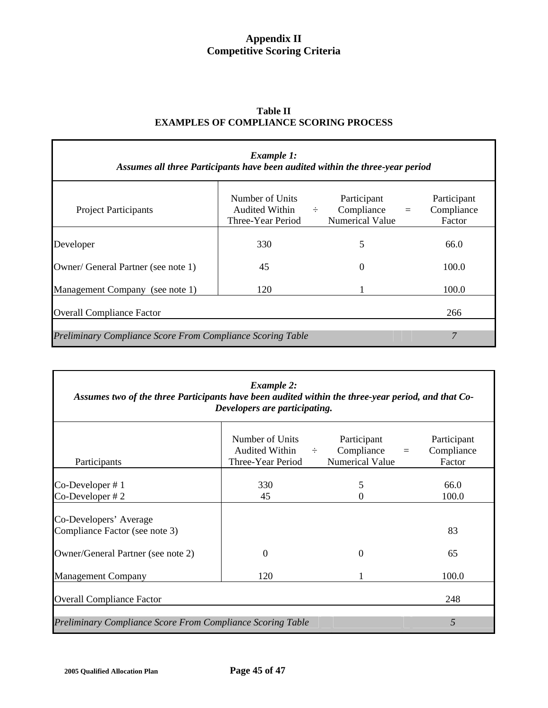| Assumes all three Participants have been audited within the three-year period | Example 1:                                                    |                                                     |                                                 |
|-------------------------------------------------------------------------------|---------------------------------------------------------------|-----------------------------------------------------|-------------------------------------------------|
| <b>Project Participants</b>                                                   | Number of Units<br>Audited Within $\div$<br>Three-Year Period | Participant<br>Compliance<br><b>Numerical Value</b> | Participant<br>Compliance<br>$\equiv$<br>Factor |
| Developer                                                                     | 330                                                           | 5                                                   | 66.0                                            |
| Owner/ General Partner (see note 1)                                           | 45                                                            | $\Omega$                                            | 100.0                                           |
| Management Company (see note 1)                                               | 120                                                           |                                                     | 100.0                                           |
| <b>Overall Compliance Factor</b>                                              |                                                               |                                                     | 266                                             |
| <b>Preliminary Compliance Score From Compliance Scoring Table</b>             |                                                               |                                                     | 7                                               |

| <b>Table II</b>                               |
|-----------------------------------------------|
| <b>EXAMPLES OF COMPLIANCE SCORING PROCESS</b> |

| <b>Example 2:</b><br>Assumes two of the three Participants have been audited within the three-year period, and that Co-<br>Developers are participating. |                                                               |                                                                 |                                     |  |  |
|----------------------------------------------------------------------------------------------------------------------------------------------------------|---------------------------------------------------------------|-----------------------------------------------------------------|-------------------------------------|--|--|
| Participants                                                                                                                                             | Number of Units<br>Audited Within $\div$<br>Three-Year Period | Participant<br>Compliance<br>$\equiv$<br><b>Numerical Value</b> | Participant<br>Compliance<br>Factor |  |  |
| $Co-Developer \# 1$<br>$Co-Developer \# 2$                                                                                                               | 330<br>45                                                     | 5<br>0                                                          | 66.0<br>100.0                       |  |  |
| Co-Developers' Average<br>Compliance Factor (see note 3)                                                                                                 |                                                               |                                                                 | 83                                  |  |  |
| Owner/General Partner (see note 2)                                                                                                                       | $\Omega$                                                      | 0                                                               | 65                                  |  |  |
| <b>Management Company</b>                                                                                                                                | 120                                                           |                                                                 | 100.0                               |  |  |
| <b>Overall Compliance Factor</b>                                                                                                                         |                                                               |                                                                 | 248                                 |  |  |
| 5<br>Preliminary Compliance Score From Compliance Scoring Table                                                                                          |                                                               |                                                                 |                                     |  |  |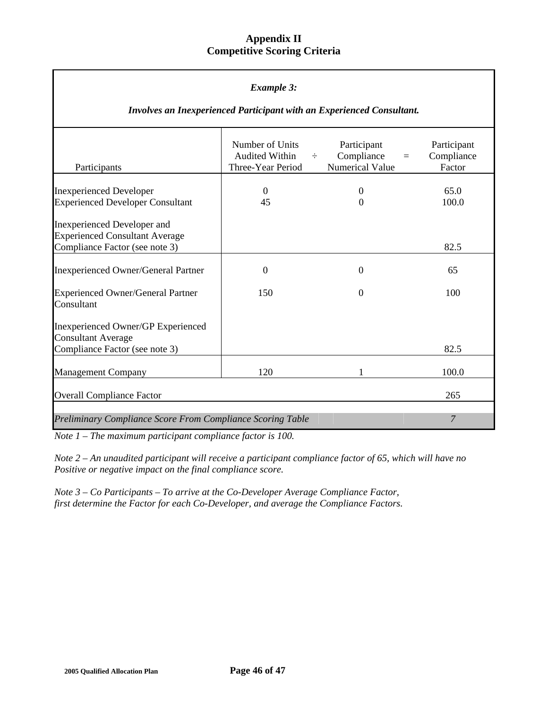| <b>Example 3:</b>                                                                                      |                                                               |                                                                    |                                     |  |  |  |
|--------------------------------------------------------------------------------------------------------|---------------------------------------------------------------|--------------------------------------------------------------------|-------------------------------------|--|--|--|
| Involves an Inexperienced Participant with an Experienced Consultant.                                  |                                                               |                                                                    |                                     |  |  |  |
| Participants                                                                                           | Number of Units<br><b>Audited Within</b><br>Three-Year Period | Participant<br>Compliance<br>$\div$<br>$\equiv$<br>Numerical Value | Participant<br>Compliance<br>Factor |  |  |  |
| <b>Inexperienced Developer</b><br><b>Experienced Developer Consultant</b>                              | $\overline{0}$<br>45                                          | $\theta$<br>$\theta$                                               | 65.0<br>100.0                       |  |  |  |
| Inexperienced Developer and<br><b>Experienced Consultant Average</b><br>Compliance Factor (see note 3) |                                                               |                                                                    | 82.5                                |  |  |  |
| <b>Inexperienced Owner/General Partner</b>                                                             | $\mathbf{0}$                                                  | $\boldsymbol{0}$                                                   | 65                                  |  |  |  |
| <b>Experienced Owner/General Partner</b><br>Consultant                                                 | 150                                                           | $\Omega$                                                           | 100                                 |  |  |  |
| Inexperienced Owner/GP Experienced<br><b>Consultant Average</b><br>Compliance Factor (see note 3)      |                                                               |                                                                    | 82.5                                |  |  |  |
| <b>Management Company</b>                                                                              | 120                                                           | 1                                                                  | 100.0                               |  |  |  |
| <b>Overall Compliance Factor</b>                                                                       |                                                               |                                                                    | 265                                 |  |  |  |
| 7<br><b>Preliminary Compliance Score From Compliance Scoring Table</b>                                 |                                                               |                                                                    |                                     |  |  |  |

*Note 1 – The maximum participant compliance factor is 100.* 

*Note 2 – An unaudited participant will receive a participant compliance factor of 65, which will have no Positive or negative impact on the final compliance score.* 

*Note 3 – Co Participants – To arrive at the Co-Developer Average Compliance Factor, first determine the Factor for each Co-Developer, and average the Compliance Factors.*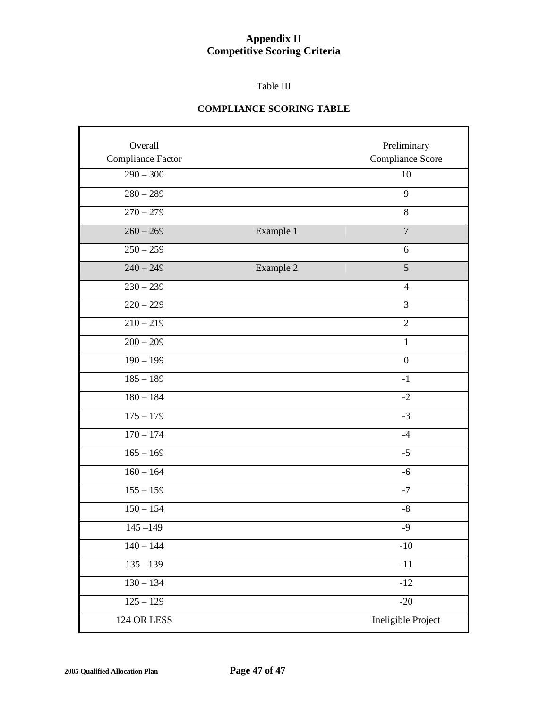## Table III

# **COMPLIANCE SCORING TABLE**

| Overall<br>Compliance Factor |           | Preliminary<br>Compliance Score |
|------------------------------|-----------|---------------------------------|
| $290 - 300$                  |           | 10                              |
| $280 - 289$                  |           | 9                               |
| $270 - 279$                  |           | 8                               |
| $260 - 269$                  | Example 1 | $\overline{7}$                  |
| $250 - 259$                  |           | 6                               |
| $240 - 249$                  | Example 2 | 5                               |
| $230 - 239$                  |           | $\overline{4}$                  |
| $220 - 229$                  |           | $\overline{3}$                  |
| $210 - 219$                  |           | $\overline{2}$                  |
| $200 - 209$                  |           | $\mathbf{1}$                    |
| $190 - 199$                  |           | $\mathbf{0}$                    |
| $185 - 189$                  |           | $-1$                            |
| $180 - 184$                  |           | $-2$                            |
| $175 - 179$                  |           | $-3$                            |
| $170 - 174$                  |           | $-4$                            |
| $165 - 169$                  |           | $-5$                            |
| $160 - 164$                  |           | $-6$                            |
| $155 - 159$                  |           | $-7$                            |
| $150 - 154$                  |           | $-8$                            |
| $145 - 149$                  |           | $-9$                            |
| $140 - 144$                  |           | $-10$                           |
| $135 - 139$                  |           | $-11$                           |
| $130 - 134$                  |           | $-12$                           |
| $125 - 129$                  |           | $-20$                           |
| 124 OR LESS                  |           | Ineligible Project              |

r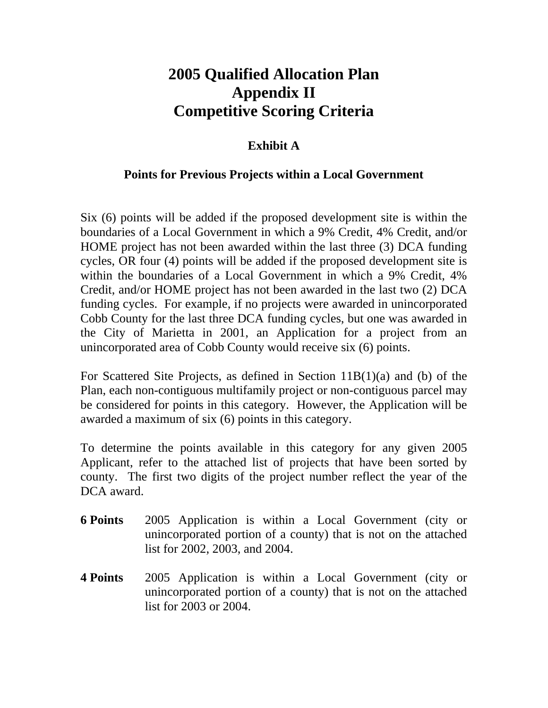# **2005 Qualified Allocation Plan Appendix II Competitive Scoring Criteria**

## **Exhibit A**

### **Points for Previous Projects within a Local Government**

Six (6) points will be added if the proposed development site is within the boundaries of a Local Government in which a 9% Credit, 4% Credit, and/or HOME project has not been awarded within the last three (3) DCA funding cycles, OR four (4) points will be added if the proposed development site is within the boundaries of a Local Government in which a 9% Credit, 4% Credit, and/or HOME project has not been awarded in the last two (2) DCA funding cycles. For example, if no projects were awarded in unincorporated Cobb County for the last three DCA funding cycles, but one was awarded in the City of Marietta in 2001, an Application for a project from an unincorporated area of Cobb County would receive six (6) points.

For Scattered Site Projects, as defined in Section 11B(1)(a) and (b) of the Plan, each non-contiguous multifamily project or non-contiguous parcel may be considered for points in this category. However, the Application will be awarded a maximum of six (6) points in this category.

To determine the points available in this category for any given 2005 Applicant, refer to the attached list of projects that have been sorted by county. The first two digits of the project number reflect the year of the DCA award.

- **6 Points** 2005 Application is within a Local Government (city or unincorporated portion of a county) that is not on the attached list for 2002, 2003, and 2004.
- **4 Points** 2005 Application is within a Local Government (city or unincorporated portion of a county) that is not on the attached list for 2003 or 2004.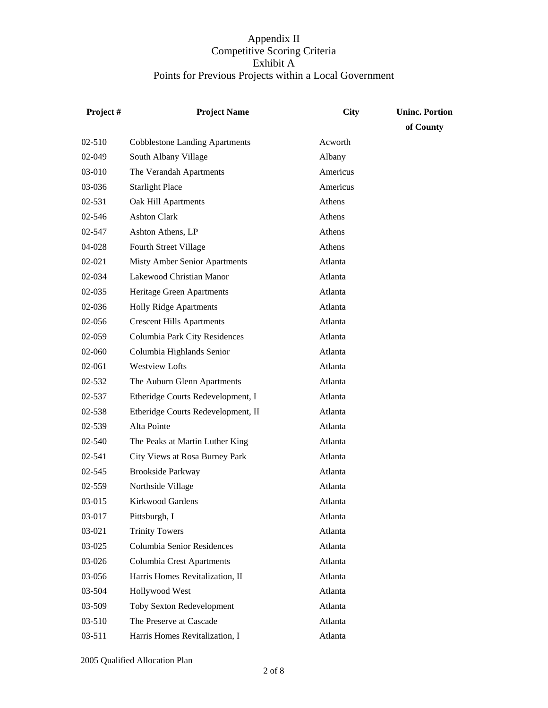| Project# | <b>Project Name</b>                   | <b>City</b> | <b>Uninc. Portion</b> |
|----------|---------------------------------------|-------------|-----------------------|
|          |                                       |             | of County             |
| 02-510   | <b>Cobblestone Landing Apartments</b> | Acworth     |                       |
| 02-049   | South Albany Village                  | Albany      |                       |
| 03-010   | The Verandah Apartments               | Americus    |                       |
| 03-036   | <b>Starlight Place</b>                | Americus    |                       |
| 02-531   | Oak Hill Apartments                   | Athens      |                       |
| 02-546   | <b>Ashton Clark</b>                   | Athens      |                       |
| 02-547   | Ashton Athens, LP                     | Athens      |                       |
| 04-028   | Fourth Street Village                 | Athens      |                       |
| 02-021   | <b>Misty Amber Senior Apartments</b>  | Atlanta     |                       |
| 02-034   | Lakewood Christian Manor              | Atlanta     |                       |
| 02-035   | Heritage Green Apartments             | Atlanta     |                       |
| 02-036   | <b>Holly Ridge Apartments</b>         | Atlanta     |                       |
| 02-056   | <b>Crescent Hills Apartments</b>      | Atlanta     |                       |
| 02-059   | Columbia Park City Residences         | Atlanta     |                       |
| 02-060   | Columbia Highlands Senior             | Atlanta     |                       |
| 02-061   | <b>Westview Lofts</b>                 | Atlanta     |                       |
| 02-532   | The Auburn Glenn Apartments           | Atlanta     |                       |
| 02-537   | Etheridge Courts Redevelopment, I     | Atlanta     |                       |
| 02-538   | Etheridge Courts Redevelopment, II    | Atlanta     |                       |
| 02-539   | Alta Pointe                           | Atlanta     |                       |
| 02-540   | The Peaks at Martin Luther King       | Atlanta     |                       |
| 02-541   | City Views at Rosa Burney Park        | Atlanta     |                       |
| 02-545   | <b>Brookside Parkway</b>              | Atlanta     |                       |
| 02-559   | Northside Village                     | Atlanta     |                       |
| 03-015   | Kirkwood Gardens                      | Atlanta     |                       |
| 03-017   | Pittsburgh, I                         | Atlanta     |                       |
| 03-021   | <b>Trinity Towers</b>                 | Atlanta     |                       |
| 03-025   | Columbia Senior Residences            | Atlanta     |                       |
| 03-026   | <b>Columbia Crest Apartments</b>      | Atlanta     |                       |
| 03-056   | Harris Homes Revitalization, II       | Atlanta     |                       |
| 03-504   | Hollywood West                        | Atlanta     |                       |
| 03-509   | <b>Toby Sexton Redevelopment</b>      | Atlanta     |                       |
| 03-510   | The Preserve at Cascade               | Atlanta     |                       |
| 03-511   | Harris Homes Revitalization, I        | Atlanta     |                       |

2005 Qualified Allocation Plan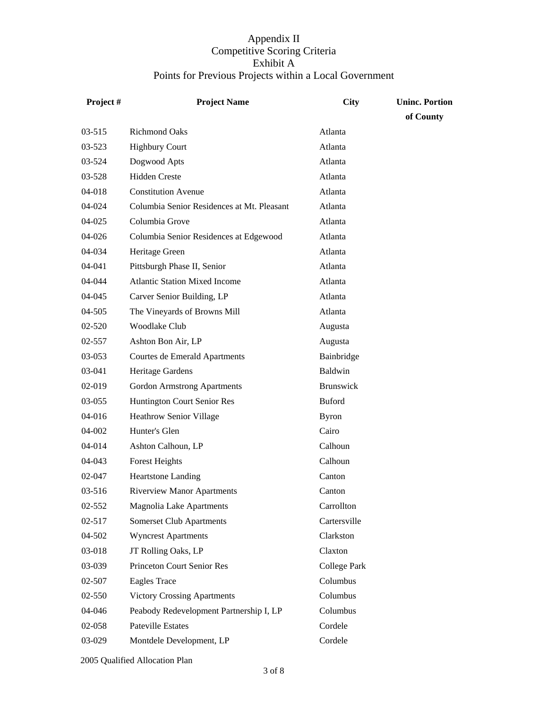| Project#   | <b>Project Name</b>                        | <b>City</b>         | <b>Uninc. Portion</b> |
|------------|--------------------------------------------|---------------------|-----------------------|
|            |                                            |                     | of County             |
| $03 - 515$ | <b>Richmond Oaks</b>                       | Atlanta             |                       |
| 03-523     | <b>Highbury Court</b>                      | Atlanta             |                       |
| 03-524     | Dogwood Apts                               | Atlanta             |                       |
| 03-528     | <b>Hidden Creste</b>                       | Atlanta             |                       |
| 04-018     | <b>Constitution Avenue</b>                 | Atlanta             |                       |
| 04-024     | Columbia Senior Residences at Mt. Pleasant | Atlanta             |                       |
| 04-025     | Columbia Grove                             | Atlanta             |                       |
| 04-026     | Columbia Senior Residences at Edgewood     | Atlanta             |                       |
| 04-034     | Heritage Green                             | Atlanta             |                       |
| 04-041     | Pittsburgh Phase II, Senior                | Atlanta             |                       |
| 04-044     | <b>Atlantic Station Mixed Income</b>       | Atlanta             |                       |
| 04-045     | Carver Senior Building, LP                 | Atlanta             |                       |
| 04-505     | The Vineyards of Browns Mill               | Atlanta             |                       |
| 02-520     | Woodlake Club                              | Augusta             |                       |
| 02-557     | Ashton Bon Air, LP                         | Augusta             |                       |
| 03-053     | Courtes de Emerald Apartments              | Bainbridge          |                       |
| 03-041     | Heritage Gardens                           | Baldwin             |                       |
| 02-019     | <b>Gordon Armstrong Apartments</b>         | <b>Brunswick</b>    |                       |
| 03-055     | Huntington Court Senior Res                | <b>Buford</b>       |                       |
| 04-016     | <b>Heathrow Senior Village</b>             | <b>Byron</b>        |                       |
| 04-002     | Hunter's Glen                              | Cairo               |                       |
| 04-014     | Ashton Calhoun, LP                         | Calhoun             |                       |
| 04-043     | <b>Forest Heights</b>                      | Calhoun             |                       |
| 02-047     | <b>Heartstone Landing</b>                  | Canton              |                       |
| 03-516     | <b>Riverview Manor Apartments</b>          | Canton              |                       |
| 02-552     | <b>Magnolia Lake Apartments</b>            | Carrollton          |                       |
| 02-517     | <b>Somerset Club Apartments</b>            | Cartersville        |                       |
| 04-502     | <b>Wyncrest Apartments</b>                 | Clarkston           |                       |
| 03-018     | JT Rolling Oaks, LP                        | Claxton             |                       |
| 03-039     | Princeton Court Senior Res                 | <b>College Park</b> |                       |
| 02-507     | <b>Eagles Trace</b>                        | Columbus            |                       |
| 02-550     | <b>Victory Crossing Apartments</b>         | Columbus            |                       |
| 04-046     | Peabody Redevelopment Partnership I, LP    | Columbus            |                       |
| 02-058     | <b>Pateville Estates</b>                   | Cordele             |                       |
| 03-029     | Montdele Development, LP                   | Cordele             |                       |

2005 Qualified Allocation Plan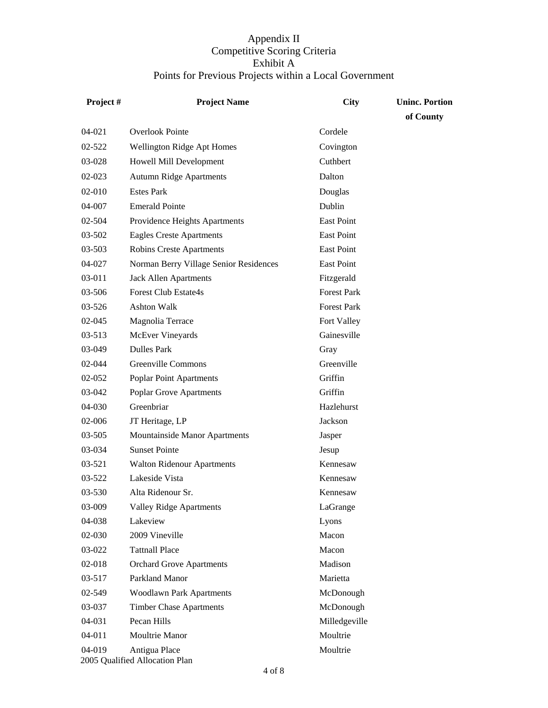| Project#   | <b>Project Name</b>                             | City               | <b>Uninc. Portion</b> |
|------------|-------------------------------------------------|--------------------|-----------------------|
|            |                                                 |                    | of County             |
| 04-021     | <b>Overlook Pointe</b>                          | Cordele            |                       |
| 02-522     | Wellington Ridge Apt Homes                      | Covington          |                       |
| 03-028     | Howell Mill Development                         | Cuthbert           |                       |
| 02-023     | <b>Autumn Ridge Apartments</b>                  | Dalton             |                       |
| 02-010     | <b>Estes Park</b>                               | Douglas            |                       |
| $04 - 007$ | <b>Emerald Pointe</b>                           | Dublin             |                       |
| $02 - 504$ | Providence Heights Apartments                   | <b>East Point</b>  |                       |
| 03-502     | <b>Eagles Creste Apartments</b>                 | East Point         |                       |
| 03-503     | <b>Robins Creste Apartments</b>                 | East Point         |                       |
| 04-027     | Norman Berry Village Senior Residences          | East Point         |                       |
| 03-011     | Jack Allen Apartments                           | Fitzgerald         |                       |
| 03-506     | <b>Forest Club Estate4s</b>                     | <b>Forest Park</b> |                       |
| $03 - 526$ | <b>Ashton Walk</b>                              | <b>Forest Park</b> |                       |
| 02-045     | Magnolia Terrace                                | Fort Valley        |                       |
| 03-513     | <b>McEver Vineyards</b>                         | Gainesville        |                       |
| 03-049     | <b>Dulles Park</b>                              | Gray               |                       |
| 02-044     | Greenville Commons                              | Greenville         |                       |
| $02 - 052$ | Poplar Point Apartments                         | Griffin            |                       |
| 03-042     | Poplar Grove Apartments                         | Griffin            |                       |
| 04-030     | Greenbriar                                      | Hazlehurst         |                       |
| 02-006     | JT Heritage, LP                                 | Jackson            |                       |
| 03-505     | Mountainside Manor Apartments                   | Jasper             |                       |
| 03-034     | <b>Sunset Pointe</b>                            | Jesup              |                       |
| 03-521     | <b>Walton Ridenour Apartments</b>               | Kennesaw           |                       |
| 03-522     | Lakeside Vista                                  | Kennesaw           |                       |
| 03-530     | Alta Ridenour Sr.                               | Kennesaw           |                       |
| 03-009     | <b>Valley Ridge Apartments</b>                  | LaGrange           |                       |
| 04-038     | Lakeview                                        | Lyons              |                       |
| 02-030     | 2009 Vineville                                  | Macon              |                       |
| 03-022     | <b>Tattnall Place</b>                           | Macon              |                       |
| 02-018     | <b>Orchard Grove Apartments</b>                 | Madison            |                       |
| 03-517     | Parkland Manor                                  | Marietta           |                       |
| 02-549     | <b>Woodlawn Park Apartments</b>                 | McDonough          |                       |
| 03-037     | <b>Timber Chase Apartments</b>                  | McDonough          |                       |
| 04-031     | Pecan Hills                                     | Milledgeville      |                       |
| 04-011     | Moultrie Manor                                  | Moultrie           |                       |
| 04-019     | Antigua Place<br>2005 Qualified Allocation Plan | Moultrie           |                       |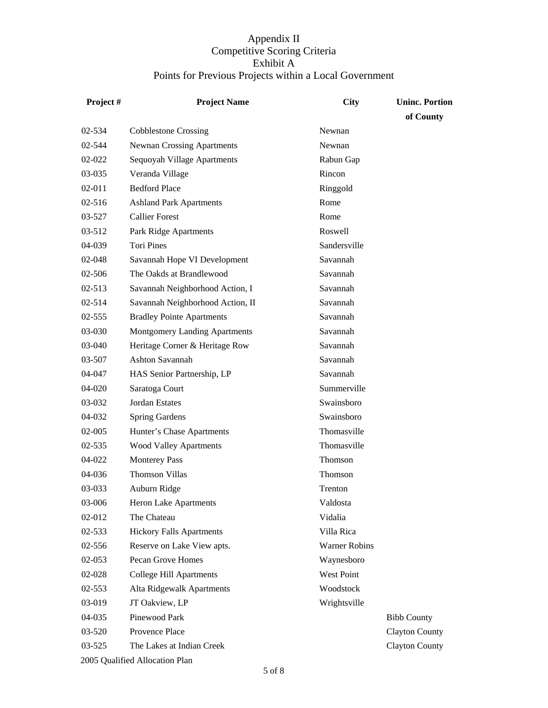| Project#   | <b>Project Name</b>               | <b>City</b>   | <b>Uninc. Portion</b> |
|------------|-----------------------------------|---------------|-----------------------|
|            |                                   |               | of County             |
| 02-534     | <b>Cobblestone Crossing</b>       | Newnan        |                       |
| 02-544     | <b>Newnan Crossing Apartments</b> | Newnan        |                       |
| 02-022     | Sequoyah Village Apartments       | Rabun Gap     |                       |
| 03-035     | Veranda Village                   | Rincon        |                       |
| $02 - 011$ | <b>Bedford Place</b>              | Ringgold      |                       |
| $02 - 516$ | <b>Ashland Park Apartments</b>    | Rome          |                       |
| 03-527     | <b>Callier Forest</b>             | Rome          |                       |
| 03-512     | Park Ridge Apartments             | Roswell       |                       |
| 04-039     | <b>Tori Pines</b>                 | Sandersville  |                       |
| 02-048     | Savannah Hope VI Development      | Savannah      |                       |
| 02-506     | The Oakds at Brandlewood          | Savannah      |                       |
| $02 - 513$ | Savannah Neighborhood Action, I   | Savannah      |                       |
| $02 - 514$ | Savannah Neighborhood Action, II  | Savannah      |                       |
| 02-555     | <b>Bradley Pointe Apartments</b>  | Savannah      |                       |
| 03-030     | Montgomery Landing Apartments     | Savannah      |                       |
| 03-040     | Heritage Corner & Heritage Row    | Savannah      |                       |
| 03-507     | Ashton Savannah                   | Savannah      |                       |
| 04-047     | HAS Senior Partnership, LP        | Savannah      |                       |
| 04-020     | Saratoga Court                    | Summerville   |                       |
| 03-032     | <b>Jordan Estates</b>             | Swainsboro    |                       |
| 04-032     | <b>Spring Gardens</b>             | Swainsboro    |                       |
| 02-005     | Hunter's Chase Apartments         | Thomasville   |                       |
| 02-535     | <b>Wood Valley Apartments</b>     | Thomasville   |                       |
| 04-022     | <b>Monterey Pass</b>              | Thomson       |                       |
| 04-036     | <b>Thomson Villas</b>             | Thomson       |                       |
| 03-033     | Auburn Ridge                      | Trenton       |                       |
| 03-006     | Heron Lake Apartments             | Valdosta      |                       |
| 02-012     | The Chateau                       | Vidalia       |                       |
| 02-533     | <b>Hickory Falls Apartments</b>   | Villa Rica    |                       |
| 02-556     | Reserve on Lake View apts.        | Warner Robins |                       |
| 02-053     | Pecan Grove Homes                 | Waynesboro    |                       |
| 02-028     | <b>College Hill Apartments</b>    | West Point    |                       |
| 02-553     | Alta Ridgewalk Apartments         | Woodstock     |                       |
| 03-019     | JT Oakview, LP                    | Wrightsville  |                       |
| 04-035     | Pinewood Park                     |               | <b>Bibb County</b>    |
| 03-520     | Provence Place                    |               | Clayton County        |
| 03-525     | The Lakes at Indian Creek         |               | <b>Clayton County</b> |
|            | 2005 Qualified Allocation Plan    |               |                       |